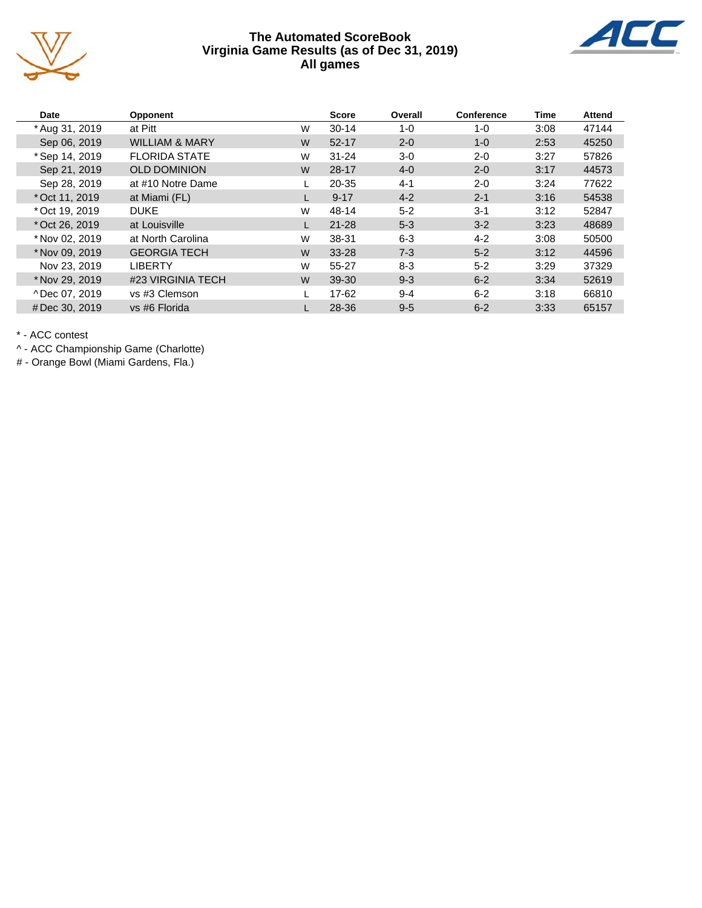



| Date           | <b>Opponent</b>           |   | <b>Score</b> | Overall | Conference | <b>Time</b> | <b>Attend</b> |
|----------------|---------------------------|---|--------------|---------|------------|-------------|---------------|
| * Aug 31, 2019 | at Pitt                   | W | $30 - 14$    | 1-0     | $1 - 0$    | 3:08        | 47144         |
| Sep 06, 2019   | <b>WILLIAM &amp; MARY</b> | W | $52 - 17$    | $2 - 0$ | $1 - 0$    | 2:53        | 45250         |
| * Sep 14, 2019 | <b>FLORIDA STATE</b>      | W | $31 - 24$    | $3-0$   | $2 - 0$    | 3:27        | 57826         |
| Sep 21, 2019   | <b>OLD DOMINION</b>       | W | $28 - 17$    | $4 - 0$ | $2 - 0$    | 3:17        | 44573         |
| Sep 28, 2019   | at #10 Notre Dame         |   | 20-35        | $4 - 1$ | $2 - 0$    | 3:24        | 77622         |
| * Oct 11, 2019 | at Miami (FL)             |   | $9 - 17$     | $4 - 2$ | $2 - 1$    | 3:16        | 54538         |
| * Oct 19, 2019 | <b>DUKE</b>               | W | 48-14        | $5 - 2$ | $3 - 1$    | 3:12        | 52847         |
| * Oct 26, 2019 | at Louisville             |   | $21 - 28$    | $5 - 3$ | $3 - 2$    | 3:23        | 48689         |
| * Nov 02, 2019 | at North Carolina         | W | 38-31        | $6 - 3$ | $4 - 2$    | 3:08        | 50500         |
| * Nov 09, 2019 | <b>GEORGIA TECH</b>       | W | 33-28        | $7 - 3$ | $5 - 2$    | 3:12        | 44596         |
| Nov 23, 2019   | <b>LIBERTY</b>            | W | 55-27        | $8 - 3$ | $5 - 2$    | 3:29        | 37329         |
| * Nov 29, 2019 | #23 VIRGINIA TECH         | W | 39-30        | $9 - 3$ | $6 - 2$    | 3:34        | 52619         |
| ^Dec 07, 2019  | vs #3 Clemson             |   | 17-62        | $9 - 4$ | $6 - 2$    | 3:18        | 66810         |
| #Dec 30, 2019  | vs #6 Florida             |   | 28-36        | $9 - 5$ | $6 - 2$    | 3:33        | 65157         |

\* - ACC contest

^ - ACC Championship Game (Charlotte)

# - Orange Bowl (Miami Gardens, Fla.)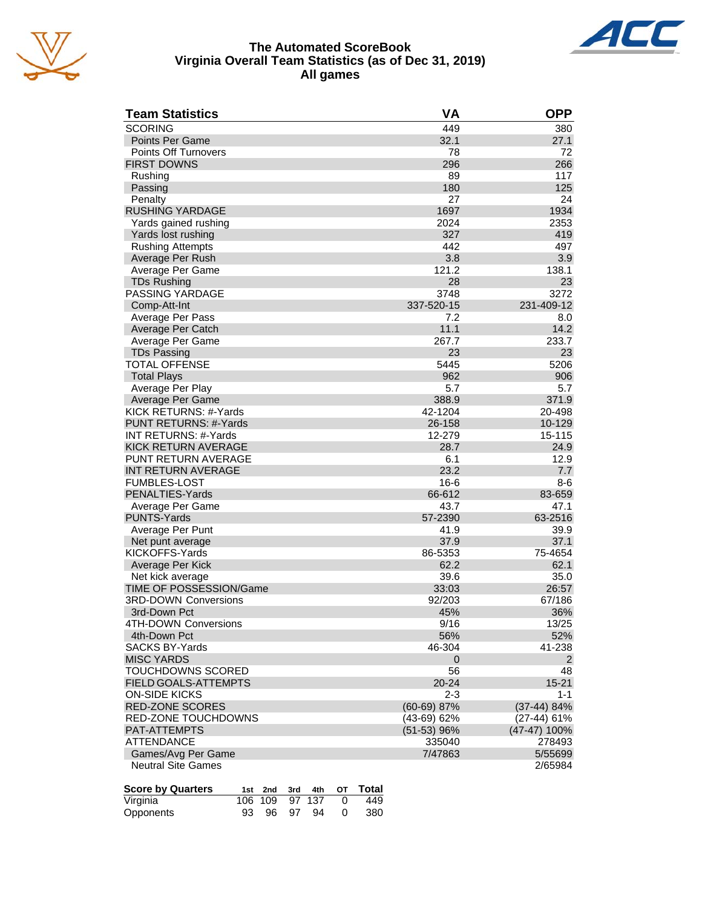



#### **The Automated ScoreBook Virginia Overall Team Statistics (as of Dec 31, 2019) All games**

| <b>Team Statistics</b>            | VA                      | <b>OPP</b>         |
|-----------------------------------|-------------------------|--------------------|
| <b>SCORING</b>                    | 449                     | 380                |
| Points Per Game                   | 32.1                    | 27.1               |
| Points Off Turnovers              | 78                      | 72                 |
| <b>FIRST DOWNS</b>                | 296                     | 266                |
| Rushing                           | 89                      | 117                |
| Passing                           | 180                     | 125                |
| Penalty                           | 27                      | 24                 |
| <b>RUSHING YARDAGE</b>            | 1697                    | 1934               |
| Yards gained rushing              | 2024                    | 2353               |
| Yards lost rushing                | 327                     | 419                |
| <b>Rushing Attempts</b>           | 442                     | 497                |
| Average Per Rush                  | 3.8                     | 3.9                |
| Average Per Game                  | 121.2                   | 138.1              |
| <b>TDs Rushing</b>                | 28                      | 23                 |
| <b>PASSING YARDAGE</b>            | 3748                    | 3272               |
| Comp-Att-Int                      | 337-520-15              | 231-409-12         |
| Average Per Pass                  | 7.2                     | 8.0                |
| Average Per Catch                 | 11.1                    | 14.2               |
| Average Per Game                  | 267.7                   | 233.7              |
| <b>TDs Passing</b>                | 23                      | 23                 |
| <b>TOTAL OFFENSE</b>              | 5445                    | 5206               |
| <b>Total Plays</b>                | 962                     | 906                |
| Average Per Play                  | 5.7                     | 5.7                |
| Average Per Game                  | 388.9                   | 371.9              |
| KICK RETURNS: #-Yards             | 42-1204                 | 20-498             |
| PUNT RETURNS: #-Yards             | 26-158                  | 10-129             |
| <b>INT RETURNS: #-Yards</b>       | 12-279                  | 15-115             |
| KICK RETURN AVERAGE               | 28.7                    | 24.9               |
| <b>PUNT RETURN AVERAGE</b>        | 6.1                     | 12.9               |
| INT RETURN AVERAGE                | 23.2                    | 7.7                |
| <b>FUMBLES-LOST</b>               | $16-6$                  | 8-6                |
| PENALTIES-Yards                   | 66-612                  | 83-659             |
| Average Per Game                  | 43.7                    | 47.1               |
| <b>PUNTS-Yards</b>                | 57-2390                 | 63-2516            |
| Average Per Punt                  | 41.9                    | 39.9               |
| Net punt average                  | 37.9                    | 37.1               |
| KICKOFFS-Yards                    | 86-5353                 | 75-4654            |
| Average Per Kick                  | 62.2                    | 62.1               |
| Net kick average                  | 39.6                    | 35.0               |
| TIME OF POSSESSION/Game           | 33:03                   | 26:57              |
| <b>3RD-DOWN Conversions</b>       | 92/203                  | 67/186             |
| 3rd-Down Pct                      | 45%                     | 36%                |
| 4TH-DOWN Conversions              | 9/16                    | 13/25              |
| 4th-Down Pct                      | 56%                     | 52%                |
| <b>SACKS BY-Yards</b>             | 46-304                  | 41-238             |
| <b>MISC YARDS</b>                 | $\mathbf 0$             | $\overline{2}$     |
| <b>TOUCHDOWNS SCORED</b>          | 56                      | 48                 |
| <b>FIELD GOALS-ATTEMPTS</b>       | $20 - 24$               | $15 - 21$          |
| ON-SIDE KICKS                     | $2 - 3$                 | 1-1                |
| <b>RED-ZONE SCORES</b>            | $(60-69)$ 87%           | (37-44) 84%        |
|                                   |                         |                    |
| <b>RED-ZONE TOUCHDOWNS</b>        | (43-69) 62%             | (27-44) 61%        |
| PAT-ATTEMPTS<br><b>ATTENDANCE</b> | $(51-53)$ 96%<br>335040 | (47-47) 100%       |
| Games/Avg Per Game                | 7/47863                 | 278493             |
| <b>Neutral Site Games</b>         |                         | 5/55699<br>2/65984 |
|                                   |                         |                    |

| <b>Score by Quarters</b> |  |                  | 1st 2nd 3rd 4th OT Total |
|--------------------------|--|------------------|--------------------------|
| Virginia                 |  | 106 109 97 137 0 | - 449                    |
| Opponents                |  | 93 96 97 94 0    | - 380                    |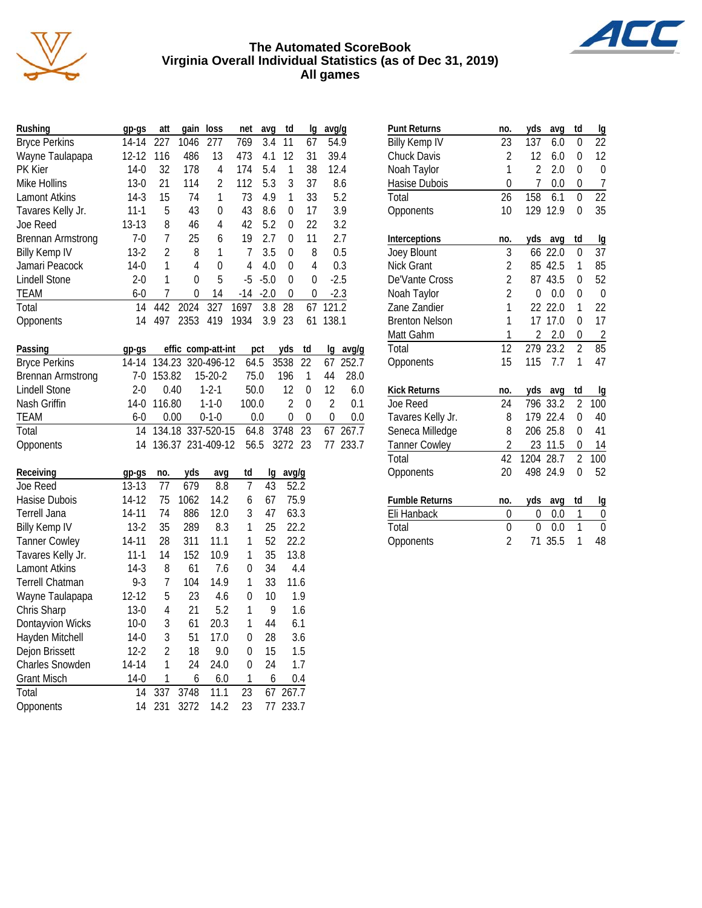



| Rushing              | gp-gs    | att | qain | loss           | net   | avq    | td       | Ig | avg/g  |
|----------------------|----------|-----|------|----------------|-------|--------|----------|----|--------|
| <b>Bryce Perkins</b> | 14-14    | 227 | 1046 | 277            | 769   | 3.4    | 11       | 67 | 54.9   |
| Wayne Taulapapa      | 12-12    | 116 | 486  | 13             | 473   | 4.1    | 12       | 31 | 39.4   |
| PK Kier              | $14-0$   | 32  | 178  | 4              | 174   | 5.4    | 1        | 38 | 12.4   |
| Mike Hollins         | $13-0$   | 21  | 114  | $\overline{2}$ | 112   | 5.3    | 3        | 37 | 8.6    |
| Lamont Atkins        | $14-3$   | 15  | 74   | 1              | 73    | 4.9    | 1        | 33 | 5.2    |
| Tavares Kelly Jr.    | $11 - 1$ | 5   | 43   | 0              | 43    | 8.6    | 0        | 17 | 3.9    |
| Joe Reed             | $13-13$  | 8   | 46   | 4              | 42    | 5.2    | 0        | 22 | 3.2    |
| Brennan Armstrong    | $7-0$    | 7   | 25   | 6              | 19    | 2.7    | $\Omega$ | 11 | 2.7    |
| <b>Billy Kemp IV</b> | $13 - 2$ | 2   | 8    | 1              | 7     | 3.5    | 0        | 8  | 0.5    |
| Jamari Peacock       | $14-0$   | 1   | 4    | 0              | 4     | 4.0    | $\Omega$ | 4  | 0.3    |
| <b>Lindell Stone</b> | $2 - 0$  | 1   | 0    | 5              | -5    | $-5.0$ | 0        | 0  | $-2.5$ |
| TEAM                 | $6 - 0$  | 7   | 0    | 14             | $-14$ | $-2.0$ | 0        | 0  | $-2.3$ |
| Total                | 14       | 442 | 2024 | 327            | 1697  | 3.8    | 28       | 67 | 121.2  |
| Opponents            | 14       | 497 | 2353 | 419            | 1934  | 3.9    | 23       | 61 | 138.1  |

| Passing                  | qp-qs |             | effic comp-att-int                   | pct          | yds td           |          |                  | lg avg/g |
|--------------------------|-------|-------------|--------------------------------------|--------------|------------------|----------|------------------|----------|
| <b>Bryce Perkins</b>     |       |             | 14-14 134.23 320-496-12 64.5 3538 22 |              |                  |          |                  | 67 252.7 |
| <b>Brennan Armstrong</b> |       | 7-0 153.82  | $15-20-2$                            | 75.0         | 196              |          | 44               | 28.0     |
| Lindell Stone            | $2-0$ | 0.40        | $1-2-1$                              | 50.0         | 12               | $\Omega$ | 12               | -6.0     |
| Nash Griffin             |       | 14-0 116.80 | $1 - 1 - 0$                          | 100.0        | $\mathcal{L}$    | $\Omega$ |                  | 0.1      |
| TEAM                     | $6-0$ | 0.00        | $0 - 1 - 0$                          | 0.0          | $\left( \right)$ | $\Omega$ | $\left( \right)$ | 0.0      |
| Total                    |       |             | 14 134.18 337-520-15                 | 64.8 3748 23 |                  |          |                  | 67 267.7 |
| Opponents                |       |             | 14 136.37 231-409-12                 |              | 56.5 3272 23     |          |                  | 77 233.7 |

| Receiving              | gp-gs    | no.            | yds  | avg  | td | Ig | avg/g |
|------------------------|----------|----------------|------|------|----|----|-------|
| Joe Reed               | 13-13    | 77             | 679  | 8.8  | 7  | 43 | 52.2  |
| Hasise Dubois          | 14-12    | 75             | 1062 | 14.2 | 6  | 67 | 75.9  |
| Terrell Jana           | 14-11    | 74             | 886  | 12.0 | 3  | 47 | 63.3  |
| <b>Billy Kemp IV</b>   | $13-2$   | 35             | 289  | 8.3  | 1  | 25 | 22.2  |
| <b>Tanner Cowley</b>   | 14-11    | 28             | 311  | 11.1 | 1  | 52 | 22.2  |
| Tavares Kelly Jr.      | 11-1     | 14             | 152  | 10.9 | 1  | 35 | 13.8  |
| <b>Lamont Atkins</b>   | 14-3     | 8              | 61   | 7.6  | 0  | 34 | 4.4   |
| <b>Terrell Chatman</b> | $9-3$    | $\overline{7}$ | 104  | 14.9 | 1  | 33 | 11.6  |
| Wayne Taulapapa        | 12-12    | 5              | 23   | 4.6  | 0  | 10 | 1.9   |
| Chris Sharp            | $13-0$   | 4              | 21   | 5.2  | 1  | 9  | 1.6   |
| Dontayvion Wicks       | $10-0$   | 3              | 61   | 20.3 | 1  | 44 | 6.1   |
| Hayden Mitchell        | $14-0$   | 3              | 51   | 17.0 | 0  | 28 | 3.6   |
| Dejon Brissett         | $12 - 2$ | 2              | 18   | 9.0  | 0  | 15 | 1.5   |
| <b>Charles Snowden</b> | 14-14    | 1              | 24   | 24.0 | 0  | 24 | 1.7   |
| <b>Grant Misch</b>     | $14-0$   | 1              | 6    | 6.0  | 1  | 6  | 0.4   |
| Total                  | 14       | 337            | 3748 | 11.1 | 23 | 67 | 267.7 |
| Opponents              | 14       | 231            | 3272 | 14.2 | 23 | 77 | 233.7 |

| <b>Punt Returns</b>   | no.             | yds            | avg     | td             | lg             |
|-----------------------|-----------------|----------------|---------|----------------|----------------|
| <b>Billy Kemp IV</b>  | 23              | 137            | 6.0     | 0              | 22             |
| <b>Chuck Davis</b>    | $\overline{2}$  | 12             | 6.0     | 0              | 12             |
| Noah Taylor           | $\mathbf{1}$    | $\overline{2}$ | 2.0     | 0              | $\overline{0}$ |
| Hasise Dubois         | $\overline{0}$  | 7              | 0.0     | 0              | 7              |
| Total                 | 26              | 158            | 6.1     | $\Omega$       | 22             |
| Opponents             | 10              | 129            | 12.9    | $\Omega$       | 35             |
| Interceptions         | no.             | yds            | avg     | td             | lg             |
| Joey Blount           | 3               | 66             | 22.0    | 0              | 37             |
| <b>Nick Grant</b>     | $\overline{c}$  | 85             | 42.5    | 1              | 85             |
| De'Vante Cross        | $\frac{2}{2}$   | 87             | 43.5    | $\overline{0}$ | 52             |
| Noah Taylor           |                 | $\Omega$       | 0.0     | 0              | 0              |
| Zane Zandier          | $\overline{1}$  | 22             | 22.0    | 1              | 22             |
| <b>Brenton Nelson</b> | 1               | 17             | 17.0    | 0              | 17             |
| Matt Gahm             | 1               | $\overline{2}$ | 2.0     | 0              | $\overline{c}$ |
| Total                 | $\overline{12}$ | 279            | 23.2    | $\overline{2}$ | 85             |
| Opponents             | 15              | 115            | 7.7     | 1              | 47             |
| <b>Kick Returns</b>   | no.             | yds            | avq     | td             | lg             |
| <b>Joe Reed</b>       | 24              | 796            | 33.2    | $\overline{2}$ | 100            |
| Tavares Kelly Jr.     | 8               | 179            | 22.4    | $\overline{0}$ | 40             |
| Seneca Milledge       | 8               | 206            | 25.8    | 0              | 41             |
| <b>Tanner Cowley</b>  | $\overline{c}$  |                | 23 11.5 | 0              | 14             |
| Total                 | $\overline{42}$ | 1204           | 28.7    | $\overline{2}$ | 100            |
| Opponents             | 20              | 498            | 24.9    | $\overline{0}$ | 52             |
| <b>Fumble Returns</b> | no.             | yds            | avg     | td             | lg             |
| Eli Hanback           | 0               | 0              | 0.0     | 1              | 0              |
| Total                 | $\overline{0}$  | 0              | 0.0     | 1              | 0              |
| Opponents             | $\overline{2}$  | 71             | 35.5    | 1              | 48             |

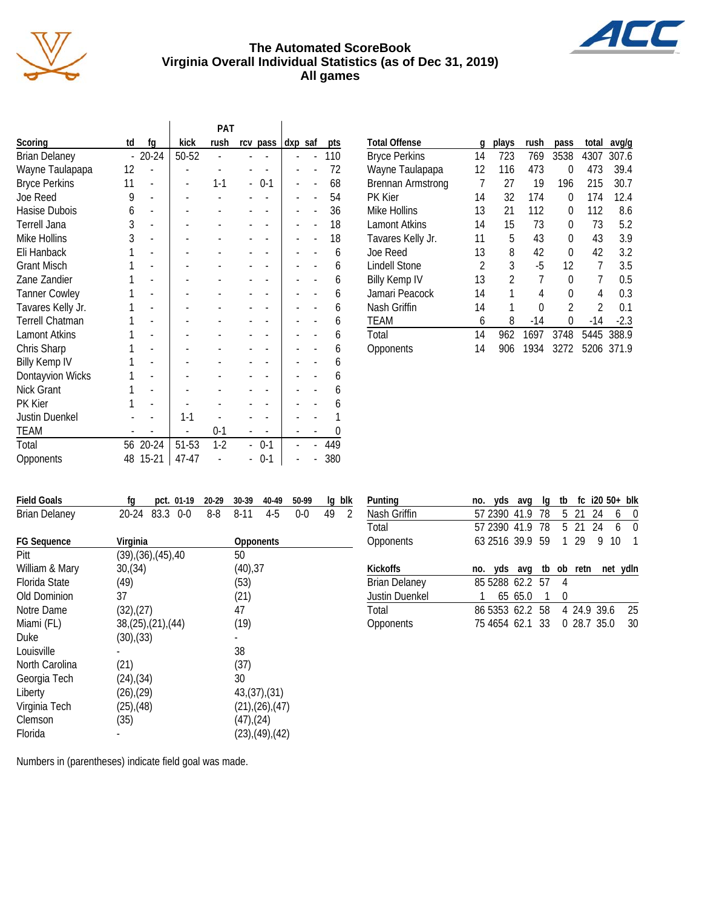



 $\mathbb{Z}$ 

| td             | kick                                  |         |                    |          | pts     |
|----------------|---------------------------------------|---------|--------------------|----------|---------|
| $\overline{a}$ | 50-52                                 |         |                    |          | 110     |
| 12             |                                       |         |                    |          | 72      |
| 11             |                                       | $1 - 1$ | $0-1$              |          | 68      |
| 9              |                                       |         |                    |          | 54      |
| 6              |                                       |         |                    |          | 36      |
| 3              |                                       |         |                    |          | 18      |
| 3              |                                       |         |                    |          | 18      |
| 1              |                                       |         |                    |          | 6       |
|                |                                       |         |                    |          | 6       |
|                |                                       |         |                    |          | 6       |
|                |                                       |         |                    |          | 6       |
|                |                                       |         |                    |          | 6       |
|                |                                       |         |                    |          | 6       |
|                |                                       |         |                    |          | 6       |
|                |                                       |         |                    |          | 6       |
|                |                                       |         |                    |          | 6       |
|                |                                       |         |                    |          | 6       |
| 1              |                                       |         |                    |          | 6       |
| 1              |                                       |         |                    |          | 6       |
|                | $1 - 1$                               |         |                    |          |         |
|                |                                       | $0 - 1$ |                    |          | 0       |
| 56             | 51-53                                 | $1-2$   | $0 - 1$            |          | 449     |
| 48             | 47-47                                 |         | $0 - 1$            |          | 380     |
|                | fg<br>$20 - 24$<br>20-24<br>$15 - 21$ |         | <b>PAT</b><br>rush | rcv pass | dxp saf |

| <b>Total Offense</b>     | g  | plays          | rush  | pass           | total          | avg/g  |
|--------------------------|----|----------------|-------|----------------|----------------|--------|
| <b>Bryce Perkins</b>     | 14 | 723            | 769   | 3538           | 4307           | 307.6  |
| Wayne Taulapapa          | 12 | 116            | 473   | 0              | 473            | 39.4   |
| <b>Brennan Armstrong</b> | 7  | 27             | 19    | 196            | 215            | 30.7   |
| <b>PK Kier</b>           | 14 | 32             | 174   | 0              | 174            | 12.4   |
| Mike Hollins             | 13 | 21             | 112   | 0              | 112            | 8.6    |
| <b>Lamont Atkins</b>     | 14 | 15             | 73    | 0              | 73             | 5.2    |
| Tavares Kelly Jr.        | 11 | 5              | 43    | 0              | 43             | 3.9    |
| Joe Reed                 | 13 | 8              | 42    | 0              | 42             | 3.2    |
| <b>Lindell Stone</b>     | 2  | 3              | $-5$  | 12             | 7              | 3.5    |
| <b>Billy Kemp IV</b>     | 13 | $\overline{2}$ | 7     | 0              | 7              | 0.5    |
| Jamari Peacock           | 14 | 1              | 4     | 0              | 4              | 0.3    |
| Nash Griffin             | 14 | 1              | 0     | $\mathfrak{D}$ | $\mathfrak{D}$ | 0.1    |
| <b>TEAM</b>              | 6  | 8              | $-14$ | 0              | $-14$          | $-2.3$ |
| Total                    | 14 | 962            | 1697  | 3748           | 5445           | 388.9  |
| Opponents                | 14 | 906            | 1934  | 3272           | 5206           | 371.9  |

| <b>Field Goals</b>   | fg<br>pct. 01-19                | 20-29 | 30-39           | 40-49                    | 50-99 | blk<br>lg |
|----------------------|---------------------------------|-------|-----------------|--------------------------|-------|-----------|
| <b>Brian Delaney</b> | 83.3 0-0<br>$20 - 24$           | 8-8   | 8-11            | 4-5                      | $0-0$ | 49<br>2   |
| <b>FG Sequence</b>   | Virginia                        |       | Opponents       |                          |       |           |
| Pitt                 | $(39)$ , $(36)$ , $(45)$ , $40$ |       | 50              |                          |       |           |
| William & Mary       | 30(34)                          |       | (40), 37        |                          |       |           |
| <b>Florida State</b> | (49)                            |       | (53)            |                          |       |           |
| Old Dominion         | 37                              |       | (21)            |                          |       |           |
| Notre Dame           | (32),(27)                       |       | 47              |                          |       |           |
| Miami (FL)           | 38,(25),(21),(44)               |       | (19)            |                          |       |           |
| <b>Duke</b>          | (30),(33)                       |       |                 |                          |       |           |
| Louisville           |                                 |       | 38              |                          |       |           |
| North Carolina       | (21)                            |       | (37)            |                          |       |           |
| Georgia Tech         | $(24)$ , $(34)$                 |       | 30              |                          |       |           |
| Liberty              | $(26)$ , $(29)$                 |       |                 | 43(37)(31)               |       |           |
| Virginia Tech        | $(25)$ , $(48)$                 |       |                 | $(21)$ , $(26)$ , $(47)$ |       |           |
| Clemson              | (35)                            |       | $(47)$ , $(24)$ |                          |       |           |
| Florida              |                                 |       |                 | $(23)$ , $(49)$ , $(42)$ |       |           |

| Punting               | no. yds avg                     |         | la | tb  |         |   |    | $fc$ i20 50+ blk |
|-----------------------|---------------------------------|---------|----|-----|---------|---|----|------------------|
| Nash Griffin          | 57 2390 41.9 78                 |         |    |     | 5 21 24 |   | 6  | $\bf{0}$         |
| Total                 | 57 2390 41.9 78 5 21 24         |         |    |     |         |   | 6  | $\Omega$         |
| Opponents             | 63 2516 39.9 59                 |         |    |     | 1 29    | 9 | 10 | $\mathbf{1}$     |
|                       |                                 |         |    |     |         |   |    |                  |
| <b>Kickoffs</b>       | no. yds avg tb ob retn net ydln |         |    |     |         |   |    |                  |
| <b>Brian Delaney</b>  | 85 5288 62.2 57                 |         |    | - 4 |         |   |    |                  |
| <b>Justin Duenkel</b> |                                 | 65 65.0 |    | 0   |         |   |    |                  |
| Total                 | 86 5353 62.2 58 4 24.9 39.6     |         |    |     |         |   |    | 25               |

Numbers in (parentheses) indicate field goal was made.

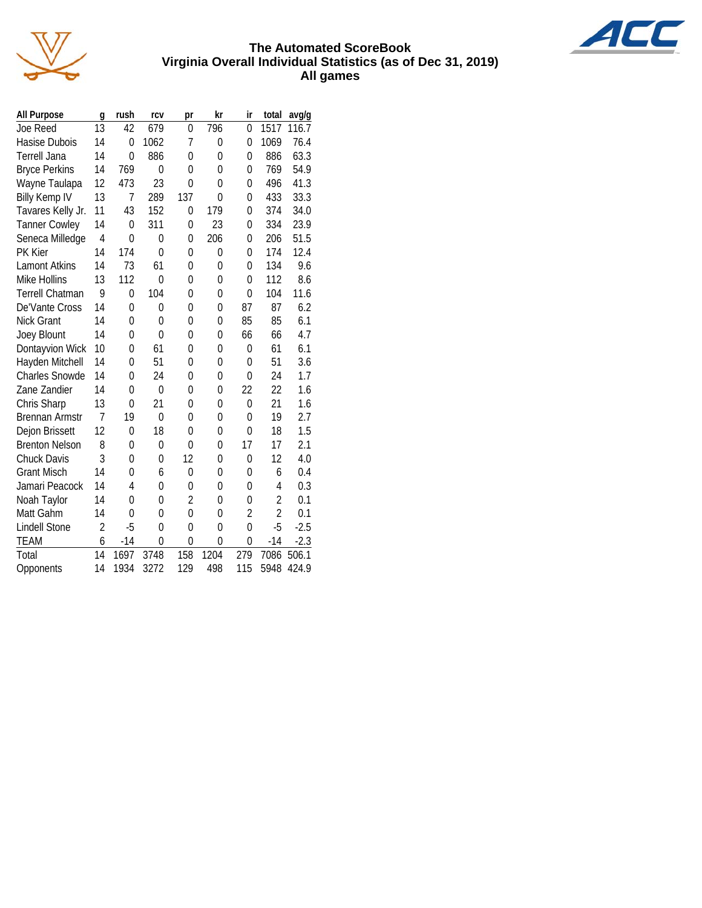



| <b>All Purpose</b>     | g              | rush           | rcv            | pr             | kr       | ir             | total          | avg/g  |
|------------------------|----------------|----------------|----------------|----------------|----------|----------------|----------------|--------|
| Joe Reed               | 13             | 42             | 679            | 0              | 796      | $\Omega$       | 1517           | 116.7  |
| Hasise Dubois          | 14             | 0              | 1062           | 7              | 0        | 0              | 1069           | 76.4   |
| <b>Terrell Jana</b>    | 14             | $\Omega$       | 886            | 0              | 0        | $\Omega$       | 886            | 63.3   |
| <b>Bryce Perkins</b>   | 14             | 769            | $\overline{0}$ | 0              | $\Omega$ | $\Omega$       | 769            | 54.9   |
| Wayne Taulapa          | 12             | 473            | 23             | 0              | 0        | $\Omega$       | 496            | 41.3   |
| <b>Billy Kemp IV</b>   | 13             | 7              | 289            | 137            | 0        | $\Omega$       | 433            | 33.3   |
| Tavares Kelly Jr.      | 11             | 43             | 152            | 0              | 179      | $\Omega$       | 374            | 34.0   |
| <b>Tanner Cowley</b>   | 14             | 0              | 311            | 0              | 23       | 0              | 334            | 23.9   |
| Seneca Milledge        | $\overline{4}$ | $\Omega$       | $\overline{0}$ | $\overline{0}$ | 206      | $\Omega$       | 206            | 51.5   |
| PK Kier                | 14             | 174            | $\overline{0}$ | 0              | 0        | 0              | 174            | 12.4   |
| <b>Lamont Atkins</b>   | 14             | 73             | 61             | $\Omega$       | $\Omega$ | $\Omega$       | 134            | 9.6    |
| <b>Mike Hollins</b>    | 13             | 112            | 0              | 0              | $\Omega$ | $\Omega$       | 112            | 8.6    |
| <b>Terrell Chatman</b> | 9              | 0              | 104            | 0              | 0        | 0              | 104            | 11.6   |
| De'Vante Cross         | 14             | $\Omega$       | 0              | $\Omega$       | $\Omega$ | 87             | 87             | 6.2    |
| <b>Nick Grant</b>      | 14             | $\overline{0}$ | $\overline{0}$ | 0              | $\Omega$ | 85             | 85             | 6.1    |
| Joey Blount            | 14             | 0              | 0              | 0              | 0        | 66             | 66             | 4.7    |
| Dontayvion Wick        | 10             | $\Omega$       | 61             | 0              | $\Omega$ | 0              | 61             | 6.1    |
| Hayden Mitchell        | 14             | $\Omega$       | 51             | $\Omega$       | $\Omega$ | 0              | 51             | 3.6    |
| <b>Charles Snowde</b>  | 14             | 0              | 24             | 0              | 0        | $\Omega$       | 24             | 1.7    |
| Zane Zandier           | 14             | $\overline{0}$ | $\overline{0}$ | $\Omega$       | $\Omega$ | 22             | 22             | 1.6    |
| Chris Sharp            | 13             | 0              | 21             | $\Omega$       | 0        | 0              | 21             | 1.6    |
| <b>Brennan Armstr</b>  | $\overline{7}$ | 19             | $\mathbf{0}$   | 0              | $\Omega$ | 0              | 19             | 2.7    |
| Dejon Brissett         | 12             | $\Omega$       | 18             | $\Omega$       | $\Omega$ | $\Omega$       | 18             | 1.5    |
| <b>Brenton Nelson</b>  | 8              | $\Omega$       | 0              | $\Omega$       | 0        | 17             | 17             | 2.1    |
| Chuck Davis            | 3              | $\Omega$       | $\Omega$       | 12             | $\Omega$ | $\Omega$       | 12             | 4.0    |
| <b>Grant Misch</b>     | 14             | 0              | 6              | 0              | 0        | $\Omega$       | 6              | 0.4    |
| Jamari Peacock         | 14             | 4              | 0              | 0              | 0        | $\Omega$       | 4              | 0.3    |
| Noah Taylor            | 14             | 0              | 0              | $\overline{2}$ | $\Omega$ | $\Omega$       | $\overline{2}$ | 0.1    |
| Matt Gahm              | 14             | 0              | 0              | $\overline{0}$ | 0        | $\overline{2}$ | $\overline{2}$ | 0.1    |
| <b>Lindell Stone</b>   | $\overline{2}$ | $-5$           | $\Omega$       | $\Omega$       | $\Omega$ | $\overline{0}$ | $-5$           | $-2.5$ |
| <b>TEAM</b>            | 6              | $-14$          | $\Omega$       | $\Omega$       | 0        | $\Omega$       | $-14$          | $-2.3$ |
| Total                  | 14             | 1697           | 3748           | 158            | 1204     | 279            | 7086           | 506.1  |
| Opponents              | 14             | 1934           | 3272           | 129            | 498      | 115            | 5948           | 424.9  |

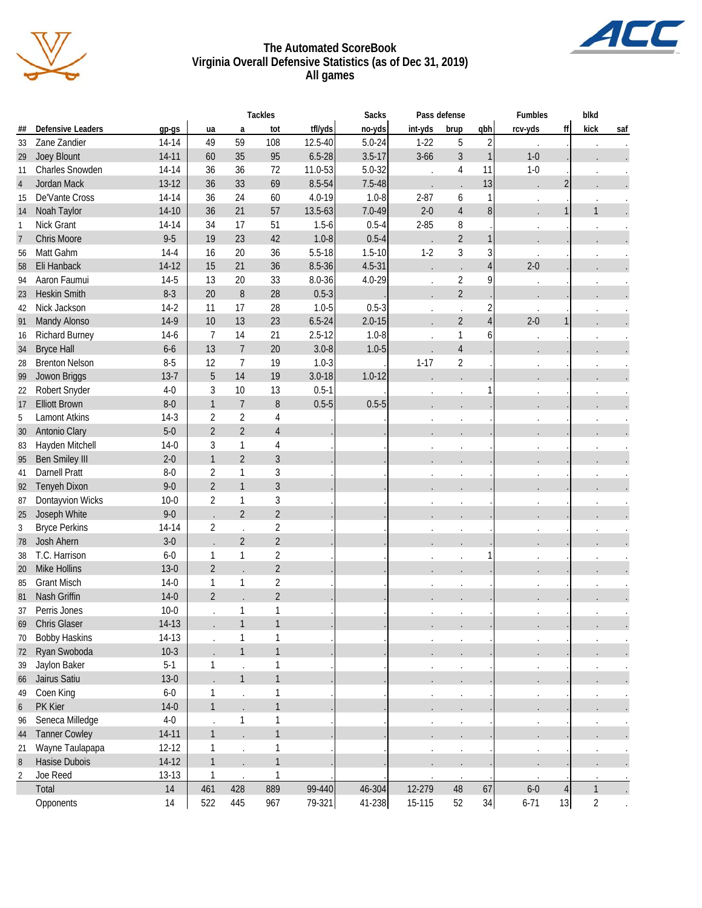

#### **The Automated ScoreBook Virginia Overall Defensive Statistics (as of Dec 31, 2019) All games**

|                |                                 |           |                |                | <b>Tackles</b> |            | <b>Sacks</b> | Pass defense |                |                | <b>Fumbles</b>       |                | blkd           |     |
|----------------|---------------------------------|-----------|----------------|----------------|----------------|------------|--------------|--------------|----------------|----------------|----------------------|----------------|----------------|-----|
| ##             | <b>Defensive Leaders</b>        | gp-gs     | ua             | a              | tot            | tfl/yds    | no-yds       | int-yds      | brup           | qbh            | rcv-yds              | ff             | kick           | saf |
| 33             | Zane Zandier                    | $14 - 14$ | 49             | 59             | 108            | 12.5-40    | $5.0 - 24$   | $1 - 22$     | 5              | $\overline{2}$ |                      |                |                |     |
| 29             | Joey Blount                     | $14 - 11$ | 60             | 35             | 95             | $6.5 - 28$ | $3.5 - 17$   | $3 - 66$     | $\mathfrak{Z}$ | $\mathbf{1}$   | $1 - 0$              |                |                |     |
| 11             | Charles Snowden                 | 14-14     | 36             | 36             | 72             | 11.0-53    | $5.0 - 32$   |              | 4              | 11             | $1 - 0$              |                |                |     |
| 4              | Jordan Mack                     | $13 - 12$ | 36             | 33             | 69             | 8.5-54     | $7.5 - 48$   |              |                | 13             |                      | $\overline{c}$ |                |     |
| 15             | De'Vante Cross                  | 14-14     | 36             | 24             | 60             | $4.0 - 19$ | $1.0 - 8$    | $2 - 87$     | 6              | 1              |                      |                |                |     |
| 14             | Noah Taylor                     | $14-10$   | 36             | 21             | 57             | 13.5-63    | 7.0-49       | $2 - 0$      | $\overline{4}$ | 8              |                      | 1              | $\mathbf{1}$   |     |
| 1              | Nick Grant                      | 14-14     | 34             | 17             | 51             | $1.5 - 6$  | $0.5 - 4$    | $2 - 85$     | 8              |                |                      |                |                |     |
| $\overline{7}$ | Chris Moore                     | $9 - 5$   | 19             | 23             | 42             | $1.0 - 8$  | $0.5 - 4$    |              | $\overline{2}$ |                |                      |                |                |     |
| 56             | Matt Gahm                       | $14 - 4$  | 16             | 20             | 36             | $5.5 - 18$ | $1.5 - 10$   | $1 - 2$      | 3              |                |                      |                |                |     |
| 58             | Eli Hanback                     | 14-12     | 15             | 21             | 36             | $8.5 - 36$ | $4.5 - 31$   |              |                | 4              | $2 - 0$              |                |                |     |
| 94             | Aaron Faumui                    | $14-5$    | 13             | 20             | 33             | $8.0 - 36$ | $4.0 - 29$   | $\cdot$      | $\sqrt{2}$     | 9              |                      |                |                |     |
| 23             | <b>Heskin Smith</b>             | $8 - 3$   | 20             | 8              | 28             | $0.5 - 3$  |              |              | $\overline{2}$ |                |                      |                |                |     |
| 42             | Nick Jackson                    | $14-2$    | 11             | 17             | 28             | $1.0 - 5$  | $0.5 - 3$    | $\cdot$      |                | 2              |                      |                |                |     |
| 91             | Mandy Alonso                    | $14-9$    | 10             | 13             | 23             | $6.5 - 24$ | $2.0 - 15$   |              | $\overline{2}$ | 4              | $2 - 0$              | $\mathbf{1}$   |                |     |
| 16             | Richard Burney                  | $14-6$    | $\overline{7}$ | 14             | 21             | $2.5 - 12$ | $1.0 - 8$    | $\cdot$      | $\mathbf{1}$   | 6              |                      |                |                |     |
| 34             | <b>Bryce Hall</b>               | $6-6$     | 13             | $\overline{7}$ | 20             | $3.0 - 8$  | $1.0 - 5$    |              | $\sqrt{4}$     |                |                      |                |                |     |
| 28             | <b>Brenton Nelson</b>           | $8-5$     | 12             | 7              | 19             | $1.0 - 3$  |              | $1 - 17$     | $\sqrt{2}$     |                |                      |                |                |     |
| 99             | Jowon Briggs                    | $13 - 7$  | 5              | 14             | 19             | $3.0 - 18$ | $1.0 - 12$   |              |                |                |                      |                |                |     |
| 22             | Robert Snyder                   | $4 - 0$   | 3              | 10             | 13             | $0.5 - 1$  |              | $\cdot$      |                |                | $\cdot$              |                |                |     |
| 17             | <b>Elliott Brown</b>            | $8-0$     | $\mathbf{1}$   | $\overline{7}$ | $\, 8$         | $0.5 - 5$  | $0.5 - 5$    |              |                |                |                      |                |                |     |
| 5              | <b>Lamont Atkins</b>            | $14-3$    | $\overline{2}$ | $\overline{2}$ | 4              |            |              |              |                |                |                      |                |                |     |
| 30             | Antonio Clary                   | $5-0$     | $\overline{2}$ | $\overline{2}$ | $\overline{4}$ |            |              |              |                |                |                      |                |                |     |
| 83             | Hayden Mitchell                 | $14-0$    | 3              | 1              | 4              |            |              |              |                |                |                      |                |                |     |
| 95             | <b>Ben Smiley III</b>           | $2 - 0$   | $\mathbf{1}$   | $\overline{2}$ | $\overline{3}$ |            |              |              |                |                |                      |                |                |     |
| 41             | <b>Darnell Pratt</b>            | $8 - 0$   | $\overline{2}$ | 1              | 3              |            |              |              |                |                |                      |                |                |     |
| 92             | Tenyeh Dixon                    | $9 - 0$   | $\overline{2}$ | $\mathbf{1}$   | $\overline{3}$ |            |              |              |                |                |                      |                |                |     |
| 87             | Dontayvion Wicks                | $10 - 0$  | $\overline{2}$ | 1              | 3              |            |              |              |                |                |                      |                |                |     |
| 25             | Joseph White                    | $9 - 0$   |                | $\overline{2}$ | $\overline{2}$ |            |              |              |                |                | $\ddot{\phantom{0}}$ |                |                |     |
| 3              | <b>Bryce Perkins</b>            | 14-14     | $\sqrt{2}$     |                | $\overline{2}$ |            |              |              |                |                |                      |                |                |     |
| 78             | Josh Ahern                      | $3-0$     |                | $\overline{2}$ | $\overline{2}$ |            |              |              |                |                |                      |                |                |     |
| 38             | T.C. Harrison                   | $6 - 0$   | $\mathbf{1}$   | 1              | $\overline{2}$ |            |              |              |                |                |                      |                |                |     |
|                | Mike Hollins                    | $13-0$    | $\overline{2}$ |                | $\overline{2}$ |            |              | $\cdot$      |                |                | $\cdot$              |                |                |     |
| 20             | <b>Grant Misch</b>              | $14-0$    | $\mathbf{1}$   | 1              | $\overline{2}$ |            |              |              |                |                |                      |                |                |     |
| 85             | Nash Griffin                    | $14-0$    | $\overline{2}$ |                | $\overline{2}$ |            |              |              |                |                |                      |                |                |     |
| 81             |                                 | $10-0$    |                | 1              | $\mathbf{1}$   |            |              |              |                |                |                      |                |                |     |
| 37             | Perris Jones<br>69 Chris Glaser |           |                | $\mathbf{1}$   | $\mathbf{1}$   |            |              |              |                |                |                      |                |                |     |
|                |                                 | $14-13$   |                |                |                |            |              |              |                |                |                      |                |                |     |
| 70             | <b>Bobby Haskins</b>            | 14-13     |                | 1              | $\mathbf{1}$   |            |              |              |                |                | $\cdot$              |                |                |     |
| 72             | Ryan Swoboda                    | $10-3$    |                | $\mathbf{1}$   | $\mathbf{1}$   |            |              |              |                |                |                      |                |                |     |
| 39             | Jaylon Baker                    | $5-1$     | 1              |                | $\mathbf{1}$   |            |              |              |                |                | $\bullet$            |                |                |     |
| 66             | Jairus Satiu                    | $13-0$    |                | $\mathbf{1}$   | $\mathbf{1}$   |            |              |              |                |                |                      |                |                |     |
| 49             | Coen King                       | $6-0$     | 1              |                | $\mathbf{1}$   |            |              | $\cdot$      |                |                | $\cdot$              |                |                |     |
| 6              | PK Kier                         | $14-0$    | $\mathbf{1}$   |                | $\mathbf{1}$   |            |              |              |                |                |                      |                |                |     |
| 96             | Seneca Milledge                 | $4-0$     |                | $\mathbf{1}$   | $\mathbf{1}$   |            |              |              |                |                | $\bullet$            |                |                |     |
| 44             | <b>Tanner Cowley</b>            | $14 - 11$ | $\mathbf{1}$   |                | $\mathbf{1}$   |            |              |              |                |                |                      |                |                |     |
| 21             | Wayne Taulapapa                 | $12 - 12$ | 1              |                | $\mathbf{1}$   |            |              | $\cdot$      |                |                |                      |                |                |     |
| 8              | Hasise Dubois                   | $14-12$   | $\mathbf{1}$   |                | $\mathbf{1}$   |            |              |              |                |                |                      |                |                |     |
| $\overline{2}$ | Joe Reed                        | $13-13$   | $\mathbf{1}$   |                | 1              |            |              |              |                |                |                      |                |                |     |
|                | Total                           | 14        | 461            | 428            | 889            | 99-440     | 46-304       | 12-279       | 48             | 67             | $6-0$                | $\overline{4}$ | $\mathbf{1}$   |     |
|                | Opponents                       | 14        | 522            | 445            | 967            | 79-321     | 41-238       | 15-115       | 52             | 34             | $6 - 71$             | 13             | $\overline{2}$ |     |

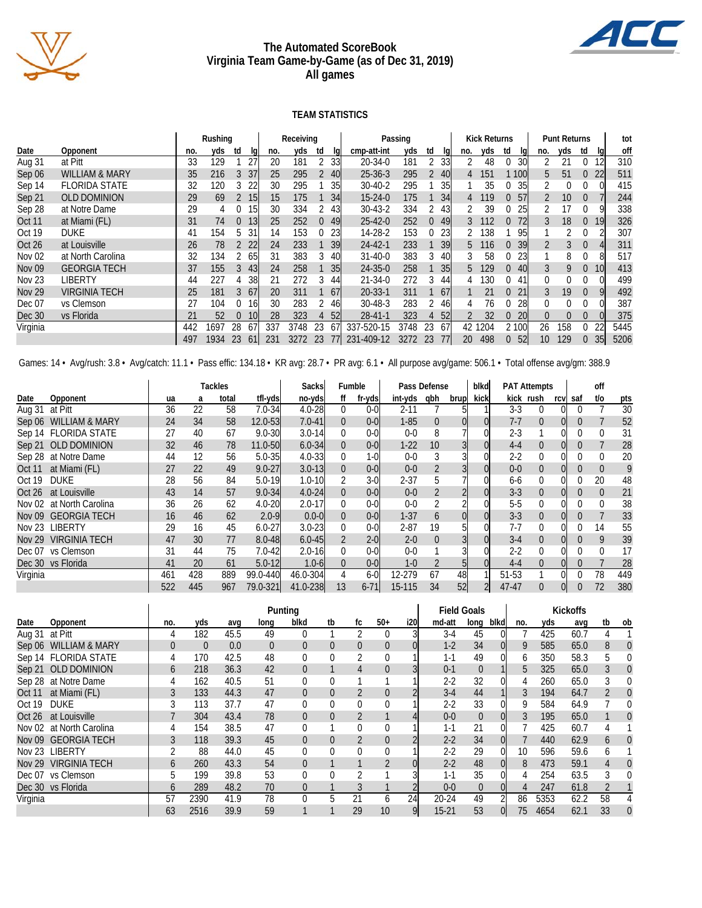

#### **The Automated ScoreBook Virginia Team Game-by-Game (as of Dec 31, 2019) All games**

AL

#### **TEAM STATISTICS**

|                                  |                                |     | Rushing |          |                 |     | Receiving |          |                 |               | Passing |                |      |          | <b>Kick Returns</b> |       |            |                 | <b>Punt Returns</b> |          |     | tot  |
|----------------------------------|--------------------------------|-----|---------|----------|-----------------|-----|-----------|----------|-----------------|---------------|---------|----------------|------|----------|---------------------|-------|------------|-----------------|---------------------|----------|-----|------|
| Date                             | Opponent                       | no. | yds     | td       | lal             | no. | yds       | td       | lal             | cmp-att-int   | yds     | td             | lal  | no.      | yds                 | td    | lql        | no.             | yds                 | td       | lal | off  |
| Aug 31                           | at Pitt                        | 33  | 129     |          | 27              | 20  | 181       |          | <b>33</b>       | $20 - 34 - 0$ | 181     |                | 33   |          | 48                  |       | 30l        |                 | 21                  |          |     | 310  |
| Sep 06                           | <b>WILLIAM &amp; MARY</b>      | 35  | 216     | 3        | 37              | 25  | 295       |          | 40l             | $25 - 36 - 3$ | 295     | $\overline{2}$ | -401 | 4        | 151                 |       | <b>100</b> | 5               | 51                  | $\Omega$ | 22  | 511  |
| Sep 14                           | <b>FLORIDA STATE</b>           | 32  | 120     |          | 22              | 30  | 295       |          | 35I             | $30 - 40 - 2$ | 295     |                | 35   |          | 35                  |       | 35         |                 |                     |          |     | 415  |
| Sep 21                           | <b>OLD DOMINION</b>            | 29  | 69      |          | <b>15</b>       | 15  | 175       |          | 34              | $15 - 24 - 0$ | 175     |                | 34   | 4        | 19                  | 0     | 57         | $\overline{2}$  | 10                  | $\Omega$ |     | 244  |
| Sep 28                           | at Notre Dame                  | 29  | 4       |          | 15 <sub>l</sub> | 30  | 334       |          | 431             | $30 - 43 - 2$ | 334     |                | 43   |          | 39                  |       | 25         |                 | 17                  | $\Omega$ |     | 338  |
| <b>Oct 11</b>                    | at Miami (FL)                  | 31  | 74      | $\Omega$ | 13 <sup>l</sup> | 25  | 252       | $\Omega$ | 49              | $25 - 42 - 0$ | 252     | $\Omega$       | 49   | 3        | 112                 | 0     | 72         | 3               | 18                  | $\Omega$ | 19  | 326  |
| Oct 19                           | 154<br><b>DUKE</b><br>41<br>h. |     |         | 31       | 14              | 153 |           | 23       | 14-28-2         | 153           |         | 23             |      | 138      |                     | 95    |            |                 |                     |          | 307 |      |
| Oct 26                           | at Louisville                  | 26  | 78      |          | <b>22</b>       | 24  | 233       |          | 39              | $24 - 42 - 1$ | 233     |                | 39   | 5        | 116                 | 0     | 39         |                 |                     | $\Omega$ |     | 311  |
| <b>Nov 02</b>                    | at North Carolina              | 32  | 134     |          | -65I            | 31  | 383       |          | 40I             | $31 - 40 - 0$ | 383     | 3              | 40   |          | 58                  |       | 23         |                 | 8                   |          |     | 517  |
| <b>Nov 09</b>                    | <b>GEORGIA TECH</b>            | 37  | 155     | 3        | 43              | 24  | 258       |          | 35 <sub>l</sub> | $24 - 35 - 0$ | 258     |                | 35   | <u>5</u> | 129                 | 0     | 40l        | 3               | 9                   | $\Omega$ | 10  | 413  |
| <b>Nov 23</b>                    | LIBERTY                        | 44  | 227     |          | 38              | 21  | 272       |          | 44l             | $21 - 34 - 0$ | 272     | 3              | 44   | 4        | 130                 |       | 41         | 0               | 0                   | $\Omega$ |     | 499  |
| <b>Nov 29</b>                    | <b>VIRGINIA TECH</b>           | 25  | 181     | 3        | 67              | 20  | 311       |          | 67              | $20 - 33 - 1$ | 311     |                | 67   |          | 21                  | 0     | 21         | 3               | 19                  | $\Omega$ |     | 492  |
| Dec 07                           | vs Clemson                     | 27  | 104     |          | 161             | 30  | 283       |          | 46I             | $30 - 48 - 3$ | 283     |                | 46   |          | 76                  |       | 28         |                 |                     |          |     | 387  |
| 52<br>Dec 30<br>vs Florida<br>21 |                                |     |         | 10       | 28              | 323 |           | 52       | $28 - 41 - 1$   | 323           | 4       | 52             |      | 32       | 0                   | 20    | 0          |                 |                     |          | 375 |      |
| Virginia<br>442<br>28<br>1697    |                                |     |         |          | 67              | 337 | 3748      | 23       | 67              | 337-520-15    | 3748    | 23             | 67   | 42       | 1204                | 2 100 |            | 26              | 158                 | $\Omega$ | 22  | 5445 |
|                                  |                                | 497 | 1934    | 23       | 61              | 231 | 3272      | 23       |                 | 231-409-12    | 3272    | 23             | 77   | 20       | 498                 | 0     | 52         | 10 <sup>°</sup> | 129                 |          | 35  | 5206 |

Games: 14 · Avg/rush: 3.8 · Avg/catch: 11.1 · Pass effic: 134.18 · KR avg: 28.7 · PR avg: 6.1 · All purpose avg/game: 506.1 · Total offense avg/gm: 388.9

|                |                          |     |     | Tackles |             | Sacksl     | Fumble   |          |          | Pass Defense |                | blkd |           | <b>PAT Attempts</b> |      |     | off      |     |
|----------------|--------------------------|-----|-----|---------|-------------|------------|----------|----------|----------|--------------|----------------|------|-----------|---------------------|------|-----|----------|-----|
| Date           | Opponent                 | ua  | a   | total   | tfl-yds     | no-yds     | ff       | fr-yds   | int-yds  | qbh          | brup           | kick |           | kick rush           | rcvl | saf | t/o      | pts |
| Aug 31 at Pitt |                          | 36  | 22  | 58      | $7.0 - 34$  | $4.0 - 28$ | $\Omega$ | $0 - 0$  | $2 - 11$ |              | 5              |      | $3-3$     | 0                   |      |     |          | 30  |
|                | Sep 06 WILLIAM & MARY    | 24  | 34  | 58      | 12.0-53     | $7.0 - 41$ | $\Omega$ | $0-0$    | $1 - 85$ | 0            |                |      | $7 - 7$   | 0                   |      |     |          | 52  |
|                | Sep 14 FLORIDA STATE     | 27  | 40  | 67      | $9.0 - 30$  | $3.0 - 14$ | 0        | $0 - 0$  | $0 - 0$  | 8            |                |      | $2 - 3$   |                     |      |     | $\Omega$ | 31  |
|                | Sep 21 OLD DOMINION      | 32  | 46  | 78      | $11.0 - 50$ | $6.0 - 34$ | $\Omega$ | $0-0$    | $1-22$   | 10           | $\overline{3}$ |      | $4 - 4$   | $\Omega$            |      | U   |          | 28  |
|                | Sep 28 at Notre Dame     | 44  | 12  | 56      | $5.0 - 35$  | $4.0 - 33$ | 0        | $1 - 0$  | $0 - 0$  |              |                |      | $2-2$     |                     |      |     | 0        | 20  |
| <b>Oct 11</b>  | at Miami (FL)            | 27  | 22  | 49      | $9.0 - 27$  | $3.0 - 13$ | $\Omega$ | $0-0$    | $0 - 0$  |              |                |      | $0-0$     | $\Omega$            |      |     | $\Omega$ | 9   |
| Oct 19         | <b>DUKE</b>              | 28  | 56  | 84      | $5.0 - 19$  | $1.0 - 10$ |          | $3-0$    | $2 - 37$ |              |                |      | 6-6       |                     |      |     | 20       | 48  |
|                | Oct 26 at Louisville     | 43  | 14  | 57      | $9.0 - 34$  | $4.0 - 24$ | $\Omega$ | $0 - 01$ | $0 - 0$  |              | $\overline{2}$ |      | $3 - 3$   | $\overline{0}$      |      | U   | $\Omega$ | 21  |
|                | Nov 02 at North Carolina | 36  | 26  | 62      | $4.0 - 20$  | $2.0 - 17$ | $\Omega$ | $0 - 0$  | $0 - 0$  |              |                |      | $5-5$     | 0                   |      |     | $\Omega$ | 38  |
|                | Nov 09 GEORGIA TECH      | 16  | 46  | 62      | $2.0 - 9$   | $0.0 - 0$  | $\Omega$ | $0-0$    | $1 - 37$ | <sub>b</sub> | $\Omega$       |      | $3 - 3$   | $\Omega$            |      | U   |          | 33  |
|                | Nov 23 LIBERTY           | 29  | 16  | 45      | $6.0 - 27$  | $3.0 - 23$ | $\Omega$ | $0 - 0$  | $2 - 87$ | 19           | 5              |      | $7-7$     | $\Omega$            |      |     | 14       | 55  |
|                | Nov 29 VIRGINIA TECH     | 47  | 30  | 77      | $8.0 - 48$  | $6.0 - 45$ |          | $2-0$    | $2 - 0$  | $\Omega$     |                |      | $3-4$     | $\Omega$            |      |     | 9        | 39  |
|                | Dec 07 vs Clemson        | 31  | 44  | 75      | $7.0 - 42$  | $2.0 - 16$ | $\Omega$ | $0 - 0$  | $0 - 0$  |              |                |      | $2-2$     | 0                   |      |     |          | 17  |
|                | Dec 30 vs Florida        | 41  | 20  | 61      | $5.0 - 12$  | $1.0 - 6$  | $\Omega$ | $0-0$    | $1 - 0$  |              | 5              |      | $4 - 4$   | $\Omega$            |      |     |          | 28  |
| Virginia       |                          | 461 | 428 | 889     | 99.0-440    | 46.0-304   | 4        | $6-0$    | 12-279   | 67           | 48             |      | 51-53     |                     |      |     | 78       | 449 |
|                |                          | 522 | 445 | 967     | 79.0-321    | 41.0-238   | 13       | $6 - 71$ | 15-115   | 34           | 52             |      | $47 - 47$ | $\Omega$            |      |     | 72       | 380 |

|                |                          |     |                |      |                | Punting        |                |          |              |      |           | <b>Field Goals</b> |      |     |      | <b>Kickoffs</b> |    |                |
|----------------|--------------------------|-----|----------------|------|----------------|----------------|----------------|----------|--------------|------|-----------|--------------------|------|-----|------|-----------------|----|----------------|
| Date           | Opponent                 | no. | yds            | avq  | long           | blkd           | tb             | fc       | $50+$        | i20l | md-att    | long               | blkd | no. | yds  | avq             | tb | ob             |
| Aug 31 at Pitt |                          |     | 182            | 45.5 | 49             |                |                |          |              |      | $3-4$     | 45                 |      |     | 425  | 60.7            | 4  |                |
|                | Sep 06 WILLIAM & MARY    |     | $\overline{0}$ | 0.0  | $\overline{0}$ | 0              | $\overline{0}$ | $\Omega$ | 0            | 0l   | $1 - 2$   | 34                 |      | 9   | 585  | 65.0            | 8  | $\Omega$       |
|                | Sep 14 FLORIDA STATE     |     | 170            | 42.5 | 48             |                | 0              |          |              |      | $1 - 1$   | 49                 |      | 6   | 350  | 58.3            | 5  |                |
|                | Sep 21 OLD DOMINION      | b   | 218            | 36.3 | 42             | 0              |                | 4        |              |      | $0 - 1$   | $\theta$           |      | 5   | 325  | 65.0            | 3  | $\theta$       |
|                | Sep 28 at Notre Dame     |     | 162            | 40.5 | 51             |                | 0              |          |              |      | $2 - 2$   | 32                 |      | 4   | 260  | 65.0            | 3  | 0              |
| Oct 11         | at Miami (FL)            |     | 133            | 44.3 | 47             | $\Omega$       | $\overline{0}$ | 2        |              |      | $3-4$     | 44                 |      | 3   | 194  | 64.7            | 2  | $\Omega$       |
| Oct 19         | <b>DUKE</b>              |     | 113            | 37.7 | 47             |                | 0              | 0        |              |      | $2 - 2$   | 33                 |      | 9   | 584  | 64.9            |    | $\Omega$       |
| Oct 26         | at Louisville            |     | 304            | 43.4 | 78             | $\overline{0}$ | $\overline{0}$ |          |              |      | $0 - 0$   | $\theta$           |      |     | 195  | 65.0            |    | $\Omega$       |
|                | Nov 02 at North Carolina |     | 154            | 38.5 | 47             |                |                | $\Omega$ |              |      | $1 - 1$   | 21                 |      |     | 425  | 60.7            | 4  |                |
|                | Nov 09 GEORGIA TECH      |     | 118            | 39.3 | 45             | $\overline{0}$ | $\overline{0}$ |          |              |      | $2 - 2$   | 34                 |      |     | 440  | 62.9            | 6  | $\overline{0}$ |
|                | Nov 23 LIBERTY           |     | 88             | 44.0 | 45             |                | 0              | $\Omega$ |              |      | $2-2$     | 29                 |      | 10  | 596  | 59.6            | 6  |                |
|                | Nov 29 VIRGINIA TECH     | 6   | 260            | 43.3 | 54             | $\Omega$       |                |          |              | 0l   | $2 - 2$   | 48                 |      | 8   | 473  | 59.1            | 4  | $\Omega$       |
|                | Dec 07 vs Clemson        | 5   | 199            | 39.8 | 53             |                | 0              |          |              |      | $1 - 1$   | 35                 |      | 4   | 254  | 63.5            | 3  | $\Omega$       |
|                | Dec 30 vs Florida        | 6   | 289            | 48.2 | 70             | $\Omega$       |                |          |              |      | $0 - 0$   | $\overline{0}$     |      | 4   | 247  | 61.8            | 2  |                |
| Virginia       |                          | 57  | 2390           | 41.9 | 78             |                | 5              | 21       | <sub>6</sub> | 24   | $20 - 24$ | 49                 |      | 86  | 5353 | 62.2            | 58 |                |
|                |                          | 63  | 2516           | 39.9 | 59             |                |                | 29       | 10           | 9    | $15 - 21$ | 53                 |      | 75  | 4654 | 62.1            | 33 | $\Omega$       |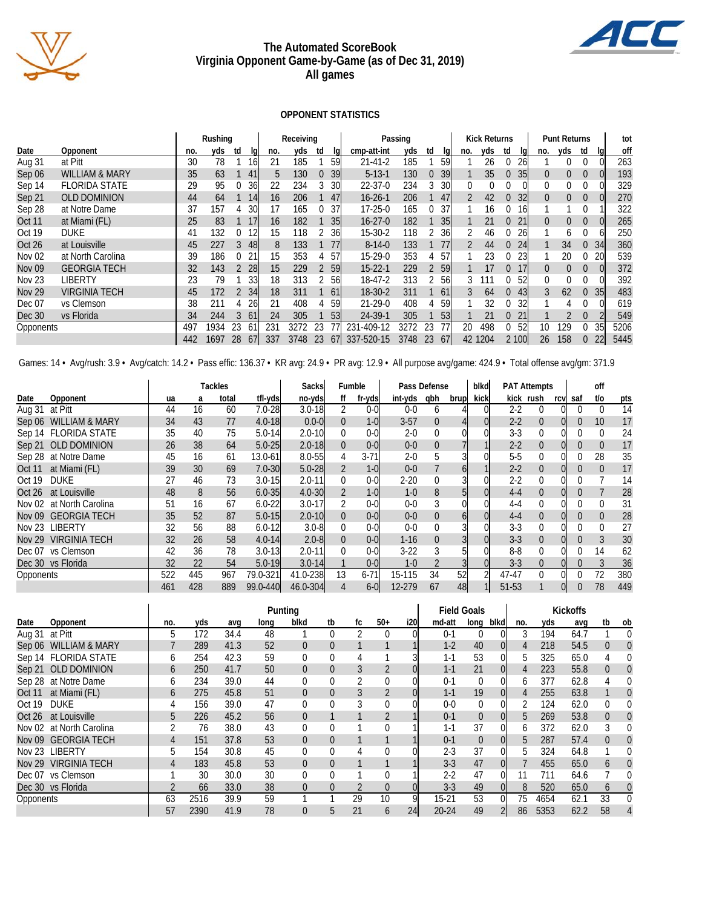

#### **The Automated ScoreBook Virginia Opponent Game-by-Game (as of Dec 31, 2019) All games**

#### **OPPONENT STATISTICS**

 $\overline{1}$ 

|               |                           |     | Rushing |               |                 |     | Receiving |          |                 | Passing       |      |          |      |     | <b>Kick Returns</b> |          |       |                 | <b>Punt Returns</b> |                  |                 | tot  |
|---------------|---------------------------|-----|---------|---------------|-----------------|-----|-----------|----------|-----------------|---------------|------|----------|------|-----|---------------------|----------|-------|-----------------|---------------------|------------------|-----------------|------|
| Date          | Opponent                  | no. | yds     | td            | lal             | no. | yds       | td       | lal             | cmp-att-int   | yds  | td       | lal  | no. | yds                 | td       | la    | no.             | yds                 | td               | lal             | off  |
| Aug 31        | at Pitt                   | 30  | 78      |               | 16 <sub>l</sub> | 21  | 185       |          | 59              | $21 - 41 - 2$ | 185  |          | 59   |     | 26                  |          | 26    |                 |                     |                  |                 | 263  |
| Sep 06        | <b>WILLIAM &amp; MARY</b> | 35  | 63      |               | 41              | 5   | 130       | $\Omega$ | 39              | $5 - 13 - 1$  | 130  | $\Omega$ | 39   |     | 35                  | 0        | 35    | $\Omega$        | 0                   | $\Omega$         | $\mathbf{U}$    | 193  |
| Sep 14        | <b>FLORIDA STATE</b>      | 29  | 95      |               | <b>36</b>       | 22  | 234       |          | 30              | $22 - 37 - 0$ | 234  | 3        | 30   |     |                     |          |       | 0               |                     |                  |                 | 329  |
| Sep 21        | <b>OLD DOMINION</b>       | 44  | 64      |               | 14              | 16  | 206       |          | 47              | $16 - 26 - 1$ | 206  |          | 47   |     | 42                  | 0        | 32    | $\Omega$        | $\Omega$            | $\Omega$         |                 | 270  |
| Sep 28        | at Notre Dame             | 37  | 157     |               | 30              | 17  | 165       |          | 37              | $17 - 25 - 0$ | 165  | 0        | 37   |     | 16                  |          | I6    |                 |                     |                  |                 | 322  |
| Oct 11        | at Miami (FL)             | 25  | 83      |               |                 | 16  | 182       |          | 35              | $16 - 27 - 0$ | 182  |          | 35   |     | 21                  | $\Omega$ |       | $\Omega$        | $\Omega$            | $\Omega$         |                 | 265  |
| Oct 19        | 132<br><b>DUKE</b><br>41  |     |         |               |                 | 15  | 118       |          | 36              | 15-30-2       | 118  |          | 36   |     | 46                  |          | 26    |                 | h.                  |                  |                 | 250  |
| Oct 26        | at Louisville             | 45  | 227     | $\mathcal{S}$ | 48              | 8   | 133       |          |                 | $8 - 14 - 0$  | 133  |          | 77   |     | 44                  | 0        | 24    |                 | 34                  |                  | 34              | 360  |
| <b>Nov 02</b> | at North Carolina         | 39  | 186     |               | 21              | 15  | 353       |          | 57              | 15-29-0       | 353  |          | 57   |     | 23                  |          | 23    |                 | 20                  |                  | 20              | 539  |
| <b>Nov 09</b> | <b>GEORGIA TECH</b>       | 32  | 143     |               | <b>28</b>       | 15  | 229       |          | 59              | $15 - 22 - 1$ | 229  |          | 2 59 |     | 17                  | 0        |       | $\Omega$        | $\Omega$            | $\Omega$         |                 | 372  |
| <b>Nov 23</b> | LIBERTY                   | 23  | 79      |               | 331             | 18  | 313       |          | 56              | $18-47-2$     | 313  |          | 56   | 3   | 111                 |          | 52    | 0               |                     |                  |                 | 392  |
| <b>Nov 29</b> | <b>VIRGINIA TECH</b>      | 45  | 172     |               | 34              | 18  | 311       |          | 61              | $18 - 30 - 2$ | 311  |          | 61   | 3   | 64                  | 0        | 43    | 3               | 62                  | $\left( \right)$ | 35 <sup>1</sup> | 483  |
| Dec 07        | vs Clemson                | 38  | 211     |               | 26              | 21  | 408       |          | 59              | $21 - 29 - 0$ | 408  |          | 59   |     | 32                  |          | 32    |                 |                     |                  |                 | 619  |
| Dec 30        | vs Florida                | 34  | 244     |               | 61              | 24  | 305       |          | 53              | 24-39-1       | 305  |          | 53   |     | 21                  | 0        |       |                 |                     |                  |                 | 549  |
| Opponents     |                           | 497 | 1934    | 23            | 61              | 231 | 3272      | 23       |                 | 231-409-12    | 3272 | 23       | 77   | 20  | 498                 |          | 52    | 10 <sup>°</sup> | 129                 |                  | 35              | 5206 |
|               |                           | 442 | 1697    | 28            | <sup>67</sup>   | 337 | 3748      | 23       | 67 <sup>1</sup> | 337-520-15    | 3748 | 23       | 67   |     | 42 1204             |          | 2 100 | 26              | 158                 |                  | 22              | 5445 |

Games: 14 · Avg/rush: 3.9 · Avg/catch: 14.2 · Pass effic: 136.37 · KR avg: 24.9 · PR avg: 12.9 · All purpose avg/game: 424.9 · Total offense avg/gm: 371.9

|                |                          |     |     | Tackles |            | Sacksl     | Fumble   |          |          | Pass Defense |                | blkd |         | <b>PAT Attempts</b> |      |     | off      |     |
|----------------|--------------------------|-----|-----|---------|------------|------------|----------|----------|----------|--------------|----------------|------|---------|---------------------|------|-----|----------|-----|
| Date           | Opponent                 | ua  | a   | total   | tfl-yds    | no-yds     | ff       | fr-yds   | int-yds  | qbh          | brup           | kick |         | kick rush           | rcvl | saf | t/o      | pts |
| Aug 31 at Pitt |                          | 44  | 16  | 60      | $7.0 - 28$ | $3.0 - 18$ | 2        | $0 - 0$  | $0 - 0$  | <sub>b</sub> |                |      | $2-2$   | $\Omega$            |      |     | $\Omega$ | 14  |
|                | Sep 06 WILLIAM & MARY    | 34  | 43  | 77      | $4.0 - 18$ | $0.0 - 0$  | $\Omega$ | $1-0$    | $3-57$   | $\Omega$     |                |      | $2 - 2$ | 0                   |      | 0   | 10       | 17  |
|                | Sep 14 FLORIDA STATE     | 35  | 40  | 75      | $5.0 - 14$ | $2.0 - 10$ | $\Omega$ | $0 - 0$  | $2 - 0$  |              |                |      | $3-3$   | 0                   |      |     |          | 24  |
|                | Sep 21 OLD DOMINION      | 26  | 38  | 64      | $5.0 - 25$ | $2.0 - 18$ | $\Omega$ | $0-0$    | $0 - 0$  | 0            |                |      | $2 - 2$ | $\Omega$            |      | 0   | $\Omega$ | 17  |
|                | Sep 28 at Notre Dame     | 45  | 16  | 61      | 13.0-61    | $8.0 - 55$ |          | $3 - 71$ | $2 - 0$  |              |                |      | $5-5$   |                     |      |     | 28       | 35  |
| <b>Oct 11</b>  | at Miami (FL)            | 39  | 30  | 69      | $7.0 - 30$ | $5.0 - 28$ |          | $1-0$    | $0 - 0$  |              | 6              |      | $2 - 2$ | $\Omega$            |      |     | $\Omega$ | 17  |
| Oct 19         | <b>DUKE</b>              | 27  | 46  | 73      | $3.0 - 15$ | $2.0 - 11$ | 0        | $0 - 0$  | $2 - 20$ |              |                |      | $2 - 2$ | 0                   |      |     |          | 14  |
|                | Oct 26 at Louisville     | 48  | 8   | 56      | $6.0 - 35$ | $4.0 - 30$ |          | $1 - 0$  | $1 - 0$  | 8            | 5 <sub>l</sub> |      | $4 - 4$ | $\overline{0}$      |      | O   |          | 28  |
|                | Nov 02 at North Carolina | 51  | 16  | 67      | $6.0 - 22$ | $3.0 - 17$ |          | $0 - 0$  | $0 - 0$  |              |                |      | $4 - 4$ | 0                   |      |     | 0        | 31  |
|                | Nov 09 GEORGIA TECH      | 35  | 52  | 87      | $5.0 - 15$ | $2.0 - 10$ | $\Omega$ | $0-0$    | $0 - 0$  | $\Omega$     | 6              |      | $4 - 4$ | $\Omega$            |      | U   | $\Omega$ | 28  |
|                | Nov 23 LIBERTY           | 32  | 56  | 88      | $6.0 - 12$ | $3.0 - 81$ | $\Omega$ | $0 - 0$  | $0 - 0$  |              |                |      | $3-3$   | 0                   |      |     | 0        | 27  |
|                | Nov 29 VIRGINIA TECH     | 32  | 26  | 58      | $4.0 - 14$ | $2.0 - 81$ | $\Omega$ | $0-0$    | $1 - 16$ |              | $\overline{3}$ |      | $3 - 3$ | $\Omega$            |      |     |          | 30  |
|                | Dec 07 vs Clemson        | 42  | 36  | 78      | $3.0 - 13$ | $2.0 - 11$ | $\Omega$ | $0 - 0$  | $3-22$   |              | 5              |      | $8 - 8$ | 0                   |      |     | 14       | 62  |
|                | Dec 30 vs Florida        | 32  | 22  | 54      | $5.0 - 19$ | $3.0 - 14$ |          | $0-0$    | $1 - 0$  |              |                |      | $3-3$   | $\Omega$            |      |     |          | 36  |
| Opponents      |                          | 522 | 445 | 967     | 79.0-321   | 41.0-238   | 13       | $6 - 71$ | 15-115   | 34           | 52             |      | 47-47   | 0                   |      |     | 72       | 380 |
|                |                          | 461 | 428 | 889     | 99.0-440   | 46.0-304   | 4        | $6-0$    | 12-279   | 67           | 48             |      | 51-53   |                     |      |     | 78       | 449 |

|                |                          |              |      |      |      | Punting        |                |    |          |      |           | <b>Field Goals</b> |      |     |      | <b>Kickoffs</b> |                |                |
|----------------|--------------------------|--------------|------|------|------|----------------|----------------|----|----------|------|-----------|--------------------|------|-----|------|-----------------|----------------|----------------|
| Date           | Opponent                 | no.          | yds  | avq  | long | blkd           | tb             | fc | $50+$    | i20l | md-att    | long               | blkd | no. | yds  | avq             | tb             | ob             |
| Aug 31 at Pitt |                          | 5            | 172  | 34.4 | 48   |                | 0              |    |          |      | $0 - 1$   | $\theta$           |      | 3   | 194  | 64.7            |                | $\Omega$       |
|                | Sep 06 WILLIAM & MARY    |              | 289  | 41.3 | 52   | $\theta$       | $\overline{0}$ |    |          |      | $1 - 2$   | 40                 |      | 4   | 218  | 54.5            | $\overline{0}$ | $\Omega$       |
|                | Sep 14 FLORIDA STATE     | b            | 254  | 42.3 | 59   |                | $\mathbf 0$    | 4  |          |      | $1 - 1$   | 53                 |      | 5   | 325  | 65.0            | 4              |                |
|                | Sep 21 OLD DOMINION      | 6            | 250  | 41.7 | 50   | $\overline{0}$ | $\overline{0}$ | 3  |          | 01   | $1 - 1$   | 21                 |      | 4   | 223  | 55.8            | $\overline{0}$ | $\overline{0}$ |
|                | Sep 28 at Notre Dame     | 6            | 234  | 39.0 | 44   |                | 0              |    |          |      | $0-1$     | $\overline{0}$     |      | b   | 377  | 62.8            | 4              |                |
| Oct 11         | at Miami (FL)            | <sub>0</sub> | 275  | 45.8 | 51   | $\Omega$       | $\overline{0}$ |    |          | 0l   | $1 - 1$   | 19                 |      | 4   | 255  | 63.8            |                | $\Omega$       |
| Oct 19         | <b>DUKE</b>              |              | 156  | 39.0 | 47   |                | 0              |    |          |      | $0 - 0$   | $\mathbf 0$        |      |     | 124  | 62.0            | $\Omega$       | 0              |
| Oct 26         | at Louisville            | 5            | 226  | 45.2 | 56   | $\Omega$       |                |    |          |      | $0 - 1$   | $\overline{0}$     |      | 5   | 269  | 53.8            | $\overline{0}$ | $\theta$       |
|                | Nov 02 at North Carolina |              | 76   | 38.0 | 43   |                | 0              |    |          |      | $1 - 1$   | 37                 |      | b   | 372  | 62.0            | 3              | $\Omega$       |
|                | Nov 09 GEORGIA TECH      |              | 151  | 37.8 | 53   | $\overline{0}$ | $\overline{0}$ |    |          |      | $0 - 1$   | $\mathbf{0}$       |      | 5   | 287  | 57.4            | $\overline{0}$ | $\Omega$       |
|                | Nov 23 LIBERTY           | 5            | 154  | 30.8 | 45   |                | 0              |    |          |      | $2 - 3$   | 37                 |      | h   | 324  | 64.8            |                |                |
|                | Nov 29 VIRGINIA TECH     |              | 183  | 45.8 | 53   | 0              | $\theta$       |    |          |      | $3-3$     | 47                 |      |     | 455  | 65.0            | 6              |                |
|                | Dec 07 vs Clemson        |              | 30   | 30.0 | 30   |                | 0              |    |          |      | $2-2$     | 47                 |      |     | 711  | 64.6            |                | $\Omega$       |
|                | Dec 30 vs Florida        |              | 66   | 33.0 | 38   | $\Omega$       | $\overline{0}$ |    | $\Omega$ | 0l   | $3 - 3$   | 49                 |      | 8   | 520  | 65.0            | 6              | $\overline{0}$ |
| Opponents      |                          | 63           | 2516 | 39.9 | 59   |                |                | 29 | 10       | 9    | $15-21$   | 53                 |      | 75  | 4654 | 62.1            | 33             | 0              |
|                |                          | 57           | 2390 | 41.9 | 78   | $\Omega$       | 5              | 21 | $\sigma$ | 24   | $20 - 24$ | 49                 |      | 86  | 5353 | 62.2            | 58             |                |

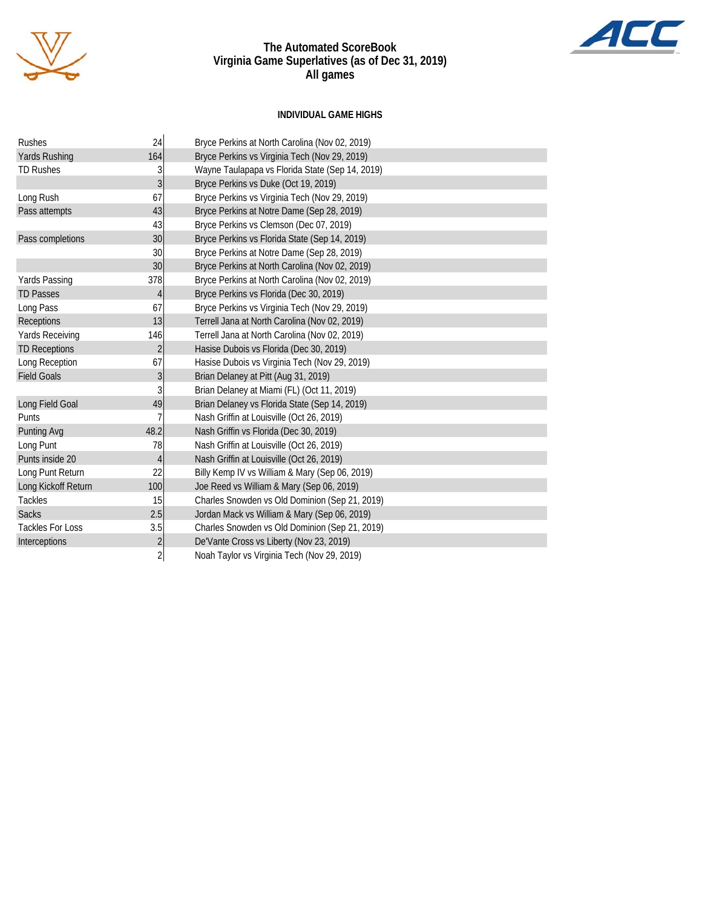



#### **INDIVIDUAL GAME HIGHS**

| Rushes                  | 24             | Bryce Perkins at North Carolina (Nov 02, 2019)  |
|-------------------------|----------------|-------------------------------------------------|
| Yards Rushing           | 164            | Bryce Perkins vs Virginia Tech (Nov 29, 2019)   |
| <b>TD Rushes</b>        | 3              | Wayne Taulapapa vs Florida State (Sep 14, 2019) |
|                         | $\overline{3}$ | Bryce Perkins vs Duke (Oct 19, 2019)            |
| Long Rush               | 67             | Bryce Perkins vs Virginia Tech (Nov 29, 2019)   |
| Pass attempts           | 43             | Bryce Perkins at Notre Dame (Sep 28, 2019)      |
|                         | 43             | Bryce Perkins vs Clemson (Dec 07, 2019)         |
| Pass completions        | 30             | Bryce Perkins vs Florida State (Sep 14, 2019)   |
|                         | 30             | Bryce Perkins at Notre Dame (Sep 28, 2019)      |
|                         | 30             | Bryce Perkins at North Carolina (Nov 02, 2019)  |
| Yards Passing           | 378            | Bryce Perkins at North Carolina (Nov 02, 2019)  |
| <b>TD Passes</b>        | 4              | Bryce Perkins vs Florida (Dec 30, 2019)         |
| Long Pass               | 67             | Bryce Perkins vs Virginia Tech (Nov 29, 2019)   |
| Receptions              | 13             | Terrell Jana at North Carolina (Nov 02, 2019)   |
| <b>Yards Receiving</b>  | 146            | Terrell Jana at North Carolina (Nov 02, 2019)   |
| <b>TD Receptions</b>    | $\overline{c}$ | Hasise Dubois vs Florida (Dec 30, 2019)         |
| Long Reception          | 67             | Hasise Dubois vs Virginia Tech (Nov 29, 2019)   |
| <b>Field Goals</b>      | 3              | Brian Delaney at Pitt (Aug 31, 2019)            |
|                         | 3              | Brian Delaney at Miami (FL) (Oct 11, 2019)      |
| Long Field Goal         | 49             | Brian Delaney vs Florida State (Sep 14, 2019)   |
| Punts                   | 7              | Nash Griffin at Louisville (Oct 26, 2019)       |
| Punting Avg             | 48.2           | Nash Griffin vs Florida (Dec 30, 2019)          |
| Long Punt               | 78             | Nash Griffin at Louisville (Oct 26, 2019)       |
| Punts inside 20         | 4              | Nash Griffin at Louisville (Oct 26, 2019)       |
| Long Punt Return        | 22             | Billy Kemp IV vs William & Mary (Sep 06, 2019)  |
| Long Kickoff Return     | 100            | Joe Reed vs William & Mary (Sep 06, 2019)       |
| <b>Tackles</b>          | 15             | Charles Snowden vs Old Dominion (Sep 21, 2019)  |
| <b>Sacks</b>            | 2.5            | Jordan Mack vs William & Mary (Sep 06, 2019)    |
| <b>Tackles For Loss</b> | 3.5            | Charles Snowden vs Old Dominion (Sep 21, 2019)  |
| Interceptions           | $\overline{c}$ | De'Vante Cross vs Liberty (Nov 23, 2019)        |
|                         | $\overline{2}$ | Noah Taylor vs Virginia Tech (Nov 29, 2019)     |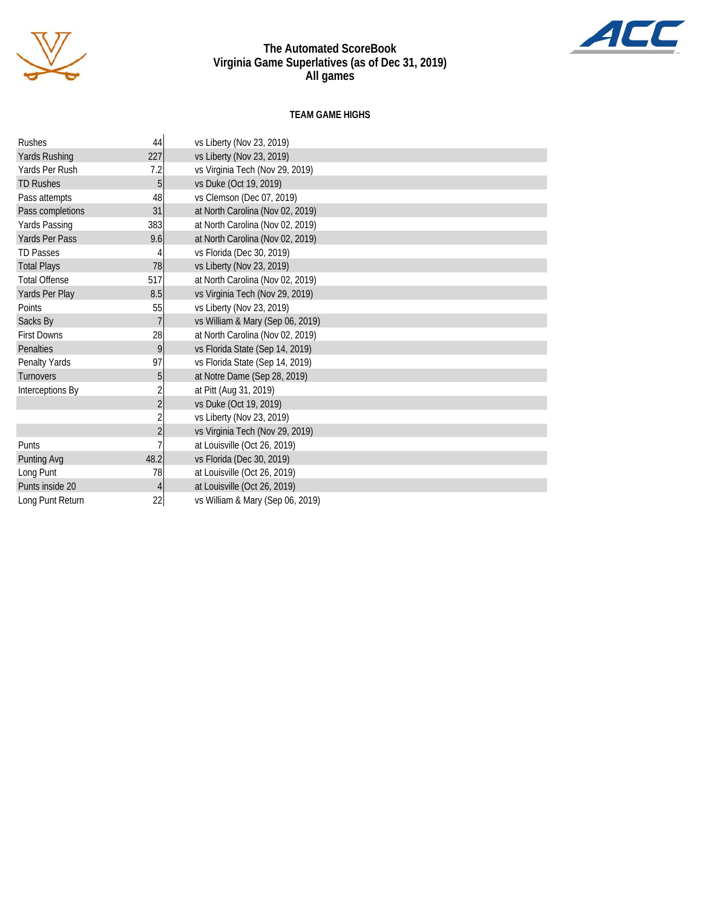

#### **TEAM GAME HIGHS**

| <b>Rushes</b>        | 44             | vs Liberty (Nov 23, 2019)        |
|----------------------|----------------|----------------------------------|
| Yards Rushing        | 227            | vs Liberty (Nov 23, 2019)        |
| Yards Per Rush       | 7.2            | vs Virginia Tech (Nov 29, 2019)  |
| <b>TD Rushes</b>     | 5              | vs Duke (Oct 19, 2019)           |
| Pass attempts        | 48             | vs Clemson (Dec 07, 2019)        |
| Pass completions     | 31             | at North Carolina (Nov 02, 2019) |
| <b>Yards Passing</b> | 383            | at North Carolina (Nov 02, 2019) |
| Yards Per Pass       | 9.6            | at North Carolina (Nov 02, 2019) |
| <b>TD Passes</b>     |                | vs Florida (Dec 30, 2019)        |
| <b>Total Plays</b>   | 78             | vs Liberty (Nov 23, 2019)        |
| <b>Total Offense</b> | 517            | at North Carolina (Nov 02, 2019) |
| Yards Per Play       | 8.5            | vs Virginia Tech (Nov 29, 2019)  |
| Points               | 55             | vs Liberty (Nov 23, 2019)        |
| Sacks By             | $\overline{7}$ | vs William & Mary (Sep 06, 2019) |
| <b>First Downs</b>   | 28             | at North Carolina (Nov 02, 2019) |
| Penalties            | 9              | vs Florida State (Sep 14, 2019)  |
| Penalty Yards        | 97             | vs Florida State (Sep 14, 2019)  |
| <b>Turnovers</b>     | 5              | at Notre Dame (Sep 28, 2019)     |
| Interceptions By     | $\overline{2}$ | at Pitt (Aug 31, 2019)           |
|                      | $\overline{2}$ | vs Duke (Oct 19, 2019)           |
|                      | $\overline{2}$ | vs Liberty (Nov 23, 2019)        |
|                      | $\overline{2}$ | vs Virginia Tech (Nov 29, 2019)  |
| Punts                |                | at Louisville (Oct 26, 2019)     |
| <b>Punting Avg</b>   | 48.2           | vs Florida (Dec 30, 2019)        |
| Long Punt            | 78             | at Louisville (Oct 26, 2019)     |
| Punts inside 20      | 4              | at Louisville (Oct 26, 2019)     |
| Long Punt Return     | 22             | vs William & Mary (Sep 06, 2019) |

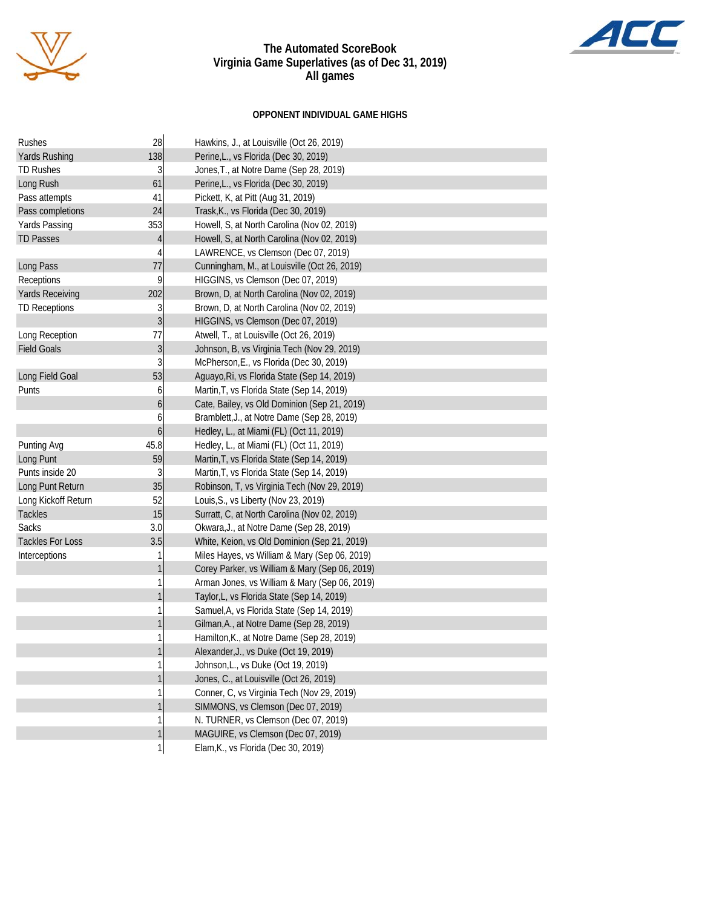

### **OPPONENT INDIVIDUAL GAME HIGHS**

| Rushes                  | 28               | Hawkins, J., at Louisville (Oct 26, 2019)      |
|-------------------------|------------------|------------------------------------------------|
| <b>Yards Rushing</b>    | 138              | Perine, L., vs Florida (Dec 30, 2019)          |
| <b>TD Rushes</b>        | 3                | Jones, T., at Notre Dame (Sep 28, 2019)        |
| Long Rush               | 61               | Perine, L., vs Florida (Dec 30, 2019)          |
| Pass attempts           | 41               | Pickett, K, at Pitt (Aug 31, 2019)             |
| Pass completions        | 24               | Trask, K., vs Florida (Dec 30, 2019)           |
| Yards Passing           | 353              | Howell, S, at North Carolina (Nov 02, 2019)    |
| <b>TD Passes</b>        | $\overline{4}$   | Howell, S, at North Carolina (Nov 02, 2019)    |
|                         | 4                | LAWRENCE, vs Clemson (Dec 07, 2019)            |
| Long Pass               | 77               | Cunningham, M., at Louisville (Oct 26, 2019)   |
| Receptions              | 9                | HIGGINS, vs Clemson (Dec 07, 2019)             |
| <b>Yards Receiving</b>  | 202              | Brown, D, at North Carolina (Nov 02, 2019)     |
| <b>TD Receptions</b>    | 3                | Brown, D, at North Carolina (Nov 02, 2019)     |
|                         | 3                | HIGGINS, vs Clemson (Dec 07, 2019)             |
| Long Reception          | 77               | Atwell, T., at Louisville (Oct 26, 2019)       |
| <b>Field Goals</b>      | $\overline{3}$   | Johnson, B, vs Virginia Tech (Nov 29, 2019)    |
|                         | 3                | McPherson, E., vs Florida (Dec 30, 2019)       |
| Long Field Goal         | 53               | Aguayo, Ri, vs Florida State (Sep 14, 2019)    |
| Punts                   | 6                | Martin, T, vs Florida State (Sep 14, 2019)     |
|                         | 6                | Cate, Bailey, vs Old Dominion (Sep 21, 2019)   |
|                         | 6                | Bramblett, J., at Notre Dame (Sep 28, 2019)    |
|                         | $\boldsymbol{6}$ | Hedley, L., at Miami (FL) (Oct 11, 2019)       |
| Punting Avg             | 45.8             | Hedley, L., at Miami (FL) (Oct 11, 2019)       |
| Long Punt               | 59               | Martin, T, vs Florida State (Sep 14, 2019)     |
| Punts inside 20         | 3                | Martin, T, vs Florida State (Sep 14, 2019)     |
| Long Punt Return        | 35               | Robinson, T, vs Virginia Tech (Nov 29, 2019)   |
| Long Kickoff Return     | 52               | Louis, S., vs Liberty (Nov 23, 2019)           |
| Tackles                 | 15               | Surratt, C, at North Carolina (Nov 02, 2019)   |
| Sacks                   | 3.0              | Okwara, J., at Notre Dame (Sep 28, 2019)       |
| <b>Tackles For Loss</b> | 3.5              | White, Keion, vs Old Dominion (Sep 21, 2019)   |
| Interceptions           | 1                | Miles Hayes, vs William & Mary (Sep 06, 2019)  |
|                         | $\mathbf{1}$     | Corey Parker, vs William & Mary (Sep 06, 2019) |
|                         | 1                | Arman Jones, vs William & Mary (Sep 06, 2019)  |
|                         | $\mathbf{1}$     | Taylor, L, vs Florida State (Sep 14, 2019)     |
|                         | 1                | Samuel, A, vs Florida State (Sep 14, 2019)     |
|                         | $\mathbf{1}$     | Gilman, A., at Notre Dame (Sep 28, 2019)       |
|                         | 1                | Hamilton, K., at Notre Dame (Sep 28, 2019)     |
|                         | $\mathbf{1}$     | Alexander, J., vs Duke (Oct 19, 2019)          |
|                         | 1                | Johnson, L., vs Duke (Oct 19, 2019)            |
|                         | $\mathbf{1}$     | Jones, C., at Louisville (Oct 26, 2019)        |
|                         | 1                | Conner, C, vs Virginia Tech (Nov 29, 2019)     |
|                         | $\mathbf{1}$     | SIMMONS, vs Clemson (Dec 07, 2019)             |
|                         | 1                | N. TURNER, vs Clemson (Dec 07, 2019)           |
|                         | $\mathbf{1}$     | MAGUIRE, vs Clemson (Dec 07, 2019)             |
|                         | $\mathbf{1}$     | Elam, K., vs Florida (Dec 30, 2019)            |

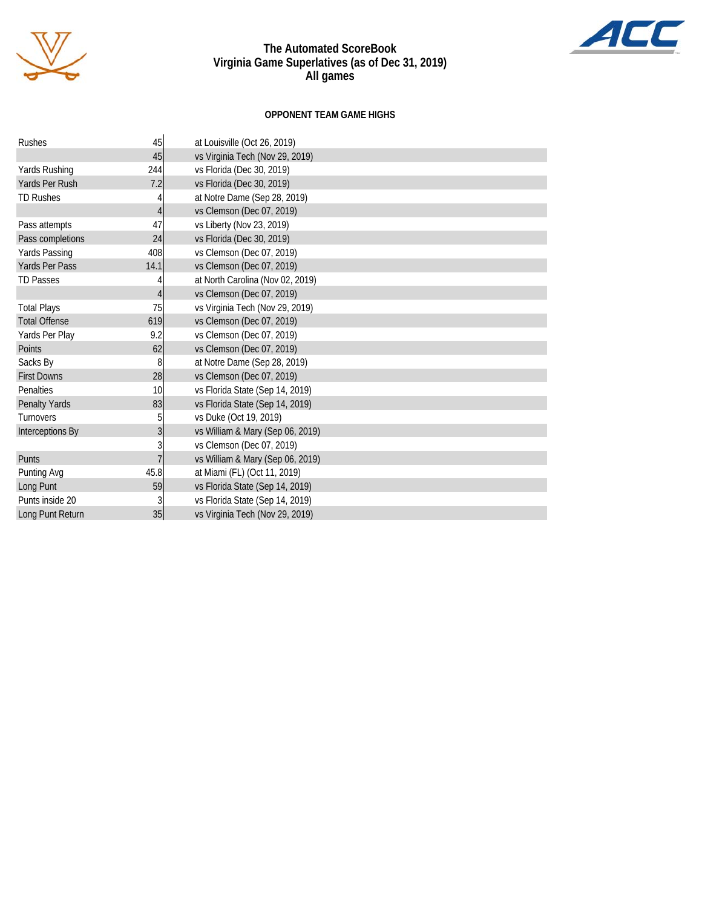

### **OPPONENT TEAM GAME HIGHS**

| Rushes               | 45              | at Louisville (Oct 26, 2019)     |
|----------------------|-----------------|----------------------------------|
|                      | 45              | vs Virginia Tech (Nov 29, 2019)  |
| Yards Rushing        | 244             | vs Florida (Dec 30, 2019)        |
| Yards Per Rush       | 7.2             | vs Florida (Dec 30, 2019)        |
| <b>TD Rushes</b>     |                 | at Notre Dame (Sep 28, 2019)     |
|                      | 4               | vs Clemson (Dec 07, 2019)        |
| Pass attempts        | 47              | vs Liberty (Nov 23, 2019)        |
| Pass completions     | 24              | vs Florida (Dec 30, 2019)        |
| Yards Passing        | 408             | vs Clemson (Dec 07, 2019)        |
| Yards Per Pass       | 14.1            | vs Clemson (Dec 07, 2019)        |
| <b>TD Passes</b>     |                 | at North Carolina (Nov 02, 2019) |
|                      | 4               | vs Clemson (Dec 07, 2019)        |
| Total Plays          | 75              | vs Virginia Tech (Nov 29, 2019)  |
| <b>Total Offense</b> | 619             | vs Clemson (Dec 07, 2019)        |
| Yards Per Play       | 9.2             | vs Clemson (Dec 07, 2019)        |
| Points               | 62              | vs Clemson (Dec 07, 2019)        |
| Sacks By             | 8               | at Notre Dame (Sep 28, 2019)     |
| <b>First Downs</b>   | 28              | vs Clemson (Dec 07, 2019)        |
| Penalties            | 10              | vs Florida State (Sep 14, 2019)  |
| Penalty Yards        | 83              | vs Florida State (Sep 14, 2019)  |
| Turnovers            | 5               | vs Duke (Oct 19, 2019)           |
| Interceptions By     | 3 <sup>1</sup>  | vs William & Mary (Sep 06, 2019) |
|                      | 3               | vs Clemson (Dec 07, 2019)        |
| Punts                | $\overline{7}$  | vs William & Mary (Sep 06, 2019) |
| Punting Avg          | 45.8            | at Miami (FL) (Oct 11, 2019)     |
| Long Punt            | 59              | vs Florida State (Sep 14, 2019)  |
| Punts inside 20      | 3               | vs Florida State (Sep 14, 2019)  |
| Long Punt Return     | 35 <sup>1</sup> | vs Virginia Tech (Nov 29, 2019)  |

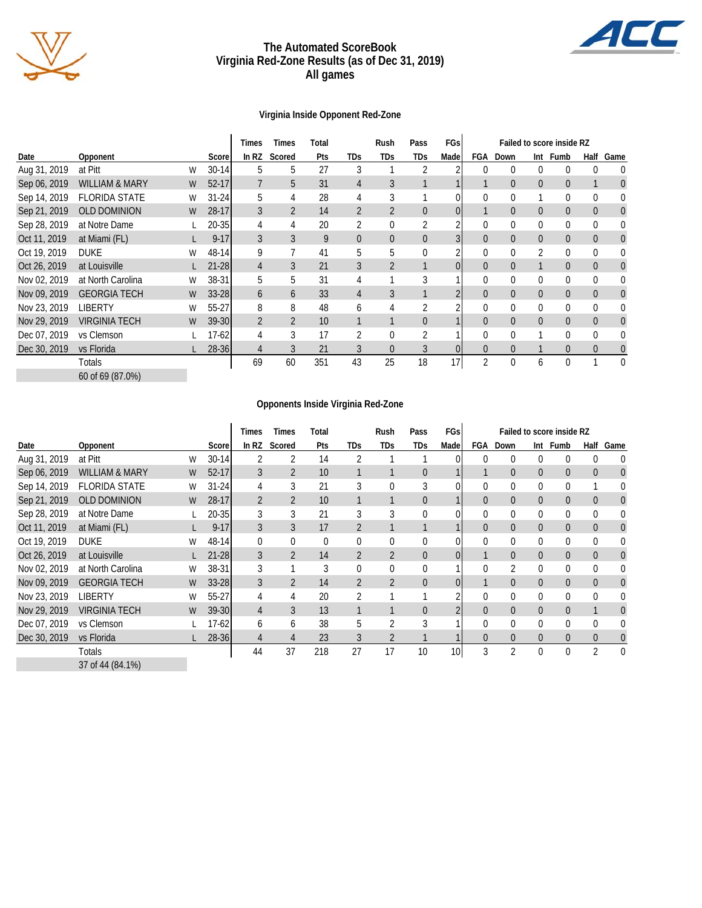

#### **The Automated ScoreBook Virginia Red-Zone Results (as of Dec 31, 2019) All games**

### **Virginia Inside Opponent Red-Zone**

|              |                           |   |           | Times          | Times          | Total |                | Rush           | Pass           | FGs  |                |                |                | Failed to score inside RZ |                |                |
|--------------|---------------------------|---|-----------|----------------|----------------|-------|----------------|----------------|----------------|------|----------------|----------------|----------------|---------------------------|----------------|----------------|
| Date         | Opponent                  |   | Scorel    | In RZ          | Scored         | Pts   | <b>TDs</b>     | TDs            | <b>TDs</b>     | Made |                | FGA Down       |                | Int Fumb                  | Half           | Game           |
| Aug 31, 2019 | at Pitt                   | W | $30 - 14$ | 5              | 5              | 27    | 3              |                |                |      | 0              | 0              | 0              | 0                         | $\Omega$       |                |
| Sep 06, 2019 | <b>WILLIAM &amp; MARY</b> | W | $52 - 17$ | 7              | 5              | 31    | 4              | 3              |                |      |                | $\overline{0}$ | $\overline{0}$ | 0                         |                | 0              |
| Sep 14, 2019 | <b>FLORIDA STATE</b>      | W | $31 - 24$ | 5              | 4              | 28    | 4              | 3              |                |      | $\mathbf 0$    | 0              |                | 0                         | 0              | 0              |
| Sep 21, 2019 | <b>OLD DOMINION</b>       | W | $28 - 17$ | 3              | $\overline{2}$ | 14    | $\overline{2}$ | $\overline{2}$ | $\overline{0}$ | 01   |                | $\overline{0}$ | $\overline{0}$ | $\overline{0}$            | $\overline{0}$ | $\overline{0}$ |
| Sep 28, 2019 | at Notre Dame             |   | $20 - 35$ | 4              | 4              | 20    | 2              | $\mathbf 0$    | 2              |      | 0              | 0              | 0              | 0                         | $\mathbf{0}$   | 0              |
| Oct 11, 2019 | at Miami (FL)             |   | $9 - 17$  | 3              | 3              | 9     | $\theta$       | $\overline{0}$ | $\overline{0}$ |      | $\overline{0}$ | $\overline{0}$ | $\overline{0}$ | $\overline{0}$            | $\overline{0}$ | $\overline{0}$ |
| Oct 19, 2019 | <b>DUKE</b>               | W | 48-14     | 9              |                | 41    | 5              | 5              | 0              |      | $\mathbf 0$    | 0              | 2              | 0                         | $\mathbf{0}$   | 0              |
| Oct 26, 2019 | at Louisville             |   | 21-28     | 4              | 3              | 21    | 3              | $\overline{2}$ |                |      | $\overline{0}$ | $\overline{0}$ |                | $\Omega$                  | $\Omega$       | 0              |
| Nov 02, 2019 | at North Carolina         | W | 38-31     | 5              | 5              | 31    | 4              |                | 3              |      | $\theta$       | $\Omega$       | 0              | 0                         | $\Omega$       | 0              |
| Nov 09, 2019 | <b>GEORGIA TECH</b>       | W | $33 - 28$ | 6              | 6              | 33    | 4              | 3              |                |      | $\overline{0}$ | $\theta$       | $\overline{0}$ | $\Omega$                  | $\Omega$       | 0              |
| Nov 23, 2019 | <b>LIBERTY</b>            | W | 55-27     | 8              | 8              | 48    | 6              | 4              | 2              |      | $\theta$       | $\theta$       | 0              | 0                         | $\Omega$       | 0              |
| Nov 29, 2019 | <b>VIRGINIA TECH</b>      | W | $39 - 30$ | $\overline{2}$ | $\overline{2}$ | 10    |                |                | $\overline{0}$ |      | $\Omega$       | $\theta$       | $\overline{0}$ | $\Omega$                  | $\Omega$       | 0              |
| Dec 07, 2019 | vs Clemson                |   | 17-62     | 4              | 3              | 17    | 2              | $\Omega$       |                |      | $\theta$       | $\theta$       |                |                           | $\Omega$       | 0              |
| Dec 30, 2019 | vs Florida                |   | $28 - 36$ |                |                | 21    | 3              | $\Omega$       |                |      | $\Omega$       | $\Omega$       |                |                           | $\Omega$       | 0              |
|              | Totals                    |   |           | 69             | 60             | 351   | 43             | 25             | 18             | 17   | 2              | $\mathbf{0}$   | 6              | 0                         |                | $\theta$       |
|              | 60 of 69 (87.0%)          |   |           |                |                |       |                |                |                |      |                |                |                |                           |                |                |

#### **Opponents Inside Virginia Red-Zone**

|              |                           |   |           | Times          | <b>Times</b>   | Total    |                | Rush           | Pass           | FGs  | Failed to score inside RZ |                |                |                |                |                  |
|--------------|---------------------------|---|-----------|----------------|----------------|----------|----------------|----------------|----------------|------|---------------------------|----------------|----------------|----------------|----------------|------------------|
| Date         | Opponent                  |   | Scorel    | In RZ          | Scored         | Pts      | <b>TDs</b>     | TDs            | TDs            | Made | FGA                       | Down           | Int            | Fumb           | Half           | Game             |
| Aug 31, 2019 | at Pitt                   | W | $30 - 14$ |                |                | 14       |                |                |                |      | $\Omega$                  | $\bf{0}$       | 0              | 0              | $\Omega$       | 0                |
| Sep 06, 2019 | <b>WILLIAM &amp; MARY</b> | W | $52 - 17$ | 3              | 2              | 10       |                |                | $\overline{0}$ |      |                           | $\overline{0}$ | $\overline{0}$ | 0              | $\Omega$       | $\overline{0}$   |
| Sep 14, 2019 | <b>FLORIDA STATE</b>      | W | $31 - 24$ | 4              | 3              | 21       | 3              | 0              | 3              |      | 0                         | $\Omega$       | 0              | 0              |                | 0                |
| Sep 21, 2019 | <b>OLD DOMINION</b>       | W | 28-17     | $\overline{2}$ | $\overline{2}$ | 10       |                |                | $\overline{0}$ |      | $\overline{0}$            | $\overline{0}$ | $\overline{0}$ | $\overline{0}$ | $\overline{0}$ | $\boldsymbol{0}$ |
| Sep 28, 2019 | at Notre Dame             |   | 20-35     | 3              | 3              | 21       | 3              | 3              | 0              |      |                           | $\overline{0}$ | 0              | 0              | $\Omega$       | 0                |
| Oct 11, 2019 | at Miami (FL)             |   | $9 - 17$  | 3              | 3              | 17       | $\overline{2}$ |                |                |      | $\Omega$                  | $\theta$       | $\overline{0}$ | $\Omega$       | $\overline{0}$ | $\boldsymbol{0}$ |
| Oct 19, 2019 | <b>DUKE</b>               | W | 48-14     | $\theta$       | $\Omega$       | $\theta$ |                | 0              | 0              |      |                           | $\bf{0}$       | 0              | 0              | $\Omega$       | 0                |
| Oct 26, 2019 | at Louisville             |   | $21 - 28$ | 3              | 2              | 14       | $\overline{2}$ | 2              | 0              | 01   |                           | $\overline{0}$ | 0              | $\overline{0}$ | $\overline{0}$ | $\boldsymbol{0}$ |
| Nov 02, 2019 | at North Carolina         | W | 38-31     | 3              |                |          | 0              | 0              | 0              |      | $\Omega$                  | 2              | 0              | 0              | $\overline{0}$ | 0                |
| Nov 09, 2019 | <b>GEORGIA TECH</b>       | W | $33 - 28$ | 3              | $\overline{2}$ | 14       | $\overline{2}$ | $\overline{2}$ | 0              | 0    |                           | $\overline{0}$ | $\overline{0}$ | $\overline{0}$ | $\overline{0}$ | $\boldsymbol{0}$ |
| Nov 23, 2019 | <b>LIBERTY</b>            | W | 55-27     | 4              | 4              | 20       | 2              |                |                |      | $\Omega$                  | $\overline{0}$ | 0              | $\Omega$       | $\Omega$       | 0                |
| Nov 29, 2019 | <b>VIRGINIA TECH</b>      | W | $39 - 30$ | 4              | 3              | 13       |                |                | $\overline{0}$ | 2    | $\overline{0}$            | $\overline{0}$ | $\overline{0}$ | $\overline{0}$ |                | $\overline{0}$   |
| Dec 07, 2019 | vs Clemson                |   | 17-62     | 6              | 6              | 38       | 5              | 2              | 3              |      | $\Omega$                  | $\Omega$       | 0              | $\Omega$       | $\Omega$       | 0                |
| Dec 30, 2019 | vs Florida                |   | $28 - 36$ | $\overline{4}$ | 4              | 23       | 3              | $\overline{2}$ |                |      | $\Omega$                  | $\theta$       | $\overline{0}$ | $\Omega$       | $\Omega$       | $\boldsymbol{0}$ |
|              | Totals                    |   |           | 44             | 37             | 218      | 27             | 17             | 10             | 10   | 3                         | $\overline{2}$ | $\Omega$       | $\theta$       | $\mathcal{P}$  | $\Omega$         |
|              | 37 of 44 (84.1%)          |   |           |                |                |          |                |                |                |      |                           |                |                |                |                |                  |

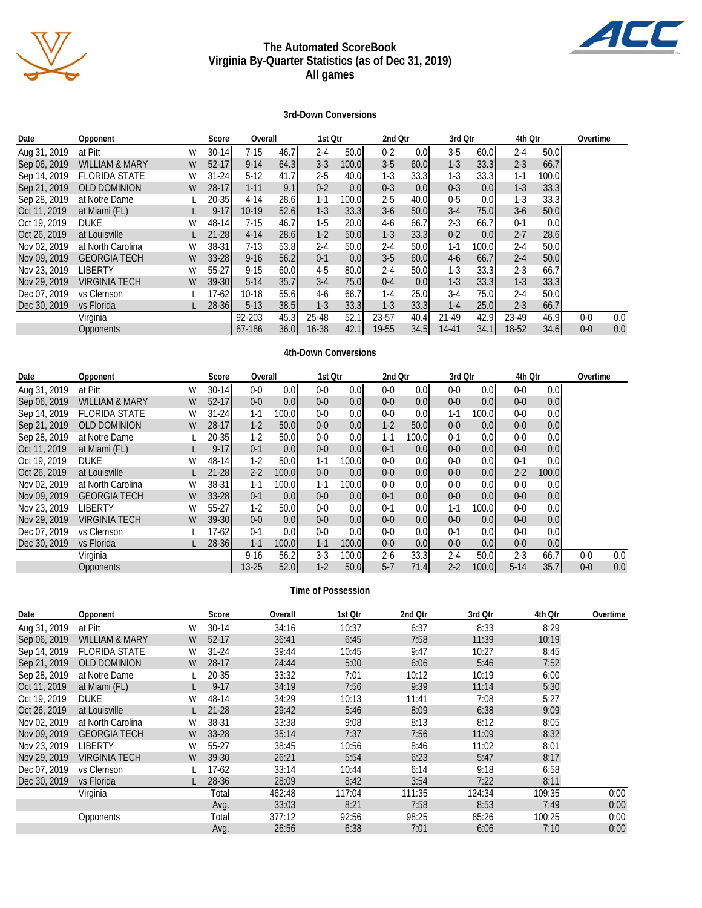

#### **The Automated ScoreBook Virginia By-Quarter Statistics (as of Dec 31, 2019) All games**

#### **3rd-Down Conversions**

| Date         | Opponent                  |   | Score     | Overall  |      | 1st Qtr   |       | 2nd Qtr |                   | 3rd Otr   |                  | 4th Otr |       | Overtime |     |
|--------------|---------------------------|---|-----------|----------|------|-----------|-------|---------|-------------------|-----------|------------------|---------|-------|----------|-----|
| Aug 31, 2019 | at Pitt                   | W | $30 - 14$ | $7-15$   | 46.7 | $2 - 4$   | 50.0  | $0 - 2$ | 0.0 <sub>l</sub>  | $3-5$     | 60.0             | 2-4     | 50.0  |          |     |
| Sep 06, 2019 | <b>WILLIAM &amp; MARY</b> | W | $52-17$   | $9 - 14$ | 64.3 | $3-3$     | 100.0 | $3-5$   | 60.0              | $1 - 3$   | 33.3             | $2 - 3$ | 66.7  |          |     |
| Sep 14, 2019 | <b>FLORIDA STATE</b>      | W | $31 - 24$ | $5-12$   | 41.7 | $2 - 5$   | 40.0  | $1-3$   | 33.3 <sub>1</sub> | $1-3$     | 33.3             | 1-1     | 100.0 |          |     |
| Sep 21, 2019 | <b>OLD DOMINION</b>       | W | $28-17$   | $1 - 11$ | 9.1  | $0 - 2$   | 0.01  | $0 - 3$ | 0.0               | $0 - 3$   | 0.0 <sub>l</sub> | $1-3$   | 33.3  |          |     |
| Sep 28, 2019 | at Notre Dame             |   | 20-35I    | $4 - 14$ | 28.6 | $1 - 1$   | 100.0 | $2 - 5$ | 40.0              | $0-5$     | 0.0              | 1-3     | 33.3  |          |     |
| Oct 11, 2019 | at Miami (FL)             |   | $9 - 17$  | 10-19    | 52.6 | $1 - 3$   | 33.3  | $3-6$   | 50.0              | $3-4$     | 75.0             | $3-6$   | 50.0  |          |     |
| Oct 19, 2019 | <b>DUKE</b>               | W | $48 - 14$ | $7-15$   | 46.7 | $1-5$     | 20.0I | 4-6     | 66.7              | $2 - 3$   | 66.7             | $0 - 1$ | 0.0   |          |     |
| Oct 26, 2019 | at Louisville             |   | $21 - 28$ | $4 - 14$ | 28.6 | $1-2$     | 50.0  | $1-3$   | 33.3              | $0 - 2$   | 0.0 <sub>l</sub> | $2 - 7$ | 28.6  |          |     |
| Nov 02, 2019 | at North Carolina         | W | $38 - 31$ | $7-13$   | 53.8 | $2 - 4$   | 50.0  | $2 - 4$ | 50.0I             | $1 - 1$   | 100.0            | $2 - 4$ | 50.0  |          |     |
| Nov 09, 2019 | <b>GEORGIA TECH</b>       | W | $33 - 28$ | $9 - 16$ | 56.2 | $0 - 1$   | 0.01  | $3-5$   | 60.0              | $4-6$     | 66.7             | $2 - 4$ | 50.0  |          |     |
| Nov 23, 2019 | <b>LIBERTY</b>            | W | $55 - 27$ | $9 - 15$ | 60.0 | $4-5$     | 80.0  | $2 - 4$ | 50.0I             | $1-3$     | 33.3             | $2 - 3$ | 66.7  |          |     |
| Nov 29, 2019 | <b>VIRGINIA TECH</b>      | W | $39 - 30$ | $5-14$   | 35.7 | $3-4$     | 75.0  | $0 - 4$ | 0.0               | $1 - 3$   | 33.3             | $1-3$   | 33.3  |          |     |
| Dec 07, 2019 | vs Clemson                |   | 17-62     | 10-18    | 55.6 | 4-6       | 66.7  | $1 - 4$ | 25.0I             | $3-4$     | 75.0             | $2 - 4$ | 50.0  |          |     |
| Dec 30, 2019 | vs Florida                |   | $28 - 36$ | $5-13$   | 38.5 | $1 - 3$   | 33.3  | $1 - 3$ | 33.3              | $1 - 4$   | 25.0             | $2 - 3$ | 66.7  |          |     |
|              | Virginia                  |   |           | 92-203   | 45.3 | 25-48     | 52.1  | 23-57   | 40.4              | $21 - 49$ | 42.9             | 23-49   | 46.9  | $0-0$    | 0.0 |
|              | Opponents                 |   |           | 67-186   | 36.0 | $16 - 38$ | 42.1  | 19-55   | 34.5              | 14-41     | 34.1             | 18-52   | 34.6  | $0-0$    | 0.0 |

#### **4th-Down Conversions**

| Date         | Opponent                  |   | Score     | Overall   |                  | 1st Otr |                  | 2nd Qtr |                  | 3rd Otr |                  | 4th Otr |       | Overtime |     |
|--------------|---------------------------|---|-----------|-----------|------------------|---------|------------------|---------|------------------|---------|------------------|---------|-------|----------|-----|
| Aug 31, 2019 | at Pitt                   | W | $30 - 14$ | $0-0$     | 0.0              | $0-0$   | 0.0 <sub>l</sub> | $0 - 0$ | 0.0 <sub>l</sub> | $0-0$   | 0.0 <sub>l</sub> | $0-0$   | 0.0   |          |     |
| Sep 06, 2019 | <b>WILLIAM &amp; MARY</b> | W | $52 - 17$ | $0-0$     | 0.0 <sub>l</sub> | $0-0$   | 0.0              | $0-0$   | 0.01             | $0-0$   | 0.0 <sub>l</sub> | $0-0$   | 0.0   |          |     |
| Sep 14, 2019 | <b>FLORIDA STATE</b>      | W | $31 - 24$ | $1-1$     | 100.0I           | $0-0$   | 0.0              | $0-0$   | 0.01             | $1 - 1$ | 100.0            | $0-0$   | 0.0   |          |     |
| Sep 21, 2019 | <b>OLD DOMINION</b>       | W | $28 - 17$ | $1-2$     | 50.0             | $0 - 0$ | 0.01             | $1-2$   | 50.0             | $0 - 0$ | 0.0 <sub>l</sub> | $0-0$   | 0.0   |          |     |
| Sep 28, 2019 | at Notre Dame             |   | $20 - 35$ | $1-2$     | 50.0             | $0-0$   | 0.0              | $1 - 1$ | 100.0            | $0-1$   | 0.0              | $0-0$   | 0.0   |          |     |
| Oct 11, 2019 | at Miami (FL)             |   | $9 - 17$  | $0-1$     | 0.0              | $0-0$   | 0.0 <sub>l</sub> | $0-1$   | 0.01             | $0-0$   | 0.0              | $0-0$   | 0.0   |          |     |
| Oct 19, 2019 | <b>DUKE</b>               | W | $48 - 14$ | $1-2$     | 50.0             | $1 - 1$ | 100.0            | $0-0$   | 0.01             | $0-0$   | 0.0 <sub>l</sub> | $0 - 1$ | 0.0   |          |     |
| Oct 26, 2019 | at Louisville             |   | 21-28     | $2 - 2$   | 100.01           | $0-0$   | 0.0              | $0-0$   | 0.0 <sub>l</sub> | $0-0$   | 0.0              | $2 - 2$ | 100.0 |          |     |
| Nov 02, 2019 | at North Carolina         | W | 38-31     | 1-1       | 100.0            | $1-1$   | 100.0            | $0-0$   | 0.01             | $0-0$   | 0.0 <sub>l</sub> | $0-0$   | 0.0   |          |     |
| Nov 09, 2019 | <b>GEORGIA TECH</b>       | W | $33 - 28$ | $0 - 1$   | 0.0              | $0 - 0$ | 0.01             | $0-1$   | 0.0 <sub>l</sub> | $0-0$   | 0.0              | $0-0$   | 0.0   |          |     |
| Nov 23, 2019 | LIBERTY                   | W | 55-27     | $1-2$     | 50.0             | $0-0$   | 0.0              | $0-1$   | 0.01             | 1-1     | 100.0            | $0-0$   | 0.0   |          |     |
| Nov 29, 2019 | <b>VIRGINIA TECH</b>      | W | $39 - 30$ | $0-0$     | 0.0              | $0-0$   | 0.0 <sub>l</sub> | $0-0$   | 0.0 <sub>l</sub> | $0-0$   | 0.0 <sub>l</sub> | $0-0$   | 0.0   |          |     |
| Dec 07, 2019 | vs Clemson                |   | $17-62$   | $0-1$     | 0.01             | $0-0$   | 0.0              | $0-0$   | 0.0 <sub>l</sub> | $0-1$   | 0.0              | $0-0$   | 0.0   |          |     |
| Dec 30, 2019 | vs Florida                |   | 28-36     | $1 - 1$   | 100.01           | $1 - 1$ | 100.0            | $0-0$   | 0.01             | $0-0$   | 0.0              | $0-0$   | 0.0   |          |     |
|              | Virginia                  |   |           | $9-16$    | 56.2             | $3-3$   | 100.0            | $2 - 6$ | 33.3             | $2 - 4$ | 50.0             | $2 - 3$ | 66.7  | $0-0$    | 0.0 |
|              | Opponents                 |   |           | $13 - 25$ | 52.0             | $1 - 2$ | 50.0             | $5 - 7$ | 71.4             | $2 - 2$ | 100.0            | $5-14$  | 35.7  | $0-0$    | 0.0 |

#### **Time of Possession**

| Date         | Opponent                  |   | Score     | Overall | 1st Qtr | 2nd Qtr | 3rd Qtr | 4th Qtr | Overtime |
|--------------|---------------------------|---|-----------|---------|---------|---------|---------|---------|----------|
| Aug 31, 2019 | at Pitt                   | W | $30 - 14$ | 34:16   | 10:37   | 6:37    | 8:33    | 8:29    |          |
| Sep 06, 2019 | <b>WILLIAM &amp; MARY</b> | W | $52 - 17$ | 36:41   | 6:45    | 7:58    | 11:39   | 10:19   |          |
| Sep 14, 2019 | <b>FLORIDA STATE</b>      | W | $31 - 24$ | 39:44   | 10:45   | 9:47    | 10:27   | 8:45    |          |
| Sep 21, 2019 | <b>OLD DOMINION</b>       | W | 28-17     | 24:44   | 5:00    | 6:06    | 5:46    | 7:52    |          |
| Sep 28, 2019 | at Notre Dame             |   | 20-35     | 33:32   | 7:01    | 10:12   | 10:19   | 6:00    |          |
| Oct 11, 2019 | at Miami (FL)             |   | $9 - 17$  | 34:19   | 7:56    | 9:39    | 11:14   | 5:30    |          |
| Oct 19, 2019 | <b>DUKE</b>               | W | 48-14     | 34:29   | 10:13   | 11:41   | 7:08    | 5:27    |          |
| Oct 26, 2019 | at Louisville             |   | $21 - 28$ | 29:42   | 5:46    | 8:09    | 6:38    | 9:09    |          |
| Nov 02, 2019 | at North Carolina         | W | 38-31     | 33:38   | 9:08    | 8:13    | 8:12    | 8:05    |          |
| Nov 09, 2019 | <b>GEORGIA TECH</b>       | W | $33 - 28$ | 35:14   | 7:37    | 7:56    | 11:09   | 8:32    |          |
| Nov 23, 2019 | <b>LIBERTY</b>            | W | 55-27     | 38:45   | 10:56   | 8:46    | 11:02   | 8:01    |          |
| Nov 29, 2019 | <b>VIRGINIA TECH</b>      | W | 39-30     | 26:21   | 5:54    | 6:23    | 5:47    | 8:17    |          |
| Dec 07, 2019 | vs Clemson                |   | 17-62     | 33:14   | 10:44   | 6:14    | 9:18    | 6:58    |          |
| Dec 30, 2019 | vs Florida                |   | 28-36     | 28:09   | 8:42    | 3:54    | 7:22    | 8:11    |          |
|              | Virginia                  |   | Total     | 462:48  | 117:04  | 111:35  | 124:34  | 109:35  | 0:00     |
|              |                           |   | Avg.      | 33:03   | 8:21    | 7:58    | 8:53    | 7:49    | 0:00     |
|              | Opponents                 |   | Total     | 377:12  | 92:56   | 98:25   | 85:26   | 100:25  | 0:00     |
|              |                           |   | Avg.      | 26:56   | 6:38    | 7:01    | 6:06    | 7:10    | 0:00     |

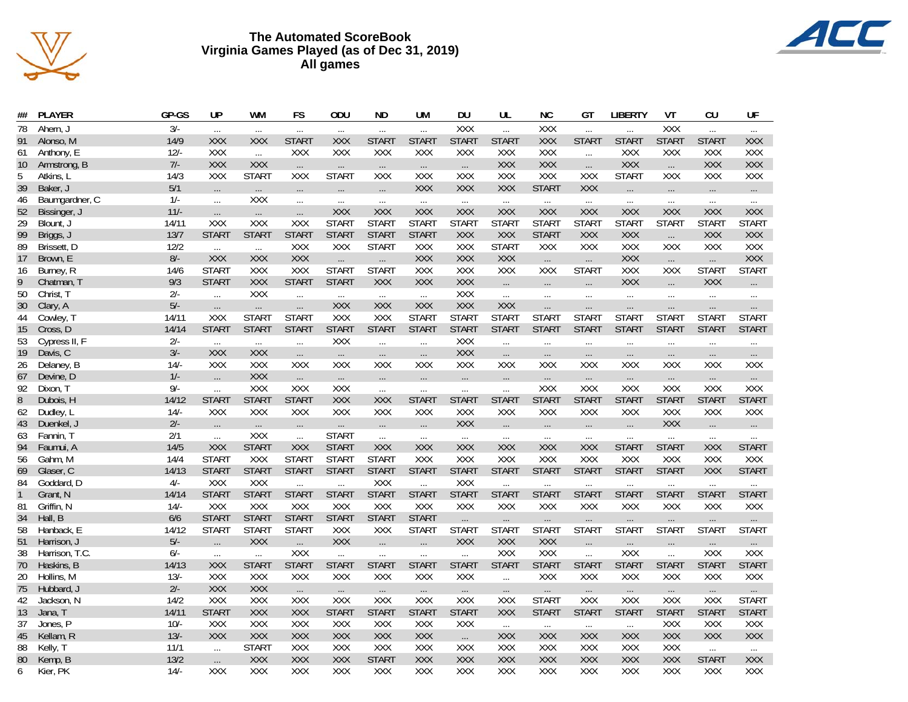



| ##           | PLAYER         | GP-GS  | <b>UP</b>              | WM              | FS                      | ODU                      | ND.                    | UM                     | DU                     | UL              | <b>NC</b>           | GT                     | LIBERTY           | VT                       | CU                     | UF                       |
|--------------|----------------|--------|------------------------|-----------------|-------------------------|--------------------------|------------------------|------------------------|------------------------|-----------------|---------------------|------------------------|-------------------|--------------------------|------------------------|--------------------------|
| 78           | Ahern, J       | $3/-$  | $\cdots$               | $\cdots$        | $\cdots$                | $\cdots$                 | $\cdots$               | $\cdots$               | XXX                    | $\ldots$        | XXX                 | $\cdots$               | $\cdots$          | XXX                      | $\ldots$               | $\cdots$                 |
| 91           | Alonso, M      | 14/9   | <b>XXX</b>             | <b>XXX</b>      | <b>START</b>            | XXX                      | <b>START</b>           | <b>START</b>           | <b>START</b>           | <b>START</b>    | <b>XXX</b>          | START                  | <b>START</b>      | <b>START</b>             | <b>START</b>           | XXX                      |
| 61           | Anthony, E     | $12/-$ | XXX                    | $\ddotsc$       | XXX                     | XXX                      | XXX                    | XXX                    | XXX                    | XXX             | XXX                 | $\cdots$               | XXX               | XXX                      | XXX                    | XXX                      |
| 10           | Armstrong, B   | $7/-$  | <b>XXX</b>             | <b>XXX</b>      | $\dots$                 | $\ldots$                 | $\ldots$               | $\cdots$               | $\dots$                | XXX             | XXX                 | $\ldots$               | XXX               | $\ldots$                 | XXX                    | XXX                      |
| 5            | Atkins, L      | 14/3   | XXX                    | <b>START</b>    | <b>XXX</b>              | <b>START</b>             | XXX                    | XXX                    | XXX                    | XXX             | XXX                 | XXX                    | <b>START</b>      | XXX                      | XXX                    | XXX                      |
| 39           | Baker, J       | $5/1$  |                        |                 |                         |                          |                        | <b>XXX</b>             | XXX                    | XXX             | <b>START</b>        | XXX                    |                   |                          |                        |                          |
| 46           | Baumgardner, C | $1/-$  | $\ldots$<br>$\cdots$   | $\dots$<br>XXX  | $\ldots$                | $\ldots$                 | $\ldots$               |                        |                        |                 |                     |                        | $\cdots$          | $\ldots$                 | $\dots$                | $\cdots$                 |
| 52           | Bissinger, J   | $11/-$ |                        |                 | $\ldots$                | $\cdots$<br>XXX          | $\ldots$<br><b>XXX</b> | $\ldots$<br>XXX        | $\ldots$<br>XXX        | $\ldots$<br>XXX | $\ldots$<br>XXX     | $\cdots$<br>XXX        | $\ldots$<br>XXX   | $\ldots$<br>XXX          | $\ldots$<br><b>XXX</b> | $\ldots$<br><b>XXX</b>   |
| 29           |                | 14/11  | $\ldots$<br>XXX        | $\ldots$        | $\ldots$                | <b>START</b>             | <b>START</b>           | <b>START</b>           | <b>START</b>           |                 |                     |                        |                   |                          |                        |                          |
|              | Blount, J      |        |                        | XXX             | XXX                     |                          |                        |                        |                        | <b>START</b>    | <b>START</b>        | <b>START</b>           | <b>START</b>      | <b>START</b>             | <b>START</b>           | <b>START</b>             |
| 99           | Briggs, J      | 13/7   | <b>START</b>           | <b>START</b>    | <b>START</b>            | <b>START</b>             | <b>START</b>           | <b>START</b>           | <b>XXX</b>             | XXX             | <b>START</b>        | XXX                    | <b>XXX</b>        | $\dots$                  | XXX                    | XXX                      |
| 89           | Brissett, D    | 12/2   | $\dddotsc$             | $\dddotsc$      | XXX                     | XXX                      | <b>START</b>           | XXX                    | XXX                    | <b>START</b>    | XXX                 | XXX                    | XXX               | XXX                      | XXX                    | XXX                      |
| 17           | Brown, E       | $8/-$  | XXX                    | <b>XXX</b>      | <b>XXX</b>              | $\dots$                  | $\cdots$               | XXX                    | XXX                    | XXX             | $\dots$             | $\ldots$               | <b>XXX</b>        | $\cdots$                 | $\ldots$               | XXX                      |
| 16           | Burney, R      | 14/6   | <b>START</b>           | <b>XXX</b>      | <b>XXX</b>              | <b>START</b>             | <b>START</b>           | XXX                    | XXX                    | XXX             | XXX                 | <b>START</b>           | XXX               | XXX                      | <b>START</b>           | <b>START</b>             |
| 9            | Chatman, T     | 9/3    | <b>START</b>           | XXX             | <b>START</b>            | <b>START</b>             | XXX                    | XXX                    | XXX                    | $\ldots$        | $\ldots$            | $\cdots$               | XXX               | $\cdots$                 | <b>XXX</b>             | $\ldots$ .               |
| 50           | Christ, T      | $2/-$  | $\ddotsc$              | XXX             | $\ddotsc$               | $\ldots$                 | $\ldots$               | $\ldots$               | <b>XXX</b>             | $\cdots$        | $\cdots$            | $\ldots$               | $\ldots$          | $\cdots$                 | $\cdots$               | $\cdots$                 |
| 30           | Clary, A       | $5/-$  | $\ldots$               | $\ldots$        | $\ldots$                | XXX                      | <b>XXX</b>             | XXX                    | XXX                    | XXX             | $\ldots$            | $\cdots$               | $\ldots$          | $\ldots$                 | $\ldots$               | $\cdots$ .               |
| 44           | Cowley, T      | 14/11  | XXX                    | <b>START</b>    | <b>START</b>            | <b>XXX</b>               | XXX                    | <b>START</b>           | <b>START</b>           | <b>START</b>    | <b>START</b>        | <b>START</b>           | <b>START</b>      | <b>START</b>             | <b>START</b>           | <b>START</b>             |
| 15           | Cross, D       | 14/14  | <b>START</b>           | <b>START</b>    | <b>START</b>            | <b>START</b>             | <b>START</b>           | <b>START</b>           | <b>START</b>           | <b>START</b>    | <b>START</b>        | <b>START</b>           | <b>START</b>      | <b>START</b>             | <b>START</b>           | <b>START</b>             |
| 53           | Cypress II, F  | $2/-$  | $\ldots$               | $\ldots$        | $\dddotsc$              | XXX                      | $\ddotsc$              | $\dddotsc$             | XXX                    | $\cdots$        | $\cdots$            | $\cdots$               | $\cdots$          | $\ldots$                 | $\ldots$               | $\cdots$                 |
| 19           | Davis, C       | $3/-$  | <b>XXX</b>             | <b>XXX</b>      | $\dots$                 | $\ldots$                 | $\cdots$               | $\cdots$               | XXX                    | $\ldots$        | $\cdots$            | $\cdots$               | $\cdots$          | $\ldots$                 | $\ldots$               | $\ldots$                 |
| 26           | Delaney, B     | 14/    | XXX                    | XXX             | XXX                     | XXX                      | XXX                    | XXX                    | XXX                    | XXX             | XXX                 | XXX                    | XXX               | <b>XXX</b>               | XXX                    | XXX                      |
| 67           | Devine, D      | $1/-$  | $\ldots$               | <b>XXX</b>      | $\ldots$                | $\ldots$                 | $\ldots$               | $\ldots$               | $\dots$                | $\ldots$        | $\ldots$            | $\ldots$               | $\ldots$          | $\ldots$                 | $\ldots$               | $\ldots$ .               |
| 92           | Dixon, T       | $9/-$  | $\ddotsc$              | XXX             | <b>XXX</b>              | XXX                      | $\ldots$               | $\cdots$               | $\ldots$               | $\cdots$        | XXX                 | XXX                    | XXX               | XXX                      | XXX                    | XXX                      |
| 8            | Dubois, H      | 14/12  | <b>START</b>           | <b>START</b>    | <b>START</b>            | XXX                      | XXX                    | <b>START</b>           | <b>START</b>           | <b>START</b>    | <b>START</b>        | <b>START</b>           | <b>START</b>      | <b>START</b>             | <b>START</b>           | <b>START</b>             |
| 62           | Dudley, L      | $14/-$ | XXX                    | XXX             | XXX                     | XXX                      | XXX                    | XXX                    | XXX                    | XXX             | XXX                 | XXX                    | XXX               | XXX                      | XXX                    | XXX                      |
| 43           | Duenkel, J     | $2/-$  |                        |                 |                         |                          |                        |                        | XXX                    |                 |                     |                        |                   | XXX                      |                        |                          |
| 63           | Fannin, T      | 2/1    | $\dots$                | $\cdots$<br>XXX | $\ldots$                | $\cdots$<br><b>START</b> | $\dots$                | $\ldots$               |                        | $\ldots$        | $\ldots$            | $\ldots$               | $\dots$           |                          | $\dots$                | $\ldots$ .               |
| 94           | Faumui, A      | 14/5   | $\ldots$<br>XXX        | <b>START</b>    | $\ddotsc$<br><b>XXX</b> | <b>START</b>             | $\ldots$<br>XXX        | $\cdots$<br><b>XXX</b> | $\ldots$<br><b>XXX</b> | $\ldots$<br>XXX | $\ldots$<br>XXX     | $\ldots$<br><b>XXX</b> | $\cdots$<br>START | $\ldots$<br><b>START</b> | $\ldots$<br>XXX        | $\cdots$<br><b>START</b> |
|              |                | 14/4   |                        | XXX             |                         |                          | <b>START</b>           |                        | XXX                    |                 |                     |                        |                   |                          |                        |                          |
| 56           | Gahm, M        |        | <b>START</b>           | <b>START</b>    | <b>START</b>            | <b>START</b>             |                        | XXX<br><b>START</b>    | <b>START</b>           | XXX             | XXX<br><b>START</b> | XXX<br><b>START</b>    | XXX               | XXX                      | XXX                    | XXX                      |
| 69           | Glaser, C      | 14/13  | <b>START</b>           |                 | <b>START</b>            | <b>START</b>             | <b>START</b>           |                        |                        | <b>START</b>    |                     |                        | <b>START</b>      | <b>START</b>             | <b>XXX</b>             | <b>START</b>             |
| 84           | Goddard, D     | $4/-$  | XXX                    | XXX             | $\ddotsc$               | $\ddotsc$                | XXX                    | $\dddotsc$             | XXX                    | $\ldots$        | $\cdots$            | $\ldots$               | $\ldots$          | $\ldots$                 | $\ldots$               | $\ldots$                 |
| $\mathbf{1}$ | Grant, N       | 14/14  | <b>START</b>           | <b>START</b>    | <b>START</b>            | <b>START</b>             | <b>START</b>           | <b>START</b>           | <b>START</b>           | <b>START</b>    | <b>START</b>        | <b>START</b>           | <b>START</b>      | <b>START</b>             | <b>START</b>           | <b>START</b>             |
| 81           | Griffin, N     | $14/-$ | XXX                    | XXX             | XXX                     | XXX                      | XXX                    | XXX                    | XXX                    | XXX             | XXX                 | XXX                    | XXX               | XXX                      | XXX                    | XXX                      |
| 34           | Hall, B        | 6/6    | <b>START</b>           | <b>START</b>    | <b>START</b>            | <b>START</b>             | <b>START</b>           | <b>START</b>           | $\ldots$               | $\ldots$        | $\cdots$            | $\cdots$               | $\cdots$          | $\cdots$                 | $\cdots$               | $\ldots$ .               |
| 58           | Hanback, E     | 14/12  | <b>START</b>           | <b>START</b>    | <b>START</b>            | XXX                      | XXX                    | <b>START</b>           | <b>START</b>           | <b>START</b>    | <b>START</b>        | <b>START</b>           | <b>START</b>      | <b>START</b>             | <b>START</b>           | <b>START</b>             |
| 51           | Harrison, J    | $5/-$  | $\cdots$               | <b>XXX</b>      | $\ldots$                | XXX                      | $\ldots$               | $\ldots$               | XXX                    | <b>XXX</b>      | XXX                 | $\ldots$               | $\cdots$          | $\ldots$                 | $\cdots$               | $\ldots$ .               |
| 38           | Harrison, T.C. | $6/-$  | $\ldots$               | $\cdots$        | <b>XXX</b>              | $\cdots$                 | $\cdots$               | $\ldots$               | $\ddotsc$              | XXX             | XXX                 | $\ddotsc$              | XXX               | $\cdots$                 | XXX                    | XXX                      |
| 70           | Haskins, B     | 14/13  | <b>XXX</b>             | <b>START</b>    | <b>START</b>            | <b>START</b>             | <b>START</b>           | <b>START</b>           | <b>START</b>           | <b>START</b>    | <b>START</b>        | <b>START</b>           | <b>START</b>      | <b>START</b>             | <b>START</b>           | <b>START</b>             |
| 20           | Hollins, M     | $13/-$ | XXX                    | XXX             | XXX                     | XXX                      | XXX                    | XXX                    | XXX                    | $\ldots$        | XXX                 | XXX                    | XXX               | XXX                      | XXX                    | XXX                      |
| 75           | Hubbard, J     | $2/-$  | <b>XXX</b>             | <b>XXX</b>      | $\dots$                 | $\ldots$                 | $\cdots$               | $\ldots$               | $\cdots$               | $\ldots$        | $\cdots$            | $\cdots$               | $\ldots$          | $\cdots$                 | $\ldots$               | $\dots$ .                |
| 42           | Jackson, N     | 14/2   | XXX                    | XXX             | XXX                     | XXX                      | XXX                    | XXX                    | XXX                    | XXX             | <b>START</b>        | XXX                    | XXX               | XXX                      | XXX                    | <b>START</b>             |
| 13           | Jana, T        | 14/11  | <b>START</b>           | <b>XXX</b>      | <b>XXX</b>              | <b>START</b>             | <b>START</b>           | <b>START</b>           | <b>START</b>           | <b>XXX</b>      | <b>START</b>        | <b>START</b>           | <b>START</b>      | <b>START</b>             | <b>START</b>           | <b>START</b>             |
| 37           | Jones, P       | $10/-$ | XXX                    | XXX             | XXX                     | XXX                      | XXX                    | XXX                    | XXX                    | $\ldots$        | $\cdots$            | $\cdots$               | $\ldots$          | <b>XXX</b>               | XXX                    | XXX                      |
| 45           | Kellam, R      | $13/-$ | <b>XXX</b>             | XXX             | XXX                     | <b>XXX</b>               | XXX                    | XXX                    | $\ldots$               | XXX             | XXX                 | XXX                    | <b>XXX</b>        | XXX                      | <b>XXX</b>             | XXX                      |
| 88           | Kelly, T       | 11/1   | $\ldots$               | <b>START</b>    | XXX                     | XXX                      | XXX                    | XXX                    | <b>XXX</b>             | XXX             | XXX                 | XXX                    | XXX               | XXX                      | $\cdots$               |                          |
| 80           | Kemp, B        | 13/2   |                        | <b>XXX</b>      | XXX                     | XXX                      | <b>START</b>           | XXX                    | XXX                    | XXX             | XXX                 | XXX                    | XXX               | XXX                      | <b>START</b>           | $\dots$<br><b>XXX</b>    |
| 6            | Kier, PK       | $14/-$ | $\cdots$<br><b>XXX</b> | XXX             | <b>XXX</b>              | <b>XXX</b>               | <b>XXX</b>             | <b>XXX</b>             | <b>XXX</b>             | <b>XXX</b>      | <b>XXX</b>          | <b>XXX</b>             | <b>XXX</b>        | <b>XXX</b>               | <b>XXX</b>             | <b>XXX</b>               |
|              |                |        |                        |                 |                         |                          |                        |                        |                        |                 |                     |                        |                   |                          |                        |                          |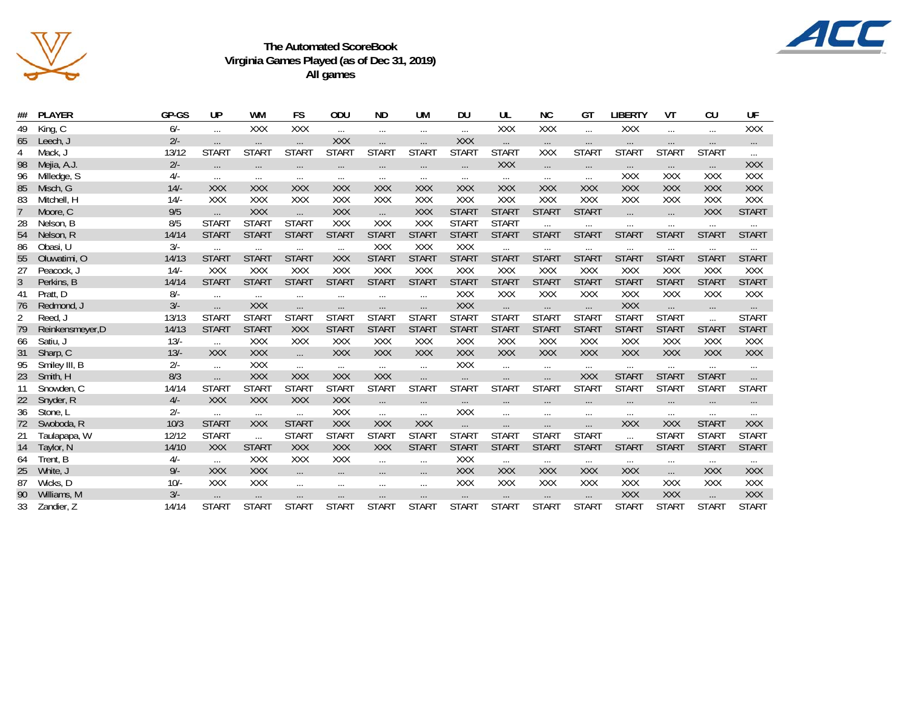



| ##             | <b>PLAYER</b>    | GP-GS  | UP           | WM                | FS           | ODU          | ND.          | UM           | DU                | UL           | NС           | GТ           | LIBERTY      | VT                | CU           | UF           |
|----------------|------------------|--------|--------------|-------------------|--------------|--------------|--------------|--------------|-------------------|--------------|--------------|--------------|--------------|-------------------|--------------|--------------|
| 49             | King, C          | $6/-$  | $\cdots$     | XXX               | XXX          | $\cdots$     | $\cdots$     | $\cdots$     | $\cdots$          | XXX          | XXX          | $\cdots$     | XXX          | $\ldots$          | $\cdots$     | XXX          |
| 65             | Leech, J         | $2/-$  | $\cdots$     | $\cdots$          | $\cdots$     | <b>XXX</b>   | $\cdots$     | $\cdots$     | XXX               | $\cdots$     | $\cdots$     | $\cdots$     | $\cdots$     | $\cdots$          | $\cdots$     | $\cdots$     |
| $\overline{4}$ | Mack, J          | 13/12  | <b>START</b> | <b>START</b>      | <b>START</b> | <b>START</b> | <b>START</b> | <b>START</b> | <b>START</b>      | <b>START</b> | XXX          | <b>START</b> | <b>START</b> | <b>START</b>      | <b>START</b> |              |
| 98             | Mejia, A.J.      | $2/-$  | $\cdots$     | $\cdots$          | $\cdots$     | $\cdots$     | $\cdots$     | $\cdots$     | $\cdots$          | <b>XXX</b>   | $\cdots$     | $\cdots$     | $\cdots$     | $\cdots$          | $\cdots$     | XXX          |
| 96             | Milledge, S      | $4/-$  | $\cdots$     | $\cdots$          | $\cdots$     | $\cdots$     | $\cdots$     | $\cdots$     | $\cdots$          | $\cdots$     | $\cdots$     | $\cdots$     | <b>XXX</b>   | <b>XXX</b>        | <b>XXX</b>   | XXX          |
| 85             | Misch, G         | $14/-$ | <b>XXX</b>   | <b>XXX</b>        | <b>XXX</b>   | <b>XXX</b>   | <b>XXX</b>   | <b>XXX</b>   | <b>XXX</b>        | <b>XXX</b>   | <b>XXX</b>   | <b>XXX</b>   | <b>XXX</b>   | <b>XXX</b>        | <b>XXX</b>   | XXX          |
| 83             | Mitchell, H      | $14/-$ | XXX          | XXX               | XXX          | XXX          | <b>XXX</b>   | XXX          | XXX               | <b>XXX</b>   | XXX          | <b>XXX</b>   | <b>XXX</b>   | <b>XXX</b>        | <b>XXX</b>   | XXX          |
| $\overline{7}$ | Moore, C         | 9/5    | $\cdots$     | <b>XXX</b>        | $\cdots$     | <b>XXX</b>   | $\dddotsc$   | XXX          | <b>START</b>      | <b>START</b> | <b>START</b> | <b>START</b> | $\cdots$     | $\cdots$          | <b>XXX</b>   | <b>START</b> |
| 28             | Nelson, B        | 8/5    | <b>START</b> | <b>START</b>      | <b>START</b> | XXX          | XXX          | XXX          | <b>START</b>      | <b>START</b> | $\cdots$     | $\cdots$     | $\ldots$     | $\cdots$          | $\cdots$     | $\cdots$     |
| 54             | Nelson, R        | 14/14  | <b>START</b> | <b>START</b>      | <b>START</b> | <b>START</b> | <b>START</b> | <b>START</b> | <b>START</b>      | <b>START</b> | <b>START</b> | <b>START</b> | <b>START</b> | <b>START</b>      | <b>START</b> | <b>START</b> |
| 86             | Obasi, U         | $3/-$  | $\cdots$     | $\cdots$          | $\cdots$     | $\cdots$     | XXX          | XXX          | XXX               | $\cdots$     | $\cdots$     | $\cdots$     | $\cdots$     | $\cdots$          | $\cdots$     | $\cdots$     |
| 55             | Oluwatimi, O     | 14/13  | <b>START</b> | <b>START</b>      | <b>START</b> | <b>XXX</b>   | <b>START</b> | <b>START</b> | <b>START</b>      | <b>START</b> | <b>START</b> | <b>START</b> | <b>START</b> | <b>START</b>      | <b>START</b> | <b>START</b> |
| 27             | Peacock, J       | $14/-$ | XXX          | <b>XXX</b>        | <b>XXX</b>   | XXX          | XXX          | <b>XXX</b>   | XXX               | XXX          | XXX          | <b>XXX</b>   | <b>XXX</b>   | <b>XXX</b>        | XXX          | XXX          |
| 3              | Perkins, B       | 14/14  | <b>START</b> | <b>START</b>      | <b>START</b> | <b>START</b> | <b>START</b> | <b>START</b> | <b>START</b>      | <b>START</b> | <b>START</b> | <b>START</b> | <b>START</b> | <b>START</b>      | <b>START</b> | <b>START</b> |
| -41            | Pratt, D         | $8/-$  | $\cdots$     | $\cdots$          | $\cdots$     | $\cdots$     | $\cdots$     | $\cdots$     | XXX               | XXX          | XXX          | XXX          | XXX          | XXX               | XXX          | XXX          |
| 76             | Redmond, J       | $3/-$  | $\cdots$     | XXX               | $\cdots$     | $\cdots$     | $\cdots$     | $\cdots$     | XXX               | $\cdots$     | $\cdots$     | $\cdots$     | <b>XXX</b>   | $\cdots$          | $\cdots$     | $\cdots$     |
| $\overline{2}$ | Reed, J          | 13/13  | <b>START</b> | <b>START</b>      | <b>START</b> | <b>START</b> | <b>START</b> | <b>START</b> | <b>START</b>      | <b>START</b> | <b>START</b> | <b>START</b> | <b>START</b> | <b>START</b>      | $\cdots$     | <b>START</b> |
| 79             | Reinkensmeyer, D | 14/13  | <b>START</b> | <b>START</b>      | <b>XXX</b>   | <b>START</b> | <b>START</b> | <b>START</b> | <b>START</b>      | <b>START</b> | <b>START</b> | <b>START</b> | <b>START</b> | <b>START</b>      | <b>START</b> | <b>START</b> |
| 66             | Satiu, J         | $13/-$ | $\ldots$     | XXX               | XXX          | XXX          | XXX          | XXX          | XXX               | XXX          | XXX          | XXX          | XXX          | XXX               | XXX          | XXX          |
| 31             | Sharp, C         | $13/-$ | <b>XXX</b>   | <b>XXX</b>        | $\cdots$     | <b>XXX</b>   | XXX          | XXX          | XXX               | XXX          | <b>XXX</b>   | XXX          | <b>XXX</b>   | <b>XXX</b>        | <b>XXX</b>   | XXX          |
| 95             | Smiley III, B    | $2/-$  | $\cdots$     | XXX               | $\cdots$     | $\cdots$     | $\dots$      | $\ldots$     | XXX               | $\ldots$     | $\cdots$     | $\cdots$     | $\cdots$     | $\cdots$          | $\cdots$     | $\cdots$     |
| 23             | Smith, H         | 8/3    | $\cdots$     | <b>XXX</b>        | <b>XXX</b>   | <b>XXX</b>   | XXX          | $\cdots$     | $\ldots$          | $\ldots$     | $\cdots$     | XXX          | <b>START</b> | <b>START</b>      | <b>START</b> | $\cdots$     |
| 11             | Snowden, C       | 14/14  | <b>START</b> | STAR <sub>1</sub> | <b>START</b> | <b>START</b> | <b>START</b> | <b>START</b> | STAR <sub>1</sub> | <b>START</b> | <b>START</b> | <b>START</b> | <b>START</b> | STAR <sub>1</sub> | <b>START</b> | <b>START</b> |
| 22             | Snyder, R        | $4/-$  | <b>XXX</b>   | <b>XXX</b>        | <b>XXX</b>   | <b>XXX</b>   | $\cdots$     | $\ldots$     | $\cdots$          | $\cdots$     | $\cdots$     | $\cdots$     | $\cdots$     | $\cdots$          | $\cdots$     | $\cdots$     |
| 36             | Stone, L         | $2/-$  | $\cdots$     | $\cdots$          | $\cdots$     | XXX          | $\cdots$     | $\cdots$     | XXX               | $\cdots$     | $\cdots$     | $\cdots$     | $\cdots$     | $\cdots$          | $\cdots$     | $\cdots$     |
| 72             | Swoboda, R       | 10/3   | <b>START</b> | XXX               | <b>START</b> | <b>XXX</b>   | XXX          | <b>XXX</b>   | $\cdots$          | $\cdots$     | $\ldots$     | $\cdots$     | <b>XXX</b>   | <b>XXX</b>        | <b>START</b> | <b>XXX</b>   |
| 21             | Taulapapa, W     | 12/12  | <b>START</b> | $\cdots$          | <b>START</b> | <b>START</b> | <b>START</b> | <b>START</b> | <b>START</b>      | <b>START</b> | <b>START</b> | <b>START</b> | $\dddotsc$   | <b>START</b>      | <b>START</b> | <b>START</b> |
| 14             | Taylor, N        | 14/10  | <b>XXX</b>   | <b>START</b>      | XXX          | XXX          | <b>XXX</b>   | <b>START</b> | <b>START</b>      | <b>START</b> | <b>START</b> | <b>START</b> | <b>START</b> | <b>START</b>      | <b>START</b> | <b>START</b> |
| -64            | Trent, B         | $4/-$  | $\ldots$     | <b>XXX</b>        | <b>XXX</b>   | XXX          | $\cdots$     | $\cdots$     | <b>XXX</b>        | $\ldots$     | $\cdots$     | $\cdots$     | $\cdots$     | $\cdots$          | $\cdots$     | $\cdots$     |
| 25             | White, J         | $9/-$  | <b>XXX</b>   | <b>XXX</b>        | $\cdots$     | $\cdots$     | $\cdots$     | $\cdots$     | <b>XXX</b>        | <b>XXX</b>   | <b>XXX</b>   | <b>XXX</b>   | <b>XXX</b>   | $\cdots$          | <b>XXX</b>   | <b>XXX</b>   |
| 87             | Wicks, D         | $10/-$ | XXX          | XXX               | $\cdots$     | $\cdots$     | $\cdots$     | $\cdots$     | XXX               | <b>XXX</b>   | XXX          | <b>XXX</b>   | <b>XXX</b>   | <b>XXX</b>        | XXX          | XXX          |
| 90             | Williams, M      | $3/-$  | $\cdots$     | $\ldots$          | $\ldots$     | $\cdots$     | $\cdots$     | $\cdots$     | $\ldots$          | $\cdots$     | $\cdots$     | $\cdots$     | XXX          | <b>XXX</b>        | $\ldots$     | XXX          |
| 33             | Zandier, Z       | 14/14  | <b>START</b> | <b>START</b>      | <b>START</b> | <b>START</b> | <b>START</b> | <b>START</b> | <b>START</b>      | <b>START</b> | <b>START</b> | <b>START</b> | <b>START</b> | <b>START</b>      | <b>START</b> | <b>START</b> |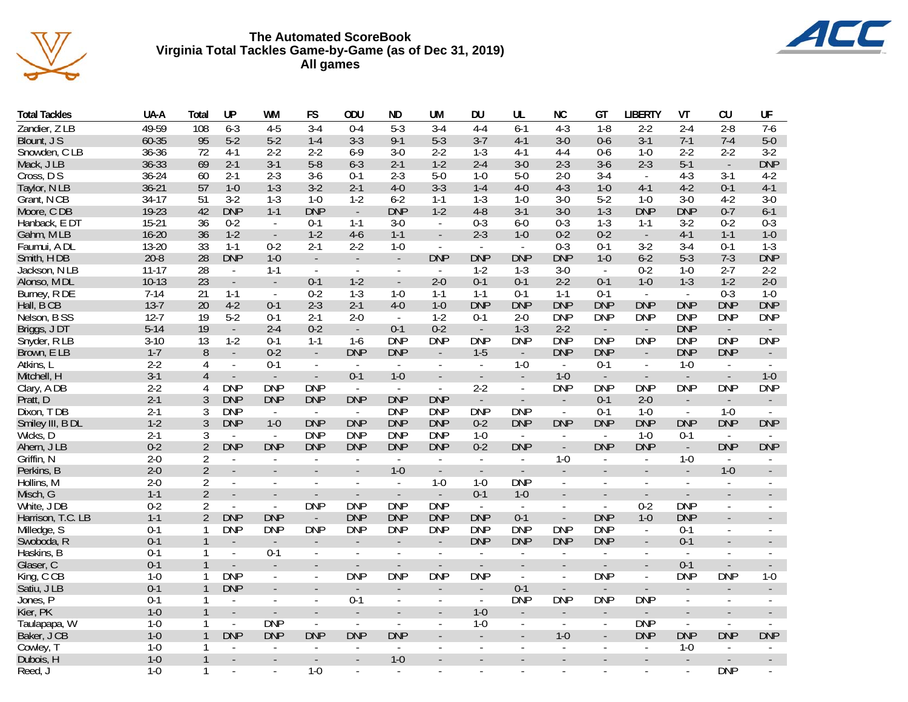

# **The Automated ScoreBook Virginia Total Tackles Game-by-Game (as of Dec 31, 2019) All games**



| Total Tackles     | UA-A      | Total          | UP                       | WM                       | FS                          | <b>ODU</b>                  | ND.                      | UM                       | DU                          | UL                       | <b>NC</b>                | GT                       | LIBERTY                     | VT                       | CU                          | UF                          |
|-------------------|-----------|----------------|--------------------------|--------------------------|-----------------------------|-----------------------------|--------------------------|--------------------------|-----------------------------|--------------------------|--------------------------|--------------------------|-----------------------------|--------------------------|-----------------------------|-----------------------------|
| Zandier, Z LB     | 49-59     | 108            | $6 - 3$                  | $4 - 5$                  | $3-4$                       | $0 - 4$                     | $5 - 3$                  | $3-4$                    | $4 - 4$                     | $6 - 1$                  | $4 - 3$                  | $1-8$                    | $2 - 2$                     | $2 - 4$                  | $2 - 8$                     | $7-6$                       |
| Blount, J S       | 60-35     | 95             | $5-2$                    | $5-2$                    | $1 - 4$                     | $3 - 3$                     | $9 - 1$                  | $5 - 3$                  | $3 - 7$                     | $4-1$                    | $3-0$                    | $0-6$                    | $3-1$                       | $7-1$                    | $7 - 4$                     | $5-0$                       |
| Snowden, CLB      | 36-36     | 72             | 4-1                      | $2 - 2$                  | $2 - 2$                     | $6 - 9$                     | $3 - 0$                  | $2 - 2$                  | $1-3$                       | $4-1$                    | $4 - 4$                  | 0-6                      | $1 - 0$                     | $2 - 2$                  | $2 - 2$                     | $3-2$                       |
| Mack, J LB        | 36-33     | 69             | $2 - 1$                  | $3-1$                    | $5-8$                       | $6 - 3$                     | $2 - 1$                  | $1 - 2$                  | $2 - 4$                     | $3-0$                    | $2 - 3$                  | $3-6$                    | $2 - 3$                     | $5-1$                    | $\Box$                      | <b>DNP</b>                  |
| Cross, D S        | $36 - 24$ | 60             | 2-1                      | 2-3                      | $3-6$                       | $0-1$                       | $2 - 3$                  | $5-0$                    | $1 - 0$                     | $5-0$                    | $2 - 0$                  | 3-4                      | $\sim$                      | $4 - 3$                  | $3 - 1$                     | $4 - 2$                     |
| Taylor, N LB      | $36 - 21$ | 57             | $1-0$                    | $1 - 3$                  | $3-2$                       | $2 - 1$                     | $4 - 0$                  | $3 - 3$                  | $1 - 4$                     | $4-0$                    | $4-3$                    | $1 - 0$                  | $4-1$                       | $4-2$                    | $0 - 1$                     | $4-1$                       |
| Grant, N CB       | $34-17$   | 51             | $3-2$                    | $1 - 3$                  | $1 - 0$                     | $1 - 2$                     | $6 - 2$                  | $1 - 1$                  | $1-3$                       | $1 - 0$                  | $3-0$                    | $5 - 2$                  | $1 - 0$                     | $3 - 0$                  | $4-2$                       | $3-0$                       |
| Moore, CDB        | 19-23     | 42             | <b>DNP</b>               | $1 - 1$                  | <b>DNP</b>                  | $\Box$                      | <b>DNP</b>               | $1-2$                    | $4 - 8$                     | $3-1$                    | $3-0$                    | $1 - 3$                  | <b>DNP</b>                  | <b>DNP</b>               | $0 - 7$                     | $6 - 1$                     |
| Hanback, E DT     | $15-21$   | 36             | $0 - 2$                  | $\sim$                   | $0 - 1$                     | $1 - 1$                     | $3-0$                    | $\blacksquare$           | $0 - 3$                     | $6 - 0$                  | $0 - 3$                  | $1 - 3$                  | $1 - 1$                     | $3-2$                    | $0 - 2$                     | $0 - 3$                     |
| Gahm, MLB         | $16 - 20$ | 36             | $1-2$                    | $\overline{\phantom{a}}$ | $1-2$                       | $4-6$                       | $1 - 1$                  |                          | $2 - 3$                     | $1 - 0$                  | $0 - 2$                  | $0 - 2$                  | $\mathcal{L}_{\mathcal{A}}$ | $4-1$                    | $1 - 1$                     | $1 - 0$                     |
| Faumui, A DL      | $13 - 20$ | 33             | $1 - 1$                  | $0 - 2$                  | $2-1$                       | $2 - 2$                     | $1 - 0$                  | $\sim$                   | $\sim$                      | $\mathbb{L}$             | $0 - 3$                  | $0-1$                    | $3-2$                       | $3-4$                    | $0-1$                       | $1 - 3$                     |
| Smith, HDB        | $20 - 8$  | 28             | <b>DNP</b>               | $1 - 0$                  | $\blacksquare$              | $\Box$                      | $\overline{\phantom{a}}$ | <b>DNP</b>               | <b>DNP</b>                  | <b>DNP</b>               | <b>DNP</b>               | $1 - 0$                  | $6 - 2$                     | $5 - 3$                  | $7-3$                       | <b>DNP</b>                  |
| Jackson, N LB     | $11 - 17$ | 28             | $\sim$                   | $1 - 1$                  | $\overline{\phantom{a}}$    | $\sim$                      | $\sim$                   | $\sim$                   | $1-2$                       | $1 - 3$                  | $3 - 0$                  | $\sim$                   | $0 - 2$                     | $1 - 0$                  | $2 - 7$                     | $2 - 2$                     |
| Alonso, M DL      | $10-13$   | 23             | $\overline{\phantom{a}}$ | $\sim$                   | $0 - 1$                     | $1-2$                       | $\sim$                   | $2 - 0$                  | $0 - 1$                     | $0 - 1$                  | $2 - 2$                  | $0 - 1$                  | $1 - 0$                     | $1 - 3$                  | $1 - 2$                     | $2 - 0$                     |
| Burney, R DE      | $7 - 14$  | 21             | $1 - 1$                  | $\sim$                   | $0 - 2$                     | $1 - 3$                     | $1 - 0$                  | $1 - 1$                  | $1 - 1$                     | $0 - 1$                  | $1 - 1$                  | $0 - 1$                  | $\sim$                      | $\sim$ $\sim$            | $0 - 3$                     | $1 - 0$                     |
| Hall, B CB        | $13 - 7$  | 20             | $4-2$                    | $0 - 1$                  | $2 - 3$                     | $2 - 1$                     | $4 - 0$                  | $1-0$                    | <b>DNP</b>                  | <b>DNP</b>               | <b>DNP</b>               | <b>DNP</b>               | <b>DNP</b>                  | <b>DNP</b>               | <b>DNP</b>                  | <b>DNP</b>                  |
| Nelson, B SS      | $12 - 7$  | 19             | $5-2$                    | $0-1$                    | $2-1$                       | $2-0$                       | $\sim$                   | $1-2$                    | $0-1$                       | $2 - 0$                  | <b>DNP</b>               | <b>DNP</b>               | <b>DNP</b>                  | <b>DNP</b>               | <b>DNP</b>                  | <b>DNP</b>                  |
| Briggs, JDT       | $5 - 14$  | 19             | $\mathcal{L}$            | $2 - 4$                  | $0 - 2$                     | $\mathcal{L}_{\mathcal{A}}$ | $0 - 1$                  | $0 - 2$                  | $\mathcal{L}_{\mathcal{A}}$ | $1-3$                    | $2 - 2$                  | $\sim$                   | $\mathcal{L}_{\mathcal{A}}$ | <b>DNP</b>               | $\mathcal{L}_{\mathcal{A}}$ | $\mathcal{L}_{\mathcal{A}}$ |
| Snyder, RLB       | $3 - 10$  | 13             | $1-2$                    | $0-1$                    | $1 - 1$                     | $1-6$                       | <b>DNP</b>               | <b>DNP</b>               | <b>DNP</b>                  | <b>DNP</b>               | <b>DNP</b>               | <b>DNP</b>               | <b>DNP</b>                  | <b>DNP</b>               | <b>DNP</b>                  | <b>DNP</b>                  |
| Brown, E LB       | $1-7$     | 8              | $\blacksquare$           | $0 - 2$                  | $\blacksquare$              | <b>DNP</b>                  | <b>DNP</b>               | $\mathcal{L}$            | $1 - 5$                     | $\mathbb{Z}^2$           | <b>DNP</b>               | <b>DNP</b>               | $\mathcal{L}$               | <b>DNP</b>               | <b>DNP</b>                  | $\mathbb{Z}^2$              |
| Atkins, L         | $2 - 2$   | 4              | $\blacksquare$           | $0-1$                    | $\sim$                      | $\sim$                      | $\sim$                   | $\overline{\phantom{a}}$ | $\blacksquare$              | $1 - 0$                  | $\sim$                   | $0 - 1$                  | $\sim$                      | $1-0$                    | $\sim$                      | $\sim$                      |
| Mitchell, H       | $3-1$     | 4              |                          | $\mathbb{Z}^2$           |                             | $0-1$                       | $1 - 0$                  |                          |                             |                          | $1-0$                    | $\mathcal{L}$            |                             | $\mathbb{Z}^2$           |                             | $1-0$                       |
| Clary, A DB       | $2 - 2$   | 4              | <b>DNP</b>               | <b>DNP</b>               | <b>DNP</b>                  | $\sim$ $\sim$               | $\sim$                   | $\omega$                 | $2 - 2$                     | $\mathbb{L}$             | <b>DNP</b>               | <b>DNP</b>               | <b>DNP</b>                  | <b>DNP</b>               | <b>DNP</b>                  | <b>DNP</b>                  |
| Pratt, D          | $2 - 1$   | 3              | <b>DNP</b>               | <b>DNP</b>               | <b>DNP</b>                  | <b>DNP</b>                  | <b>DNP</b>               | <b>DNP</b>               | $\blacksquare$              | $\blacksquare$           | $\blacksquare$           | $0 - 1$                  | $2 - 0$                     | $\blacksquare$           | $\blacksquare$              | $\blacksquare$              |
| Dixon, TDB        | $2 - 1$   | 3              | <b>DNP</b>               | $\sim$                   | $\sim$                      | $\sim$                      | <b>DNP</b>               | <b>DNP</b>               | <b>DNP</b>                  | <b>DNP</b>               | $\blacksquare$           | $0-1$                    | $1-0$                       | $\sim$                   | $1-0$                       | $\sim$                      |
| Smiley III, B DL  | $1 - 2$   | 3              | <b>DNP</b>               | $1 - 0$                  | <b>DNP</b>                  | <b>DNP</b>                  | <b>DNP</b>               | <b>DNP</b>               | $0 - 2$                     | <b>DNP</b>               | <b>DNP</b>               | <b>DNP</b>               | <b>DNP</b>                  | <b>DNP</b>               | <b>DNP</b>                  | <b>DNP</b>                  |
| Wicks, D          | $2 - 1$   | 3              | $\sim$                   | $\sim$                   | <b>DNP</b>                  | <b>DNP</b>                  | <b>DNP</b>               | <b>DNP</b>               | $1 - 0$                     | $\sim$                   | $\blacksquare$           | $\sim$                   | $1 - 0$                     | $0 - 1$                  | $\sim$                      |                             |
| Ahern, J LB       | $0 - 2$   | 2              | <b>DNP</b>               | <b>DNP</b>               | <b>DNP</b>                  | <b>DNP</b>                  | <b>DNP</b>               | <b>DNP</b>               | $0 - 2$                     | <b>DNP</b>               | $\blacksquare$           | <b>DNP</b>               | <b>DNP</b>                  | $\blacksquare$           | <b>DNP</b>                  | <b>DNP</b>                  |
| Griffin, N        | $2 - 0$   | 2              | $\sim$                   | $\sim$                   | $\sim$                      | $\sim$                      | $\sim$                   | $\sim$                   | $\sim$                      | $\sim$                   | $1 - 0$                  | $\overline{\phantom{a}}$ | $\overline{\phantom{a}}$    | $1 - 0$                  | $\sim$                      | $\sim$                      |
| Perkins, B        | $2 - 0$   | 2              |                          |                          |                             |                             | $1 - 0$                  |                          |                             |                          |                          |                          |                             |                          | $1 - 0$                     |                             |
| Hollins, M        | $2 - 0$   | 2              | $\overline{\phantom{a}}$ | $\overline{\phantom{a}}$ | $\overline{\phantom{a}}$    | $\overline{\phantom{a}}$    | $\blacksquare$           | $1 - 0$                  | $1 - 0$                     | <b>DNP</b>               | $\sim$                   | $\overline{\phantom{a}}$ | $\overline{\phantom{a}}$    | $\blacksquare$           | $\blacksquare$              | $\overline{\phantom{a}}$    |
| Misch, G          | $1 - 1$   | $\overline{2}$ | $\mathbb{L}$             | $\sim$                   | $\mathcal{L}_{\mathcal{A}}$ | $\mathcal{L}_{\mathcal{A}}$ | $\mathbb{L}$             | $\sim$                   | $0-1$                       | $1 - 0$                  |                          |                          | $\overline{\phantom{a}}$    | $\overline{\phantom{a}}$ |                             |                             |
| White, J DB       | $0 - 2$   | 2              | $\sim$                   | $\sim$                   | <b>DNP</b>                  | <b>DNP</b>                  | <b>DNP</b>               | <b>DNP</b>               | $\sim$                      | $\sim$                   | $\sim$                   | $\sim$                   | $0 - 2$                     | <b>DNP</b>               |                             |                             |
| Harrison, T.C. LB | $1 - 1$   | $\overline{2}$ | <b>DNP</b>               | <b>DNP</b>               | $\Box$                      | <b>DNP</b>                  | <b>DNP</b>               | <b>DNP</b>               | <b>DNP</b>                  | $0 - 1$                  | $\mathbb{L}$             | <b>DNP</b>               | $1 - 0$                     | <b>DNP</b>               |                             |                             |
| Milledge, S       | $0 - 1$   |                | <b>DNP</b>               | <b>DNP</b>               | <b>DNP</b>                  | <b>DNP</b>                  | <b>DNP</b>               | <b>DNP</b>               | <b>DNP</b>                  | <b>DNP</b>               | <b>DNP</b>               | <b>DNP</b>               | $\blacksquare$              | $0 - 1$                  |                             |                             |
| Swoboda, R        | $0 - 1$   |                |                          | $\mathcal{L}$            |                             | $\overline{a}$              | $\overline{a}$           | $\mathbb{Z}^2$           | <b>DNP</b>                  | <b>DNP</b>               | <b>DNP</b>               | <b>DNP</b>               |                             | $0 - 1$                  |                             |                             |
| Haskins, B        | $0 - 1$   |                | $\sim$                   | $0-1$                    | $\sim$                      | $\sim$                      | $\sim$                   | $\sim$                   | $\sim$                      | $\sim$                   | $\mathbb{L}$             | $\mathbb{Z}^2$           |                             | $\mathbb{Z}^2$           |                             |                             |
| Glaser, C         | $0 - 1$   |                |                          |                          |                             | $\blacksquare$              | $\blacksquare$           | $\sim$                   | $\blacksquare$              |                          |                          |                          |                             | $0 - 1$                  |                             |                             |
| King, CCB         | $1-0$     |                | <b>DNP</b>               | $\sim$                   | $\sim$                      | <b>DNP</b>                  | <b>DNP</b>               | <b>DNP</b>               | <b>DNP</b>                  | $\sim$                   | $\overline{\phantom{a}}$ | <b>DNP</b>               | $\sim$                      | <b>DNP</b>               | <b>DNP</b>                  | $1 - 0$                     |
| Satiu, J LB       | $0-1$     |                | <b>DNP</b>               |                          |                             |                             |                          |                          |                             | $0 - 1$                  |                          |                          |                             |                          |                             |                             |
| Jones, P          | $0 - 1$   |                |                          | $\sim$                   | $\sim$                      | $0 - 1$                     |                          |                          | $\sim$                      | <b>DNP</b>               | <b>DNP</b>               | <b>DNP</b>               | <b>DNP</b>                  |                          |                             |                             |
| Kier, PK          | $1-0$     |                |                          | $\overline{\phantom{a}}$ |                             |                             |                          |                          | $1 - 0$                     |                          |                          | $\blacksquare$           | $\overline{\phantom{a}}$    |                          |                             |                             |
| Taulapapa, W      | $1 - 0$   |                | $\sim$                   | <b>DNP</b>               | $\blacksquare$              | $\sim$                      | $\sim$                   |                          | $1 - 0$                     | $\overline{\phantom{a}}$ | $\overline{\phantom{a}}$ | $\blacksquare$           | <b>DNP</b>                  | $\sim$                   | $\sim$                      | $\sim$                      |
| Baker, J CB       | $1-0$     |                | <b>DNP</b>               | <b>DNP</b>               | <b>DNP</b>                  | <b>DNP</b>                  | <b>DNP</b>               |                          |                             |                          | $1 - 0$                  |                          | <b>DNP</b>                  | <b>DNP</b>               | <b>DNP</b>                  | <b>DNP</b>                  |
| Cowley, T         | $1-0$     |                |                          |                          |                             |                             | $\sim$                   |                          |                             |                          |                          |                          | $\overline{\phantom{a}}$    | $1-0$                    | $\overline{\phantom{a}}$    |                             |
| Dubois, H         | $1 - 0$   |                |                          |                          |                             |                             | $1 - 0$                  |                          |                             |                          |                          |                          |                             |                          | $\blacksquare$              |                             |
| Reed, J           | $1 - 0$   |                |                          | $\sim$                   | $1-0$                       | $\sim$                      | $\sim$                   |                          |                             |                          |                          |                          |                             |                          | <b>DNP</b>                  |                             |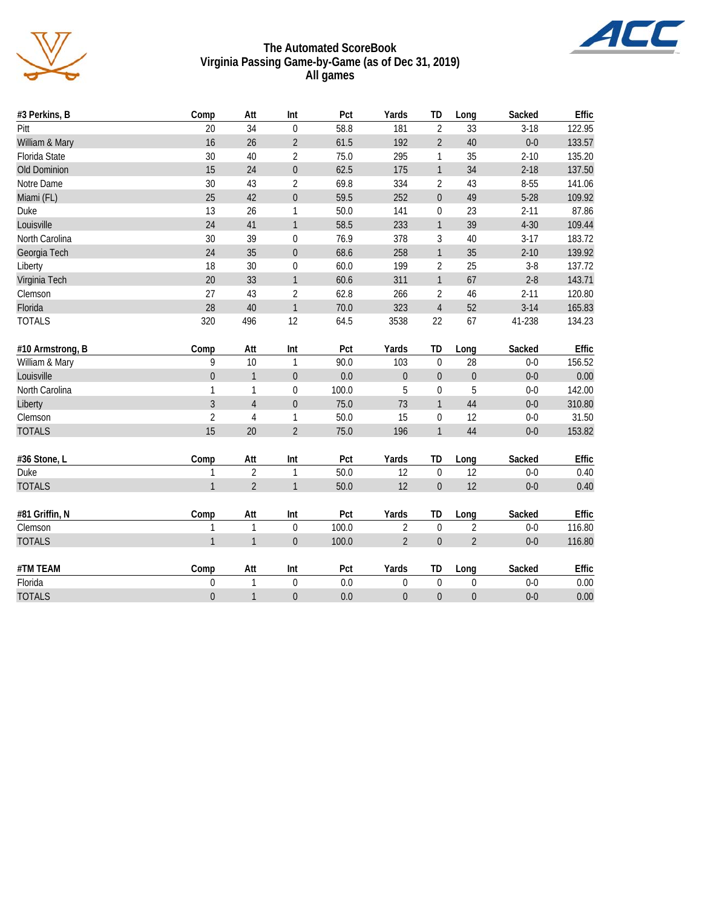

#### **The Automated ScoreBook Virginia Passing Game-by-Game (as of Dec 31, 2019) All games**

| #3 Perkins, B    | Comp             | Att            | Int              | Pct   | Yards            | TD               | Long             | Sacked   | Effic  |
|------------------|------------------|----------------|------------------|-------|------------------|------------------|------------------|----------|--------|
| Pitt             | 20               | 34             | $\pmb{0}$        | 58.8  | 181              | $\overline{2}$   | 33               | $3-18$   | 122.95 |
| William & Mary   | 16               | 26             | $\overline{2}$   | 61.5  | 192              | $\overline{2}$   | 40               | $0-0$    | 133.57 |
| Florida State    | 30               | 40             | 2                | 75.0  | 295              | 1                | 35               | $2 - 10$ | 135.20 |
| Old Dominion     | 15               | 24             | $\boldsymbol{0}$ | 62.5  | 175              | $\mathbf{1}$     | 34               | $2 - 18$ | 137.50 |
| Notre Dame       | 30               | 43             | $\overline{2}$   | 69.8  | 334              | $\overline{2}$   | 43               | 8-55     | 141.06 |
| Miami (FL)       | 25               | 42             | $\boldsymbol{0}$ | 59.5  | 252              | $\mathbf 0$      | 49               | $5 - 28$ | 109.92 |
| Duke             | 13               | 26             | 1                | 50.0  | 141              | 0                | 23               | $2 - 11$ | 87.86  |
| Louisville       | 24               | 41             | $\mathbf{1}$     | 58.5  | 233              | $\mathbf{1}$     | 39               | $4 - 30$ | 109.44 |
| North Carolina   | 30               | 39             | $\pmb{0}$        | 76.9  | 378              | $\sqrt{3}$       | 40               | $3 - 17$ | 183.72 |
| Georgia Tech     | 24               | 35             | $\boldsymbol{0}$ | 68.6  | 258              | $\mathbf{1}$     | 35               | $2 - 10$ | 139.92 |
| Liberty          | 18               | 30             | $\boldsymbol{0}$ | 60.0  | 199              | $\sqrt{2}$       | 25               | $3 - 8$  | 137.72 |
| Virginia Tech    | 20               | 33             | $\mathbf{1}$     | 60.6  | 311              | $\mathbf{1}$     | 67               | $2 - 8$  | 143.71 |
| Clemson          | 27               | 43             | $\overline{2}$   | 62.8  | 266              | $\sqrt{2}$       | 46               | $2 - 11$ | 120.80 |
| Florida          | 28               | 40             | $\mathbf{1}$     | 70.0  | 323              | $\overline{4}$   | 52               | $3-14$   | 165.83 |
| <b>TOTALS</b>    | 320              | 496            | 12               | 64.5  | 3538             | 22               | 67               | 41-238   | 134.23 |
| #10 Armstrong, B | Comp             | Att            | Int              | Pct   | Yards            | TD               | Long             | Sacked   | Effic  |
| William & Mary   | 9                | 10             | $\mathbf{1}$     | 90.0  | 103              | $\overline{0}$   | 28               | $0-0$    | 156.52 |
| Louisville       | $\boldsymbol{0}$ | $\mathbf{1}$   | $\boldsymbol{0}$ | 0.0   | $\boldsymbol{0}$ | $\overline{0}$   | $\boldsymbol{0}$ | $0-0$    | 0.00   |
| North Carolina   | $\mathbf{1}$     | $\mathbf{1}$   | $\pmb{0}$        | 100.0 | 5                | $\boldsymbol{0}$ | 5                | $0-0$    | 142.00 |
| Liberty          | $\overline{3}$   | $\sqrt{4}$     | $\boldsymbol{0}$ | 75.0  | 73               | $\mathbf{1}$     | 44               | $0-0$    | 310.80 |
| Clemson          | $\overline{2}$   | $\overline{4}$ | 1                | 50.0  | 15               | $\boldsymbol{0}$ | 12               | $0-0$    | 31.50  |
| <b>TOTALS</b>    | 15               | 20             | $\overline{2}$   | 75.0  | 196              | $\mathbf{1}$     | 44               | $0-0$    | 153.82 |
| #36 Stone, L     | Comp             | Att            | Int              | Pct   | Yards            | TD               | Long             | Sacked   | Effic  |
| Duke             | $\mathbf{1}$     | $\overline{2}$ | $\mathbf{1}$     | 50.0  | 12               | $\boldsymbol{0}$ | 12               | $0-0$    | 0.40   |
| <b>TOTALS</b>    | $\mathbf{1}$     | $\overline{2}$ | $\mathbf{1}$     | 50.0  | 12               | $\boldsymbol{0}$ | 12               | $0-0$    | 0.40   |
| #81 Griffin, N   | Comp             | Att            | Int              | Pct   | Yards            | TD               | Long             | Sacked   | Effic  |
| Clemson          | $\mathbf{1}$     | $\mathbf{1}$   | $\boldsymbol{0}$ | 100.0 | $\overline{2}$   | $\mathbf 0$      | $\overline{2}$   | $0-0$    | 116.80 |
| <b>TOTALS</b>    | $\mathbf{1}$     | $\mathbf{1}$   | $\boldsymbol{0}$ | 100.0 | $\overline{2}$   | $\boldsymbol{0}$ | $\overline{2}$   | $0-0$    | 116.80 |
| #TM TEAM         | Comp             | Att            | Int              | Pct   | Yards            | TD               | Long             | Sacked   | Effic  |
| Florida          | $\boldsymbol{0}$ | $\mathbf{1}$   | $\boldsymbol{0}$ | 0.0   | $\boldsymbol{0}$ | $\mathbf 0$      | 0                | $0-0$    | 0.00   |
| <b>TOTALS</b>    | $\boldsymbol{0}$ | $\mathbf{1}$   | $\mathbf 0$      | 0.0   | $\theta$         | $\boldsymbol{0}$ | $\boldsymbol{0}$ | $0-0$    | 0.00   |

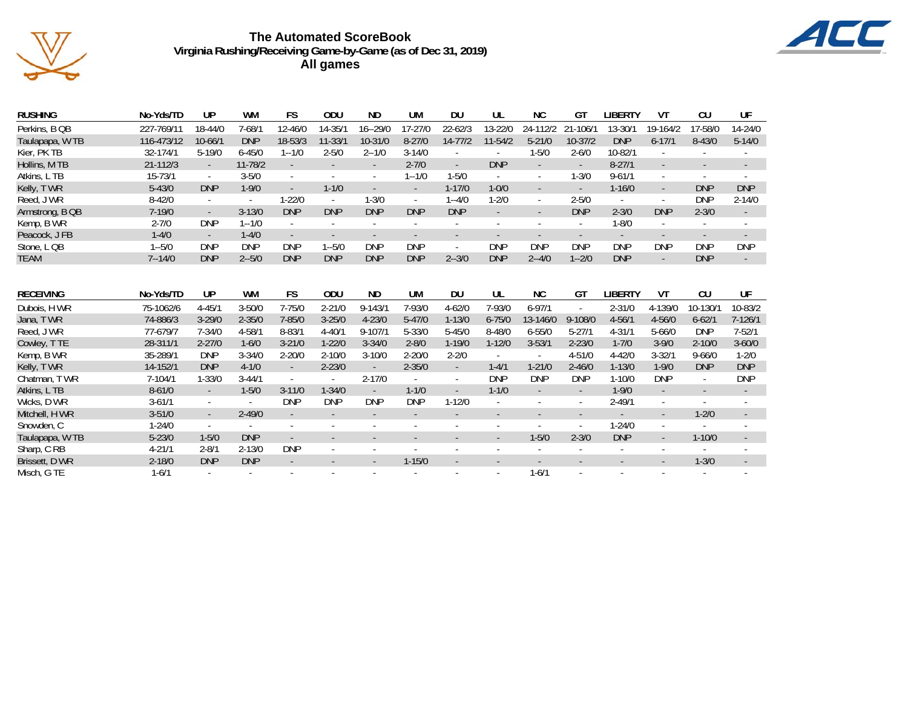

# **The Automated ScoreBook Virginia Rushing/Receiving Game-by-Game (as of Dec 31, 2019) All games**



| <b>RUSHING</b>   | No-Yds/TD    | UP          | WM         | FS                       | ODU         | ND.                      | UM         | DU                       | UL                       | ΝC                       | GT                       | LIBERTY    | VT            | CU                       | UF                       |
|------------------|--------------|-------------|------------|--------------------------|-------------|--------------------------|------------|--------------------------|--------------------------|--------------------------|--------------------------|------------|---------------|--------------------------|--------------------------|
| Perkins, B QB    | 227-769/11   | 18-44/0     | 7-68/1     | 12-46/0                  | $14 - 35/2$ | $16 - 29/0$              | 17-27/0    | $22 - 62/3$              | 13-22/0                  | 24-112/2                 | 21-106/1                 | 13-30/1    | 19-164/2      | 17-58/0                  | 14-24/0                  |
| Taulapapa, WTB   | 116-473/12   | $10 - 66/1$ | <b>DNP</b> | 18-53/3                  | $11 - 33/1$ | 10-31/0                  | $8 - 27/0$ | $14 - 77/2$              | 11-54/2                  | $5 - 21/0$               | 10-37/2                  | <b>DNP</b> | $6 - 17/1$    | $8 - 43/0$               | $5 - 14/0$               |
| Kier, PK TB      | 32-174/1     | $5 - 19/0$  | $6 - 45/0$ | $1 - 1/0$                | $2 - 5/0$   | $2 - 1/0$                | $3 - 14/0$ | ٠                        |                          | $1 - 5/0$                | $2 - 6/0$                | 10-82/1    |               |                          |                          |
| Hollins, M TB    | $21 - 112/3$ | $\sim$      | 11-78/2    | $\sim$                   | $\sim$      | $\sim$                   | $2 - 7/0$  | $\sim$                   | <b>DNP</b>               | $\sim$                   | $\sim$                   | $8 - 27/1$ |               |                          | $\overline{\phantom{a}}$ |
| Atkins, L TB     | 15-73/1      | $\sim$      | $3 - 5/0$  | ×.                       |             | $\overline{\phantom{a}}$ | $1 - 1/0$  | $1 - 5/0$                | $\sim$                   | $\sim$                   | $1 - 3/0$                | $9 - 61/1$ | $\mathcal{L}$ | $\sim$                   | $\sim$                   |
| Kelly, TWR       | $5 - 43/0$   | <b>DNP</b>  | $1 - 9/0$  |                          | $1 - 1/0$   |                          | $\sim$     | $1 - 17/0$               | $1 - 0/0$                |                          | $\overline{\phantom{a}}$ | $1 - 16/0$ | $\sim$        | <b>DNP</b>               | <b>DNP</b>               |
| Reed, J WR       | $8 - 42/0$   | $\sim$      |            | $1 - 22/0$               |             | $1 - 3/0$                |            | $1 - 4/0$                | $1 - 2/0$                | $\sim$                   | $2 - 5/0$                |            |               | <b>DNP</b>               | $2 - 14/0$               |
| Armstrong, B QB  | $7 - 19/0$   | $\sim$      | $3 - 13/0$ | <b>DNP</b>               | <b>DNP</b>  | <b>DNP</b>               | <b>DNP</b> | <b>DNP</b>               | $\blacksquare$           | $\overline{\phantom{a}}$ | <b>DNP</b>               | $2 - 3/0$  | <b>DNP</b>    | $2 - 3/0$                | $\sim$                   |
| Kemp, B WR       | $2 - 7/0$    | <b>DNP</b>  | $1 - 1/0$  | $\sim$                   |             |                          |            |                          |                          |                          | $\overline{\phantom{a}}$ | $1 - 8/0$  | $\sim$        |                          |                          |
| Peacock, JFB     | $1 - 4/0$    | $\sim$      | $1 - 4/0$  | $\overline{\phantom{a}}$ |             | $\overline{\phantom{a}}$ |            | $\overline{\phantom{a}}$ | $\overline{\phantom{a}}$ | $\sim$                   | $\overline{\phantom{a}}$ |            |               | ٠                        |                          |
| Stone, L QB      | $1 - 5/0$    | <b>DNP</b>  | <b>DNP</b> | <b>DNP</b>               | $1 - 5/0$   | <b>DNP</b>               | <b>DNP</b> | $\sim$                   | <b>DNP</b>               | <b>DNP</b>               | <b>DNP</b>               | <b>DNP</b> | <b>DNP</b>    | <b>DNP</b>               | <b>DNP</b>               |
| <b>TEAM</b>      | $7 - 14/0$   | <b>DNP</b>  | $2 - 5/0$  | <b>DNP</b>               | <b>DNP</b>  | <b>DNP</b>               | <b>DNP</b> | $2 - 3/0$                | <b>DNP</b>               | $2 - 4/0$                | $1 - 2/0$                | <b>DNP</b> | $\sim$        | <b>DNP</b>               |                          |
|                  |              |             |            |                          |             |                          |            |                          |                          |                          |                          |            |               |                          |                          |
| <b>RECEIVING</b> | No-Yds/TD    | UP          | WM         | <b>FS</b>                | ODU         | ND                       | UM         | DU                       | UL                       | <b>NC</b>                | GT                       | LIBERTY    | VT            | CU                       | UF                       |
| Dubois, H WR     | 75-1062/6    | $4 - 45/1$  | $3 - 50/0$ | $7 - 75/0$               | $2 - 21/0$  | $9 - 143/2$              | 7-93/0     | $4 - 62/0$               | $7 - 93/0$               | $6 - 97/1$               | $\mathbf{r}$             | $2 - 31/0$ | 4-139/0       | 10-130/                  | 10-83/2                  |
| Jana, TWR        | 74-886/3     | $3 - 29/0$  | $2 - 35/0$ | $7 - 85/0$               | $3 - 25/0$  | $4 - 23/0$               | $5 - 47/0$ | $1 - 13/0$               | $6 - 75/0$               | 13-146/0                 | 9-108/0                  | $4 - 56/1$ | $4 - 56/0$    | $6 - 62/1$               | $7 - 126/1$              |
| Reed, J WR       | 77-679/7     | $7 - 34/0$  | $4 - 58/1$ | $8 - 83/1$               | $4 - 40/1$  | $9 - 107/1$              | $5 - 33/0$ | $5 - 45/0$               | $8 - 48/0$               | $6 - 55/0$               | $5 - 27/1$               | $4 - 31/1$ | $5 - 66/0$    | <b>DNP</b>               | $7 - 52/1$               |
| Cowley, TTE      | 28-311/1     | $2 - 27/0$  | $1 - 6/0$  | $3 - 21/0$               | $1 - 22/0$  | $3 - 34/0$               | $2 - 8/0$  | $1 - 19/0$               | $1 - 12/0$               | $3 - 53/1$               | $2 - 23/0$               | $1 - 7/0$  | $3 - 9/0$     | $2 - 10/0$               | $3 - 60/0$               |
| Kemp, B WR       | 35-289/1     | <b>DNP</b>  | $3 - 34/0$ | $2 - 20/0$               | $2 - 10/0$  | $3 - 10/0$               | $2 - 20/0$ | $2 - 2/0$                |                          |                          | $4 - 51/0$               | $4 - 42/0$ | $3 - 32/1$    | $9 - 66/0$               | $1 - 2/0$                |
| Kelly, TWR       | 14-152/1     | <b>DNP</b>  | $4 - 1/0$  | $\blacksquare$           | $2 - 23/0$  |                          | $2 - 35/0$ | $\sim$                   | $1 - 4/1$                | $1 - 21/0$               | $2 - 46/0$               | $1 - 13/0$ | $1 - 9/0$     | <b>DNP</b>               | <b>DNP</b>               |
| Chatman, T WR    | 7-104/1      | $1 - 33/0$  | $3 - 44/1$ | $\overline{\phantom{a}}$ | $\sim$      | $2 - 17/0$               | $\sim$     | $\sim$                   | <b>DNP</b>               | <b>DNP</b>               | <b>DNP</b>               | $1 - 10/0$ | <b>DNP</b>    | $\sim$                   | <b>DNP</b>               |
| Atkins, L TB     | $8 - 61/0$   |             | $1 - 5/0$  | $3 - 11/0$               | $1 - 34/0$  |                          | $1 - 1/0$  |                          | $1 - 1/0$                |                          |                          | $1 - 9/0$  |               |                          |                          |
| Wicks, D WR      | $3 - 61/1$   | $\sim$      | $\sim$     | <b>DNP</b>               | <b>DNP</b>  | <b>DNP</b>               | <b>DNP</b> | $1 - 12/0$               |                          |                          | $\overline{\phantom{a}}$ | $2 - 49/1$ |               |                          |                          |
| Mitchell, H WR   | $3 - 51/0$   | $\sim$      | $2 - 49/0$ | $\sim$                   |             |                          |            | ÷                        |                          | $\overline{\phantom{a}}$ | $\overline{\phantom{a}}$ |            | $\sim$        | $1 - 2/0$                | $\sim$                   |
| Snowden, C       | $1 - 24/0$   | $\sim$      | $\sim$     | $\sim$                   |             | ٠                        |            | $\overline{\phantom{a}}$ | ٠                        | $\sim$                   | $\sim$                   | $1 - 24/0$ | $\sim$        | $\overline{\phantom{a}}$ | $\overline{\phantom{a}}$ |
| Taulapapa, W TB  | $5 - 23/0$   | $1 - 5/0$   | <b>DNP</b> |                          |             |                          |            |                          |                          | $1 - 5/0$                | $2 - 3/0$                | <b>DNP</b> | $\sim$        | $1 - 10/0$               | $\sim$                   |
| Sharp, C RB      | $4 - 21/1$   | $2 - 8/1$   | $2 - 13/0$ | <b>DNP</b>               |             |                          |            |                          |                          |                          |                          |            |               |                          |                          |
| Brissett, D WR   | $2 - 18/0$   | <b>DNP</b>  | <b>DNP</b> |                          |             |                          | $1 - 15/0$ |                          |                          |                          |                          |            |               | $1 - 3/0$                |                          |
| Misch, G TE      | $1 - 6/1$    |             |            |                          |             |                          |            |                          |                          | $1 - 6/1$                |                          |            |               |                          |                          |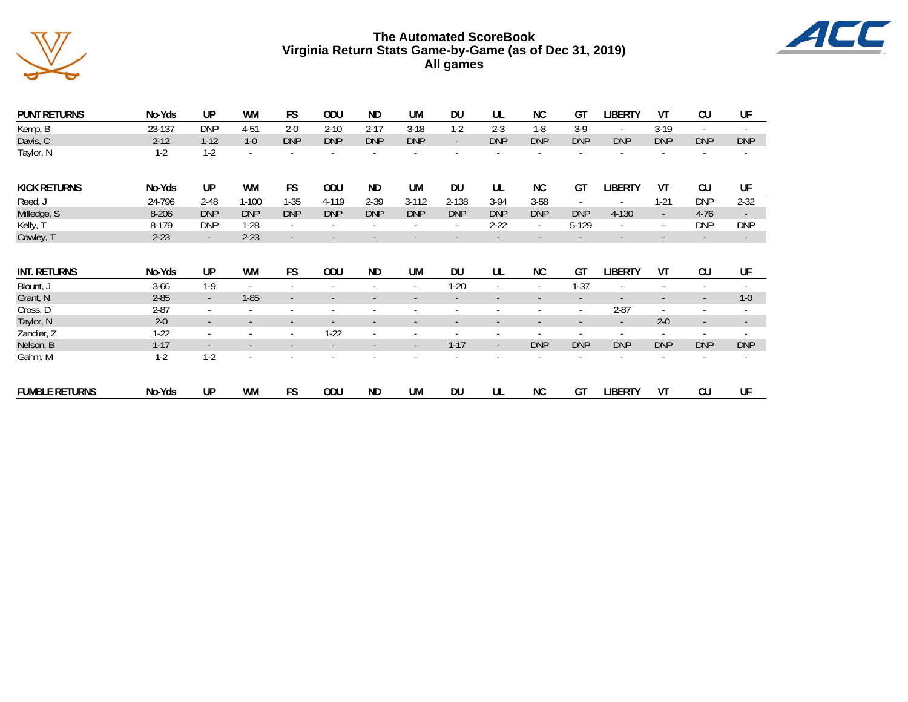

# **The Automated ScoreBook Virginia Return Stats Game-by-Game (as of Dec 31, 2019) All games**



| <b>PUNT RETURNS</b>   | No-Yds    | UP         | <b>WM</b>                | <b>FS</b>                    | ODU                      | <b>ND</b>                | <b>UM</b>                | <b>DU</b>  | UL         | <b>NC</b>                | GT                       | LIBERTY                  | ۷T                       | CU                       | UF                       |
|-----------------------|-----------|------------|--------------------------|------------------------------|--------------------------|--------------------------|--------------------------|------------|------------|--------------------------|--------------------------|--------------------------|--------------------------|--------------------------|--------------------------|
| Kemp, B               | 23-137    | <b>DNP</b> | 4-51                     | $2 - 0$                      | $2 - 10$                 | $2 - 17$                 | $3-18$                   | $1-2$      | $2 - 3$    | $1-8$                    | $3-9$                    | $\sim$                   | $3-19$                   | $\sim$                   | ٠                        |
| Davis, C              | $2 - 12$  | $1 - 12$   | $1 - 0$                  | <b>DNP</b>                   | <b>DNP</b>               | <b>DNP</b>               | <b>DNP</b>               | $\sim$     | <b>DNP</b> | <b>DNP</b>               | <b>DNP</b>               | <b>DNP</b>               | <b>DNP</b>               | <b>DNP</b>               | <b>DNP</b>               |
| Taylor, N             | $1-2$     | $1-2$      |                          |                              |                          |                          |                          |            |            |                          |                          |                          |                          |                          |                          |
| <b>KICK RETURNS</b>   | No-Yds    | <b>UP</b>  | WM                       | FS.                          | <b>ODU</b>               | <b>ND</b>                | <b>UM</b>                | <b>DU</b>  | UL         | <b>NC</b>                | GT                       | <b>LIBERTY</b>           | VT                       | CU                       | UF                       |
| Reed, J               | 24-796    | $2 - 48$   | $1 - 100$                | $1 - 35$                     | 4-119                    | $2 - 39$                 | $3 - 112$                | 2-138      | $3-94$     | $3 - 58$                 | $\sim$                   | ٠                        | $1 - 21$                 | <b>DNP</b>               | $2 - 32$                 |
| Milledge, S           | $8 - 206$ | <b>DNP</b> | <b>DNP</b>               | <b>DNP</b>                   | <b>DNP</b>               | <b>DNP</b>               | <b>DNP</b>               | <b>DNP</b> | <b>DNP</b> | <b>DNP</b>               | <b>DNP</b>               | 4-130                    | $\sim$                   | $4-76$                   | $\sim$                   |
| Kelly, T              | 8-179     | <b>DNP</b> | $1-28$                   | $\overline{\phantom{a}}$     |                          |                          |                          | ٠          | $2 - 22$   | ٠                        | 5-129                    | $\overline{\phantom{a}}$ | $\sim$                   | <b>DNP</b>               | <b>DNP</b>               |
| Cowley, T             | $2 - 23$  | $\sim$     | $2 - 23$                 | $\overline{\phantom{a}}$     |                          |                          |                          |            |            |                          |                          | $\overline{\phantom{a}}$ |                          | $\overline{\phantom{a}}$ | $\overline{\phantom{a}}$ |
| <b>INT. RETURNS</b>   | No-Yds    | UP         | WM                       | <b>FS</b>                    | ODU                      | <b>ND</b>                | <b>UM</b>                | <b>DU</b>  | UL         | <b>NC</b>                | GT                       | <b>LIBERTY</b>           | VT                       | CU                       | UF                       |
| Blount, J             | $3 - 66$  | $1-9$      | $\sim$                   | $\sim$                       | $\sim$                   |                          | ٠                        | $1 - 20$   | ٠          | $\sim$                   | $1 - 37$                 | ٠                        | ٠                        | $\sim$                   | ٠                        |
| Grant, N              | $2 - 85$  | $\sim$     | $1 - 85$                 | $\qquad \qquad \blacksquare$ | $\overline{\phantom{a}}$ |                          | $\overline{\phantom{a}}$ |            | ۰          | ٠                        | $\sim$                   | $\overline{\phantom{a}}$ | $\overline{\phantom{a}}$ | $\overline{\phantom{a}}$ | $1 - 0$                  |
| Cross, D              | $2 - 87$  | ٠          |                          | ٠                            | ٠                        |                          |                          |            | ٠          | ٠                        | $\sim$                   | $2 - 87$                 | $\sim$                   | $\overline{\phantom{a}}$ | ٠                        |
| Taylor, N             | $2 - 0$   | $\sim$     |                          | $\overline{\phantom{a}}$     | $\overline{\phantom{a}}$ | $\overline{\phantom{a}}$ | $\overline{\phantom{a}}$ |            | ٠          | $\overline{\phantom{a}}$ | $\overline{\phantom{a}}$ | $\sim$                   | $2 - 0$                  | $\sim$                   | ۰.                       |
| Zandier, Z            | $1-22$    | $\sim$     |                          | $\sim$                       | $1 - 22$                 | $\sim$                   | ٠                        |            | ٠          | ٠                        | $\overline{\phantom{a}}$ | $\overline{\phantom{a}}$ | $\sim$                   | $\overline{\phantom{a}}$ | ٠                        |
| Nelson, B             | $1 - 17$  | $\sim$     |                          | $\overline{\phantom{a}}$     |                          |                          | $\overline{\phantom{a}}$ | $1 - 17$   | ÷.         | <b>DNP</b>               | <b>DNP</b>               | <b>DNP</b>               | <b>DNP</b>               | <b>DNP</b>               | <b>DNP</b>               |
| Gahm, M               | $1-2$     | $1-2$      | $\overline{\phantom{a}}$ |                              |                          |                          |                          |            |            |                          |                          | $\overline{\phantom{a}}$ | ٠                        | $\sim$                   | $\overline{\phantom{a}}$ |
| <b>FUMBLE RETURNS</b> | No-Yds    | UP         | <b>WM</b>                | <b>FS</b>                    | ODU                      | <b>ND</b>                | <b>UM</b>                | <b>DU</b>  | UL         | <b>NC</b>                | GT                       | <b>LIBERTY</b>           | VT                       | CU                       | UF                       |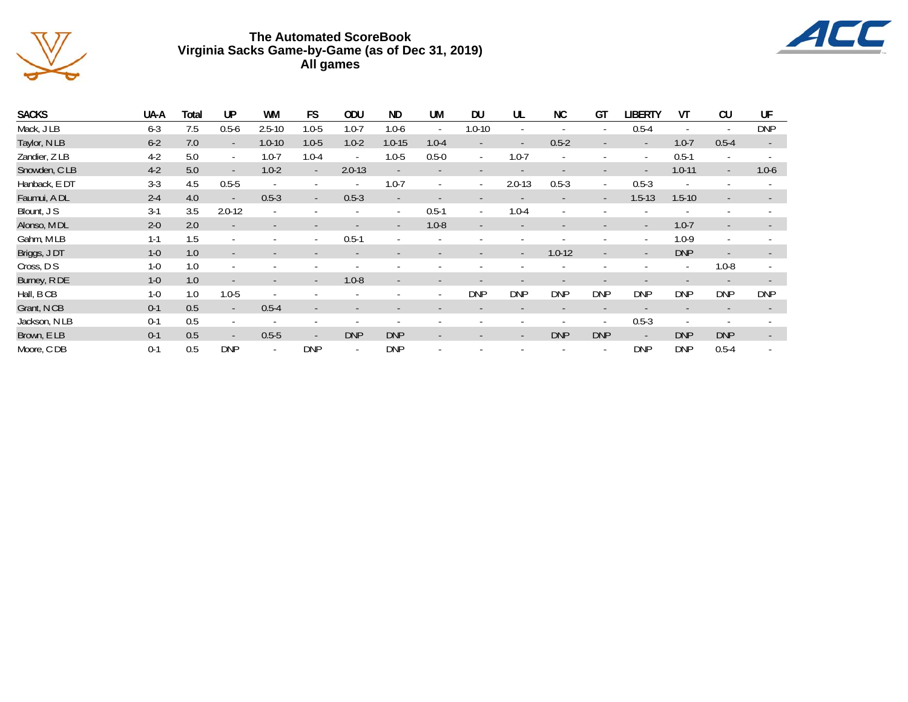

# **The Automated ScoreBook Virginia Sacks Game-by-Game (as of Dec 31, 2019) All games**



| <b>SACKS</b>  | UA-A    | Total | UP         | <b>WM</b>  | FS         | ODU        | <b>ND</b>  | <b>UM</b> | <b>DU</b>  | UL         | <b>NC</b>  | GT         | <b>LIBERTY</b> | VT         | CU         | UF         |
|---------------|---------|-------|------------|------------|------------|------------|------------|-----------|------------|------------|------------|------------|----------------|------------|------------|------------|
| Mack, J LB    | $6 - 3$ | 7.5   | $0.5 - 6$  | $2.5 - 10$ | $1.0 - 5$  | $1.0 - 7$  | $1.0 - 6$  |           | $1.0 - 10$ |            |            |            | $0.5 - 4$      |            |            | <b>DNP</b> |
| Taylor, N LB  | $6 - 2$ | 7.0   | $\sim$     | $1.0 - 10$ | $1.0 - 5$  | $1.0 - 2$  | $1.0 - 15$ | $1.0 - 4$ |            |            | $0.5 - 2$  |            |                | $1.0 - 7$  | $0.5 - 4$  | $\sim$     |
| Zandier, Z LB | $4-2$   | 5.0   | $\sim$     | $1.0 - 7$  | $1.0 - 4$  | $\sim$     | $1.0 - 5$  | $0.5 - 0$ | $\sim$     | $1.0 - 7$  |            |            | ٠              | $0.5 - 1$  |            |            |
| Snowden, CLB  | $4-2$   | 5.0   | $\sim$     | $1.0 - 2$  | $\sim$     | $2.0 - 13$ |            |           |            |            |            |            |                | $1.0 - 11$ | $\sim$     | $1.0 - 6$  |
| Hanback, E DT | $3 - 3$ | 4.5   | $0.5 - 5$  |            |            |            | $1.0 - 7$  |           | $\sim$     | $2.0 - 13$ | $0.5 - 3$  | ٠          | $0.5 - 3$      |            |            |            |
| Faumui, A DL  | $2 - 4$ | 4.0   | ٠          | $0.5 - 3$  | $\sim$     | $0.5 - 3$  |            |           |            |            |            | ٠          | $1.5 - 13$     | $1.5 - 10$ |            |            |
| Blount, J S   | $3-1$   | 3.5   | $2.0 - 12$ |            |            |            | ۰.         | $0.5 - 1$ | $\sim$     | $1.0 - 4$  |            |            |                |            |            |            |
| Alonso, M DL  | $2 - 0$ | 2.0   | ٠          |            |            |            |            | $1.0 - 8$ |            |            |            |            |                | $1.0 - 7$  |            |            |
| Gahm, MLB     | $1 - 1$ | 1.5   |            |            |            | $0.5 - 1$  |            |           |            |            |            |            |                | $1.0 - 9$  |            |            |
| Briggs, JDT   | $1-0$   | 1.0   | ٠          |            |            |            |            |           |            | $\sim$     | $1.0 - 12$ |            |                | <b>DNP</b> |            |            |
| Cross, D S    | $1 - 0$ | 1.0   | ×.         |            |            |            |            |           |            |            |            |            |                | ٠          | $1.0 - 8$  |            |
| Burney, R DE  | $1 - 0$ | 1.0   | ۰          |            | $\sim$     | $1.0 - 8$  | $\sim$     |           |            |            |            |            |                |            |            |            |
| Hall, B CB    | $1 - 0$ | 1.0   | $1.0 - 5$  |            |            |            |            |           | <b>DNP</b> | <b>DNP</b> | <b>DNP</b> | <b>DNP</b> | <b>DNP</b>     | <b>DNP</b> | <b>DNP</b> | <b>DNP</b> |
| Grant, N CB   | $0 - 1$ | 0.5   | $\sim$     | $0.5 - 4$  |            |            |            |           |            |            |            |            |                |            |            |            |
| Jackson, N LB | $0 - 1$ | 0.5   |            |            |            |            |            |           |            |            |            |            | $0.5 - 3$      |            |            |            |
| Brown, E LB   | $0 - 1$ | 0.5   | ٠          | $0.5 - 5$  | ٠          | <b>DNP</b> | <b>DNP</b> |           |            |            | <b>DNP</b> | <b>DNP</b> | $\sim$         | <b>DNP</b> | <b>DNP</b> |            |
| Moore, CDB    | $0 - 1$ | 0.5   | <b>DNP</b> |            | <b>DNP</b> |            | <b>DNP</b> |           |            |            |            |            | <b>DNP</b>     | <b>DNP</b> | $0.5 - 4$  |            |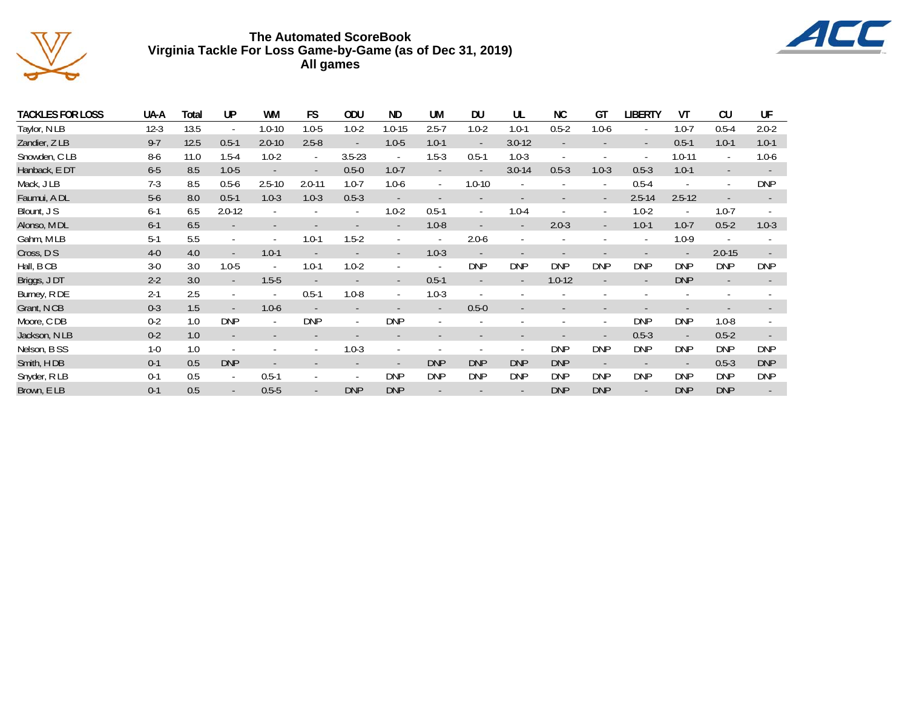

# **The Automated ScoreBook Virginia Tackle For Loss Game-by-Game (as of Dec 31, 2019) All games**



| TACKLES FOR LOSS | UA-A    | Total | UP         | WM         | FS                       | ODU        | ND.        | UM         | DU         | UL         | ΝC         | GT         | liberty    | VT                       | CU         | UF         |
|------------------|---------|-------|------------|------------|--------------------------|------------|------------|------------|------------|------------|------------|------------|------------|--------------------------|------------|------------|
| Taylor, N LB     | $12-3$  | 13.5  | $\sim$     | $1.0 - 10$ | $1.0 - 5$                | $1.0 - 2$  | $1.0 - 15$ | $2.5 - 7$  | $1.0 - 2$  | $1.0 - 1$  | $0.5 - 2$  | $1.0 - 6$  |            | $1.0 - 7$                | $0.5 - 4$  | $2.0 - 2$  |
| Zandier, Z LB    | $9 - 7$ | 12.5  | $0.5 - 1$  | $2.0 - 10$ | $2.5 - 8$                |            | $1.0 - 5$  | $1.0 - 1$  |            | $3.0 - 12$ |            |            |            | $0.5 - 1$                | $1.0 - 1$  | $1.0 - 1$  |
| Snowden, CLB     | 8-6     | 11.0  | $1.5 - 4$  | $1.0 - 2$  | ٠                        | $3.5 - 23$ |            | $1.5 - 3$  | $0.5 - 1$  | $1.0 - 3$  |            |            |            | $1.0 - 11$               |            | $1.0 - 6$  |
| Hanback, E DT    | $6-5$   | 8.5   | $1.0 - 5$  |            | $\overline{\phantom{a}}$ | $0.5 - 0$  | $1.0 - 7$  |            |            | $3.0 - 14$ | $0.5 - 3$  | $1.0 - 3$  | $0.5 - 3$  | $1.0 - 1$                |            |            |
| Mack, J LB       | 7-3     | 8.5   | $0.5 - 6$  | $2.5 - 10$ | $2.0 - 11$               | $1.0 - 7$  | $1.0 - 6$  | $\sim$     | $1.0 - 10$ |            |            |            | $0.5 - 4$  |                          |            | <b>DNP</b> |
| Faumui, A DL     | $5-6$   | 8.0   | $0.5 - 1$  | $1.0 - 3$  | $1.0 - 3$                | $0.5 - 3$  |            |            |            |            |            |            | $2.5 - 14$ | $2.5 - 12$               |            |            |
| Blount, J S      | $6-1$   | 6.5   | $2.0 - 12$ |            |                          |            | $1.0 - 2$  | $0.5 - 1$  | $\sim$     | $1.0 - 4$  |            | ٠          | $1.0 - 2$  | $\overline{\phantom{a}}$ | $1.0 - 7$  |            |
| Alonso, M DL     | $6-1$   | 6.5   |            |            |                          |            |            | $1.0 - 8$  |            |            | $2.0 - 3$  | ٠.         | $1.0 - 1$  | $1.0 - 7$                | $0.5 - 2$  | $1.0 - 3$  |
| Gahm, MLB        | $5-1$   | 5.5   |            |            | $1.0 - 1$                | $1.5 - 2$  |            |            | $2.0 - 6$  |            |            |            |            | $1.0 - 9$                |            |            |
| Cross, D S       | $4-0$   | 4.0   | ٠          | $1.0 - 1$  |                          |            |            | $1.0 - 3$  |            |            |            |            |            |                          | $2.0 - 15$ |            |
| Hall, B CB       | $3-0$   | 3.0   | $1.0 - 5$  |            | $1.0 - 1$                | $1.0 - 2$  |            |            | <b>DNP</b> | <b>DNP</b> | <b>DNP</b> | <b>DNP</b> | <b>DNP</b> | <b>DNP</b>               | <b>DNP</b> | <b>DNP</b> |
| Briggs, JDT      | $2 - 2$ | 3.0   | ۰.         | $1.5 - 5$  |                          |            | $\sim$     | $0.5 - 1$  |            |            | $1.0 - 12$ |            |            | <b>DNP</b>               |            |            |
| Burney, R DE     | $2 - 1$ | 2.5   |            |            | $0.5 - 1$                | $1.0 - 8$  | $\sim$     | $1.0 - 3$  |            |            |            |            |            |                          |            |            |
| Grant, N CB      | $0 - 3$ | 1.5   |            | $1.0 - 6$  |                          |            |            |            | $0.5 - 0$  |            |            |            |            |                          |            |            |
| Moore, CDB       | $0 - 2$ | 1.0   | <b>DNP</b> |            | <b>DNP</b>               |            | <b>DNP</b> |            |            |            |            |            | <b>DNP</b> | <b>DNP</b>               | $1.0 - 8$  |            |
| Jackson, N LB    | $0 - 2$ | 1.0   |            |            |                          |            |            |            |            |            |            |            | $0.5 - 3$  |                          | $0.5 - 2$  |            |
| Nelson, B SS     | $1 - 0$ | 1.0   |            |            |                          | $1.0 - 3$  |            |            |            |            | <b>DNP</b> | <b>DNP</b> | <b>DNP</b> | <b>DNP</b>               | <b>DNP</b> | <b>DNP</b> |
| Smith, HDB       | $0 - 1$ | 0.5   | <b>DNP</b> | ٠          |                          |            |            | <b>DNP</b> | <b>DNP</b> | <b>DNP</b> | <b>DNP</b> |            |            | ٠                        | $0.5 - 3$  | <b>DNP</b> |
| Snyder, RLB      | $0 - 1$ | 0.5   | $\sim$     | $0.5 - 1$  |                          |            | <b>DNP</b> | <b>DNP</b> | <b>DNP</b> | <b>DNP</b> | DNP        | <b>DNP</b> | <b>DNP</b> | <b>DNP</b>               | <b>DNP</b> | <b>DNP</b> |
| Brown, E LB      | $0 - 1$ | 0.5   |            | $0.5 - 5$  |                          | <b>DNP</b> | <b>DNP</b> |            |            |            | <b>DNP</b> | <b>DNP</b> |            | <b>DNP</b>               | <b>DNP</b> |            |